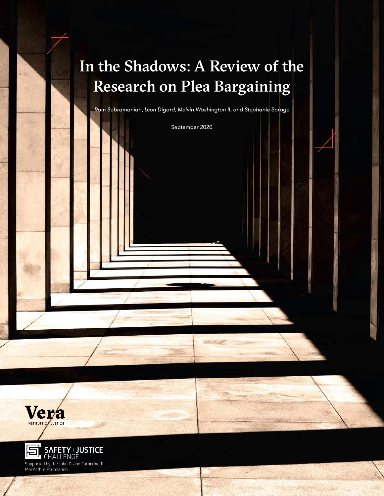# In the Shadows: A Review of the Research on Plea Bargaining

*Ram Subramanian, Léon Digard, Melvin Washington II, and Stephanie Sorage*

September 2020



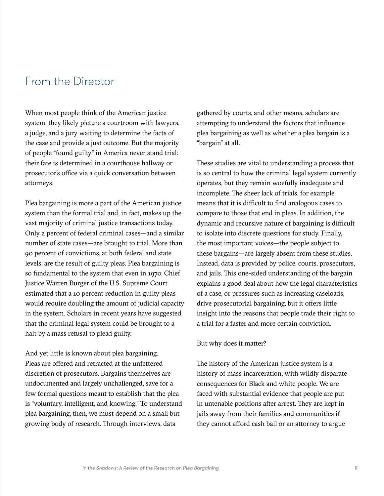# From the Director

When most people think of the American justice system, they likely picture a courtroom with lawyers, a judge, and a jury waiting to determine the facts of the case and provide a just outcome. But the majority of people "found guilty" in America never stand trial: their fate is determined in a courthouse hallway or prosecutor's office via a quick conversation between attorneys.

Plea bargaining is more a part of the American justice system than the formal trial and, in fact, makes up the vast majority of criminal justice transactions today. Only 2 percent of federal criminal cases—and a similar number of state cases—are brought to trial. More than 90 percent of convictions, at both federal and state levels, are the result of guilty pleas. Plea bargaining is so fundamental to the system that even in 1970, Chief Justice Warren Burger of the U.S. Supreme Court estimated that a 10 percent reduction in guilty pleas would require doubling the amount of judicial capacity in the system. Scholars in recent years have suggested that the criminal legal system could be brought to a halt by a mass refusal to plead guilty.

And yet little is known about plea bargaining. Pleas are offered and retracted at the unfettered discretion of prosecutors. Bargains themselves are undocumented and largely unchallenged, save for a few formal questions meant to establish that the plea is "voluntary, intelligent, and knowing." To understand plea bargaining, then, we must depend on a small but growing body of research. Through interviews, data

gathered by courts, and other means, scholars are attempting to understand the factors that influence plea bargaining as well as whether a plea bargain is a "bargain" at all.

These studies are vital to understanding a process that is so central to how the criminal legal system currently operates, but they remain woefully inadequate and incomplete. The sheer lack of trials, for example, means that it is difficult to find analogous cases to compare to those that end in pleas. In addition, the dynamic and recursive nature of bargaining is difficult to isolate into discrete questions for study. Finally, the most important voices—the people subject to these bargains—are largely absent from these studies. Instead, data is provided by police, courts, prosecutors, and jails. This one-sided understanding of the bargain explains a good deal about how the legal characteristics of a case, or pressures such as increasing caseloads, drive prosecutorial bargaining, but it offers little insight into the reasons that people trade their right to a trial for a faster and more certain conviction.

#### But why does it matter?

The history of the American justice system is a history of mass incarceration, with wildly disparate consequences for Black and white people. We are faced with substantial evidence that people are put in untenable positions after arrest. They are kept in jails away from their families and communities if they cannot afford cash bail or an attorney to argue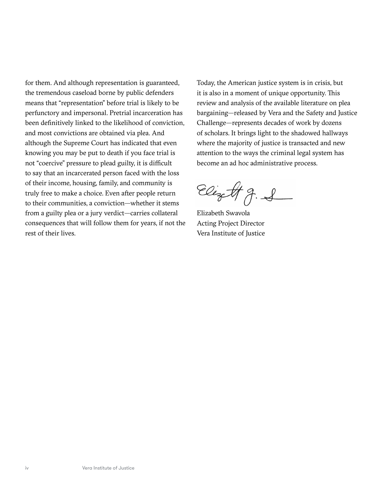for them. And although representation is guaranteed, the tremendous caseload borne by public defenders means that "representation" before trial is likely to be perfunctory and impersonal. Pretrial incarceration has been definitively linked to the likelihood of conviction, and most convictions are obtained via plea. And although the Supreme Court has indicated that even knowing you may be put to death if you face trial is not "coercive" pressure to plead guilty, it is difficult to say that an incarcerated person faced with the loss of their income, housing, family, and community is truly free to make a choice. Even after people return to their communities, a conviction—whether it stems from a guilty plea or a jury verdict—carries collateral consequences that will follow them for years, if not the rest of their lives.

Today, the American justice system is in crisis, but it is also in a moment of unique opportunity. This review and analysis of the available literature on plea bargaining—released by Vera and the Safety and Justice Challenge—represents decades of work by dozens of scholars. It brings light to the shadowed hallways where the majority of justice is transacted and new attention to the ways the criminal legal system has become an ad hoc administrative process.

Elizett g. S

Elizabeth Swavola Acting Project Director Vera Institute of Justice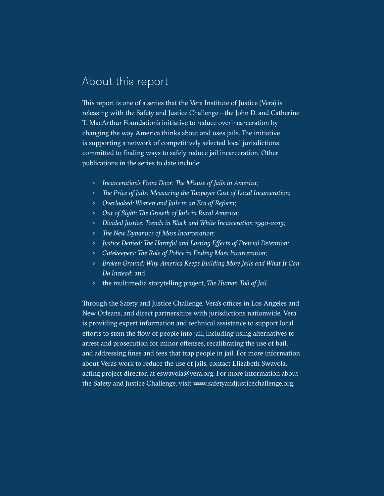# About this report

This report is one of a series that the Vera Institute of Justice (Vera) is releasing with the Safety and Justice Challenge—the John D. and Catherine T. MacArthur Foundation's initiative to reduce overincarceration by changing the way America thinks about and uses jails. The initiative is supporting a network of competitively selected local jurisdictions committed to finding ways to safely reduce jail incarceration. Other publications in the series to date include:

- › *Incarceration's Front Door: The Misuse of Jails in America*;
- › *The Price of Jails: Measuring the Taxpayer Cost of Local Incarceration*;
- › *Overlooked: Women and Jails in an Era of Reform*;
- › *Out of Sight: The Growth of Jails in Rural America*;
- › *Divided Justice: Trends in Black and White Incarceration 1990-2013;*
- › *The New Dynamics of Mass Incarceration*;
- › *Justice Denied: The Harmful and Lasting Effects of Pretrial Detention;*
- › *Gatekeepers: The Role of Police in Ending Mass Incarceration*;
- › *Broken Ground: Why America Keeps Building More Jails and What It Can Do Instead*; and
- › the multimedia storytelling project, *The Human Toll of Jail*.

Through the Safety and Justice Challenge, Vera's offices in Los Angeles and New Orleans, and direct partnerships with jurisdictions nationwide, Vera is providing expert information and technical assistance to support local efforts to stem the flow of people into jail, including using alternatives to arrest and prosecution for minor offenses, recalibrating the use of bail, and addressing fines and fees that trap people in jail. For more information about Vera's work to reduce the use of jails, contact Elizabeth Swavola, acting project director, at [eswavola@vera.org.](mailto:eswavola@vera.org) For more information about the Safety and Justice Challenge, visit [www.safetyandjusticechallenge.org](http://www.safetyandjusticechallenge.org).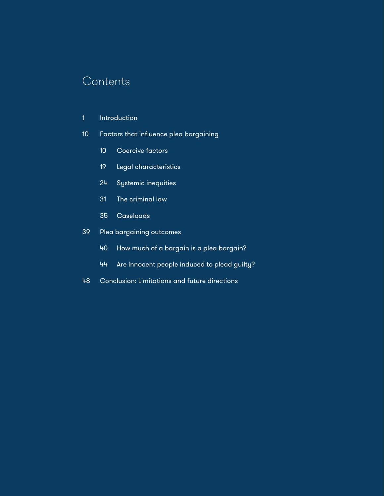# **Contents**

- [1 Introduction](#page-6-0)
- [Factors that influence plea bargaining](#page-15-0)
	- [Coercive factors](#page-15-0)
	- [Legal characteristics](#page-24-0)
	- [Systemic inequities](#page-29-0)
	- [The criminal law](#page-36-0)
	- [Caseloads](#page-40-0)
- [Plea bargaining outcomes](#page-44-0)
	- [How much of a bargain is a plea bargain?](#page-45-0)
	- [Are innocent people induced to plead guilty?](#page-49-0)
- [Conclusion: Limitations and future directions](#page-53-0)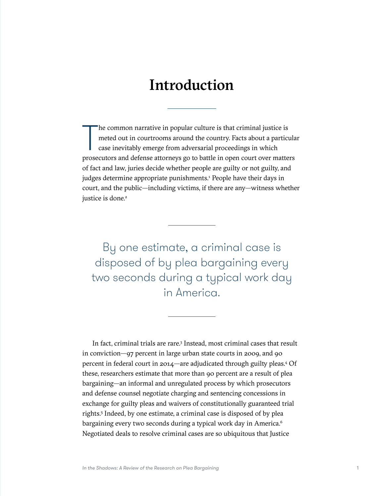# Introduction

<span id="page-6-0"></span>The common narrative in popular culture is that criminal justice is<br>meted out in courtrooms around the country. Facts about a particula<br>case inevitably emerge from adversarial proceedings in which<br>prosecutors and defense a he common narrative in popular culture is that criminal justice is meted out in courtrooms around the country. Facts about a particular case inevitably emerge from adversarial proceedings in which of fact and law, juries decide whether people are guilty or not guilty, and judges determine appropriate punishments.<sup>[1](#page-62-0)</sup> People have their days in court, and the public—including victims, if there are any—witness whether justice is done.<sup>[2](#page-62-0)</sup>

By one estimate, a criminal case is disposed of by plea bargaining every two seconds during a typical work day in America.

In fact, criminal trials are rare.<sup>[3](#page-62-0)</sup> Instead, most criminal cases that result in conviction—97 percent in large urban state courts in 2009, and 90 percent in federal court in 2014—are adjudicated through guilty pleas.[4](#page-62-0) Of these, researchers estimate that more than 90 percent are a result of plea bargaining—an informal and unregulated process by which prosecutors and defense counsel negotiate charging and sentencing concessions in exchange for guilty pleas and waivers of constitutionally guaranteed trial rights.[5](#page-62-0) Indeed, by one estimate, a criminal case is disposed of by plea bargaining every two seconds during a typical work day in America.<sup>6</sup> Negotiated deals to resolve criminal cases are so ubiquitous that Justice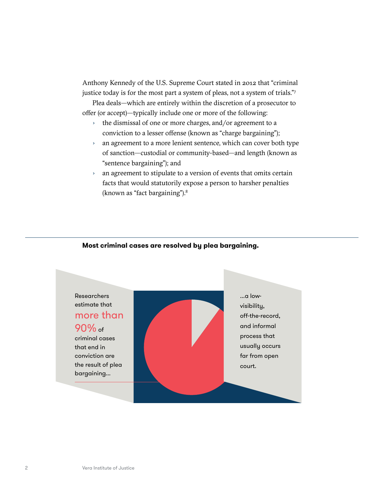Anthony Kennedy of the U.S. Supreme Court stated in 2012 that "criminal justice today is for the most part a system of pleas, not a system of trials."[7](#page-62-0)

Plea deals—which are entirely within the discretion of a prosecutor to offer (or accept)—typically include one or more of the following:

- › the dismissal of one or more charges, and/or agreement to a conviction to a lesser offense (known as "charge bargaining");
- › an agreement to a more lenient sentence, which can cover both type of sanction—custodial or community-based—and length (known as "sentence bargaining"); and
- › an agreement to stipulate to a version of events that omits certain facts that would statutorily expose a person to harsher penalties (known as "fact bargaining").[8](#page-62-0)



#### **Most criminal cases are resolved by plea bargaining.**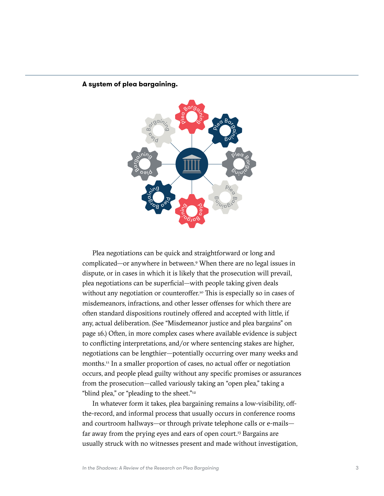

#### **A system of plea bargaining.**

Plea negotiations can be quick and straightforward or long and complicated—or anywhere in between.[9](#page-62-0) When there are no legal issues in dispute, or in cases in which it is likely that the prosecution will prevail, plea negotiations can be superficial—with people taking given deals without any negotiation or counteroffer.<sup>10</sup> This is especially so in cases of misdemeanors, infractions, and other lesser offenses for which there are often standard dispositions routinely offered and accepted with little, if any, actual deliberation. (See "Misdemeanor justice and plea bargains" on page 16.) Often, in more complex cases where available evidence is subject to conflicting interpretations, and/or where sentencing stakes are higher, negotiations can be lengthier—potentially occurring over many weeks and months.[11](#page-62-0) In a smaller proportion of cases, no actual offer or negotiation occurs, and people plead guilty without any specific promises or assurances from the prosecution—called variously taking an "open plea," taking a "blind plea," or "pleading to the sheet."<sup>12</sup>

In whatever form it takes, plea bargaining remains a low-visibility, offthe-record, and informal process that usually occurs in conference rooms and courtroom hallways—or through private telephone calls or e-mails— far away from the prying eyes and ears of open court.<sup>[13](#page-62-0)</sup> Bargains are usually struck with no witnesses present and made without investigation,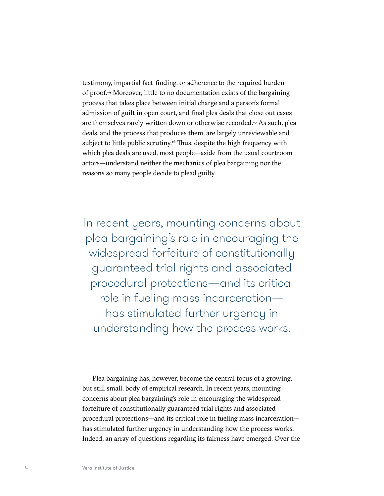testimony, impartial fact-finding, or adherence to the required burden of proof.[14](#page-62-0) Moreover, little to no documentation exists of the bargaining process that takes place between initial charge and a person's formal admission of guilt in open court, and final plea deals that close out cases are themselves rarely written down or otherwise recorded.<sup>[15](#page-63-0)</sup> As such, plea deals, and the process that produces them, are largely unreviewable and subject to little public scrutiny.<sup>[16](#page-63-0)</sup> Thus, despite the high frequency with which plea deals are used, most people—aside from the usual courtroom actors—understand neither the mechanics of plea bargaining nor the reasons so many people decide to plead guilty.

In recent years, mounting concerns about plea bargaining's role in encouraging the widespread forfeiture of constitutionally guaranteed trial rights and associated procedural protections—and its critical role in fueling mass incarceration has stimulated further urgency in understanding how the process works.

Plea bargaining has, however, become the central focus of a growing, but still small, body of empirical research. In recent years, mounting concerns about plea bargaining's role in encouraging the widespread forfeiture of constitutionally guaranteed trial rights and associated procedural protections—and its critical role in fueling mass incarceration has stimulated further urgency in understanding how the process works. Indeed, an array of questions regarding its fairness have emerged. Over the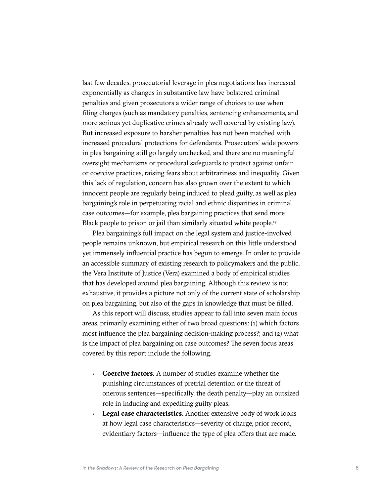last few decades, prosecutorial leverage in plea negotiations has increased exponentially as changes in substantive law have bolstered criminal penalties and given prosecutors a wider range of choices to use when filing charges (such as mandatory penalties, sentencing enhancements, and more serious yet duplicative crimes already well covered by existing law). But increased exposure to harsher penalties has not been matched with increased procedural protections for defendants. Prosecutors' wide powers in plea bargaining still go largely unchecked, and there are no meaningful oversight mechanisms or procedural safeguards to protect against unfair or coercive practices, raising fears about arbitrariness and inequality. Given this lack of regulation, concern has also grown over the extent to which innocent people are regularly being induced to plead guilty, as well as plea bargaining's role in perpetuating racial and ethnic disparities in criminal case outcomes—for example, plea bargaining practices that send more Black people to prison or jail than similarly situated white people.<sup>17</sup>

Plea bargaining's full impact on the legal system and justice-involved people remains unknown, but empirical research on this little understood yet immensely influential practice has begun to emerge. In order to provide an accessible summary of existing research to policymakers and the public, the Vera Institute of Justice (Vera) examined a body of empirical studies that has developed around plea bargaining. Although this review is not exhaustive, it provides a picture not only of the current state of scholarship on plea bargaining, but also of the gaps in knowledge that must be filled.

As this report will discuss, studies appear to fall into seven main focus areas, primarily examining either of two broad questions: (1) which factors most influence the plea bargaining decision-making process?; and (2) what is the impact of plea bargaining on case outcomes? The seven focus areas covered by this report include the following.

- › **Coercive factors.** A number of studies examine whether the punishing circumstances of pretrial detention or the threat of onerous sentences—specifically, the death penalty—play an outsized role in inducing and expediting guilty pleas.
- › **Legal case characteristics.** Another extensive body of work looks at how legal case characteristics—severity of charge, prior record, evidentiary factors—influence the type of plea offers that are made.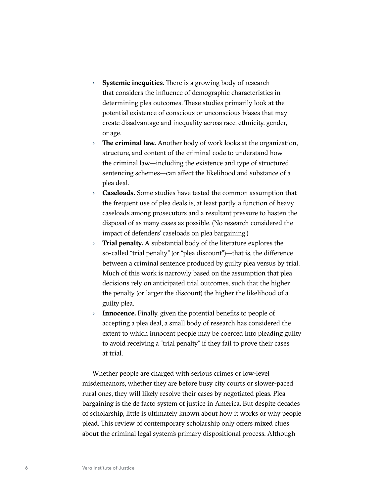- › **Systemic inequities.** There is a growing body of research that considers the influence of demographic characteristics in determining plea outcomes. These studies primarily look at the potential existence of conscious or unconscious biases that may create disadvantage and inequality across race, ethnicity, gender, or age.
- › **The criminal law.** Another body of work looks at the organization, structure, and content of the criminal code to understand how the criminal law—including the existence and type of structured sentencing schemes—can affect the likelihood and substance of a plea deal.
- › **Caseloads.** Some studies have tested the common assumption that the frequent use of plea deals is, at least partly, a function of heavy caseloads among prosecutors and a resultant pressure to hasten the disposal of as many cases as possible. (No research considered the impact of defenders' caseloads on plea bargaining.)
- **Trial penalty.** A substantial body of the literature explores the so-called "trial penalty" (or "plea discount")—that is, the difference between a criminal sentence produced by guilty plea versus by trial. Much of this work is narrowly based on the assumption that plea decisions rely on anticipated trial outcomes, such that the higher the penalty (or larger the discount) the higher the likelihood of a guilty plea.
- › **Innocence.** Finally, given the potential benefits to people of accepting a plea deal, a small body of research has considered the extent to which innocent people may be coerced into pleading guilty to avoid receiving a "trial penalty" if they fail to prove their cases at trial.

Whether people are charged with serious crimes or low-level misdemeanors, whether they are before busy city courts or slower-paced rural ones, they will likely resolve their cases by negotiated pleas. Plea bargaining is the de facto system of justice in America. But despite decades of scholarship, little is ultimately known about how it works or why people plead. This review of contemporary scholarship only offers mixed clues about the criminal legal system's primary dispositional process. Although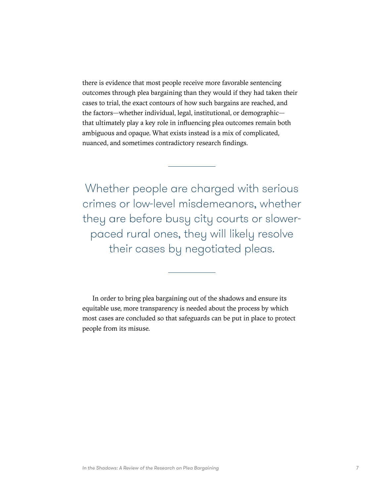there is evidence that most people receive more favorable sentencing outcomes through plea bargaining than they would if they had taken their cases to trial, the exact contours of how such bargains are reached, and the factors—whether individual, legal, institutional, or demographic that ultimately play a key role in influencing plea outcomes remain both ambiguous and opaque. What exists instead is a mix of complicated, nuanced, and sometimes contradictory research findings.

Whether people are charged with serious crimes or low-level misdemeanors, whether they are before busy city courts or slowerpaced rural ones, they will likely resolve their cases by negotiated pleas.

In order to bring plea bargaining out of the shadows and ensure its equitable use, more transparency is needed about the process by which most cases are concluded so that safeguards can be put in place to protect people from its misuse.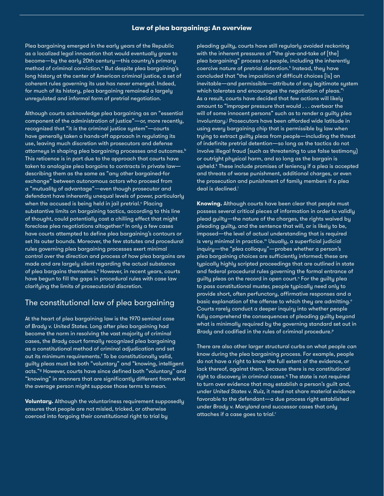#### **Law of plea bargaining: An overview**

Plea bargaining emerged in the early years of the Republic as a localized legal innovation that would eventually grow to become—by the early 20th century—this country's primary method of criminal conviction.<sup>a</sup> But despite plea bargaining's long history at the center of American criminal justice, a set of coherent rules governing its use has never emerged. Indeed, for much of its history, plea bargaining remained a largely unregulated and informal form of pretrial negotiation.

Although courts acknowledge plea bargaining as an "essential component of the administration of justice"—or, more recently, recognized that "it *is* the criminal justice system"—courts have generally taken a hands-off approach in regulating its use, leaving much discretion with prosecutors and defense attorneys in shaping plea bargaining processes and outcomes.<sup>b</sup> This reticence is in part due to the approach that courts have taken to analogize plea bargains to contracts in private law describing them as the same as "any other bargained-for exchange" between autonomous actors who proceed from a "mutuality of advantage"—even though prosecutor and defendant have inherently unequal levels of power, particularly when the accused is being held in jail pretrial. $^{\circ}$  Placing substantive limits on bargaining tactics, according to this line of thought, could potentially cast a chilling effect that might foreclose plea negotiations altogether.<sup>d</sup> In only a few cases have courts attempted to define plea bargaining's contours or set its outer bounds. Moreover, the few statutes and procedural rules governing plea bargaining processes exert minimal control over the direction and process of how plea bargains are made and are largely silent regarding the actual substance of plea bargains themselves.<sup>e</sup> However, in recent years, courts have begun to fill the gaps in procedural rules with case law clarifying the limits of prosecutorial discretion.

#### The constitutional law of plea bargaining

At the heart of plea bargaining law is the 1970 seminal case of *Brady v. United States*. Long after plea bargaining had become the norm in resolving the vast majority of criminal cases, the *Brady* court formally recognized plea bargaining as a constitutional method of criminal adjudication and set out its minimum requirements.<sup>f</sup> To be constitutionally valid, guilty pleas must be both "voluntary" and "knowing, intelligent acts."g However, courts have since defined both "voluntary" and "knowing" in manners that are significantly different from what the average person might suppose those terms to mean.

**Voluntary.** Although the voluntariness requirement supposedly ensures that people are not misled, tricked, or otherwise coerced into forgoing their constitutional right to trial by

pleading guilty, courts have still regularly avoided reckoning with the inherent pressures of "the give-and-take of [the] plea bargaining" process on people, including the inherently coercive nature of pretrial detention.<sup>h</sup> Instead, they have concluded that "the imposition of difficult choices [is] an inevitable—and permissible—attribute of any legitimate system which tolerates and encourages the negotiation of pleas." As a result, courts have decided that few actions will likely amount to "improper pressure that would . . . overbear the will of some innocent persons" such as to render a guilty plea involuntary.<sup>j</sup> Prosecutors have been afforded wide latitude in using every bargaining chip that is permissible by law when trying to extract guilty pleas from people—including the threat of indefinite pretrial detention—so long as the tactics do not involve illegal fraud (such as threatening to use false testimony) or outright physical harm, and so long as the bargain is upheld.<sup>k</sup> These include promises of leniency if a plea is accepted and threats of worse punishment, additional charges, or even the prosecution and punishment of family members if a plea deal is declined.<sup>1</sup>

**Knowing.** Although courts have been clear that people must possess several critical pieces of information in order to validly plead guilty—the nature of the charges, the rights waived by pleading guilty, and the sentence that will, or is likely to be, imposed—the level of actual understanding that is required is very minimal in practice.<sup>m</sup> Usually, a superficial judicial inquiry—the "plea colloquy"—probes whether a person's plea bargaining choices are sufficiently informed; these are typically highly scripted proceedings that are outlined in state and federal procedural rules governing the formal entrance of guilty pleas on the record in open court." For the guilty plea to pass constitutional muster, people typically need only to provide short, often perfunctory, affirmative responses and a basic explanation of the offense to which they are admitting.<sup>o</sup> Courts rarely conduct a deeper inquiry into whether people fully comprehend the consequences of pleading guilty beyond what is minimally required by the governing standard set out in Brady and codified in the rules of criminal procedure.<sup>p</sup>

There are also other larger structural curbs on what people *can* know during the plea bargaining process. For example, people do not have a right to know the full extent of the evidence, or lack thereof, against them, because there is no constitutional right to discovery in criminal cases.<sup>9</sup> The state is not required to turn over evidence that may establish a person's guilt and, under *United States v. Ruiz*, it need not share material evidence favorable to the defendant—a due process right established under *Brady v. Maryland* and successor cases that only attaches if a case goes to trial.<sup>r</sup>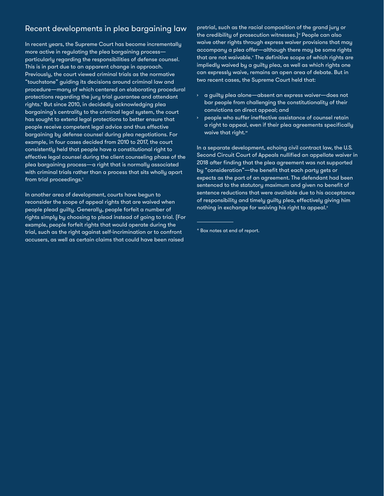## Recent developments in plea bargaining law

In recent years, the Supreme Court has become incrementally more active in regulating the plea bargaining process particularly regarding the responsibilities of defense counsel. This is in part due to an apparent change in approach. Previously, the court viewed criminal trials as the normative "touchstone" guiding its decisions around criminal law and procedure—many of which centered on elaborating procedural protections regarding the jury trial guarantee and attendant rights.<sup>s</sup> But since 2010, in decidedly acknowledging plea bargaining's centrality to the criminal legal system, the court has sought to extend legal protections to better ensure that people receive competent legal advice and thus effective bargaining by defense counsel during plea negotiations. For example, in four cases decided from 2010 to 2017, the court consistently held that people have a constitutional right to effective legal counsel during the client counseling phase of the plea bargaining process—a right that is normally associated with criminal trials rather than a process that sits wholly apart from trial proceedings. $t$ 

In another area of development, courts have begun to reconsider the scope of appeal rights that are waived when people plead guilty. Generally, people forfeit a number of rights simply by choosing to plead instead of going to trial. (For example, people forfeit rights that would operate during the trial, such as the right against self-incrimination or to confront accusers, as well as certain claims that could have been raised

pretrial, such as the racial composition of the grand jury or the credibility of prosecution witnesses.)<sup>u</sup> People can also waive other rights through express waiver provisions that may accompany a plea offer—although there may be some rights that are not waivable.<sup>v</sup> The definitive scope of which rights are impliedly waived by a guilty plea, as well as which rights one can expressly waive, remains an open area of debate. But in two recent cases, the Supreme Court held that:

- $\rightarrow$  a guilty plea alone—absent an express waiver—does not bar people from challenging the constitutionality of their convictions on direct appeal; and
- people who suffer ineffective assistance of counsel retain a right to appeal, even if their plea agreements specifically waive that right.<sup>w</sup>

In a separate development, echoing civil contract law, the U.S. Second Circuit Court of Appeals nullified an appellate waiver in 2018 after finding that the plea agreement was not supported by "consideration"—the benefit that each party gets or expects as the part of an agreement. The defendant had been sentenced to the statutory maximum and given no benefit of sentence reductions that were available due to his acceptance of responsibility and timely guilty plea, effectively giving him nothing in exchange for waiving his right to appeal.<sup>x</sup>

<sup>\*</sup> Box notes at end of report.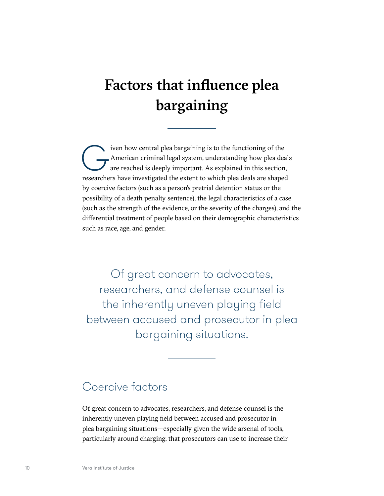# <span id="page-15-0"></span>Factors that influence plea bargaining

iven how central plea bargaining is to the functioning of the<br>American criminal legal system, understanding how plea deals<br>are reached is deeply important. As explained in this section<br>researchers have investigated the ext American criminal legal system, understanding how plea deals are reached is deeply important. As explained in this section, researchers have investigated the extent to which plea deals are shaped by coercive factors (such as a person's pretrial detention status or the possibility of a death penalty sentence), the legal characteristics of a case (such as the strength of the evidence, or the severity of the charges), and the differential treatment of people based on their demographic characteristics such as race, age, and gender.

Of great concern to advocates, researchers, and defense counsel is the inherently uneven playing field between accused and prosecutor in plea bargaining situations.

# Coercive factors

Of great concern to advocates, researchers, and defense counsel is the inherently uneven playing field between accused and prosecutor in plea bargaining situations—especially given the wide arsenal of tools, particularly around charging, that prosecutors can use to increase their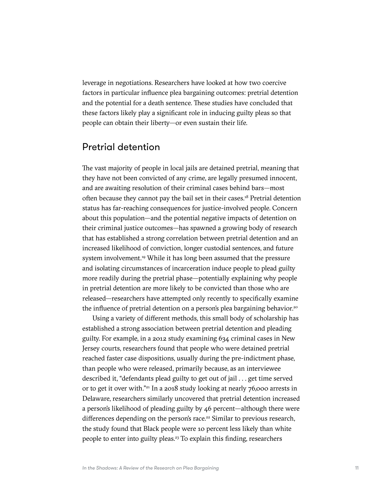leverage in negotiations. Researchers have looked at how two coercive factors in particular influence plea bargaining outcomes: pretrial detention and the potential for a death sentence. These studies have concluded that these factors likely play a significant role in inducing guilty pleas so that people can obtain their liberty—or even sustain their life.

### Pretrial detention

The vast majority of people in local jails are detained pretrial, meaning that they have not been convicted of any crime, are legally presumed innocent, and are awaiting resolution of their criminal cases behind bars—most often because they cannot pay the bail set in their cases[.18](#page-63-0) Pretrial detention status has far-reaching consequences for justice-involved people. Concern about this population—and the potential negative impacts of detention on their criminal justice outcomes—has spawned a growing body of research that has established a strong correlation between pretrial detention and an increased likelihood of conviction, longer custodial sentences, and future system involvement.<sup>[19](#page-63-0)</sup> While it has long been assumed that the pressure and isolating circumstances of incarceration induce people to plead guilty more readily during the pretrial phase—potentially explaining why people in pretrial detention are more likely to be convicted than those who are released—researchers have attempted only recently to specifically examine the influence of pretrial detention on a person's plea bargaining behavior.<sup>[20](#page-63-0)</sup>

Using a variety of different methods, this small body of scholarship has established a strong association between pretrial detention and pleading guilty. For example, in a 2012 study examining 634 criminal cases in New Jersey courts, researchers found that people who were detained pretrial reached faster case dispositions, usually during the pre-indictment phase, than people who were released, primarily because, as an interviewee described it, "defendants plead guilty to get out of jail . . . get time served or to get it over with."[21](#page-63-0) In a 2018 study looking at nearly 76,000 arrests in Delaware, researchers similarly uncovered that pretrial detention increased a person's likelihood of pleading guilty by 46 percent—although there were differences depending on the person's race.<sup>[22](#page-63-0)</sup> Similar to previous research, the study found that Black people were 10 percent less likely than white people to enter into guilty pleas.<sup>23</sup> To explain this finding, researchers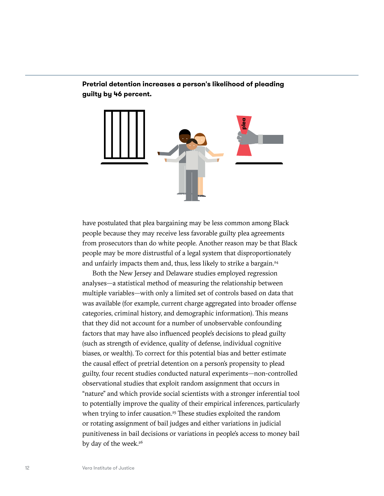**Pretrial detention increases a person's likelihood of pleading guilty by 46 percent.**



have postulated that plea bargaining may be less common among Black people because they may receive less favorable guilty plea agreements from prosecutors than do white people. Another reason may be that Black people may be more distrustful of a legal system that disproportionately and unfairly impacts them and, thus, less likely to strike a bargain.<sup>24</sup>

Both the New Jersey and Delaware studies employed regression analyses—a statistical method of measuring the relationship between multiple variables—with only a limited set of controls based on data that was available (for example, current charge aggregated into broader offense categories, criminal history, and demographic information). This means that they did not account for a number of unobservable confounding factors that may have also influenced people's decisions to plead guilty (such as strength of evidence, quality of defense, individual cognitive biases, or wealth). To correct for this potential bias and better estimate the causal effect of pretrial detention on a person's propensity to plead guilty, four recent studies conducted natural experiments—non-controlled observational studies that exploit random assignment that occurs in "nature" and which provide social scientists with a stronger inferential tool to potentially improve the quality of their empirical inferences, particularly when trying to infer causation.<sup>25</sup> These studies exploited the random or rotating assignment of bail judges and either variations in judicial punitiveness in bail decisions or variations in people's access to money bail by day of the week.<sup>26</sup>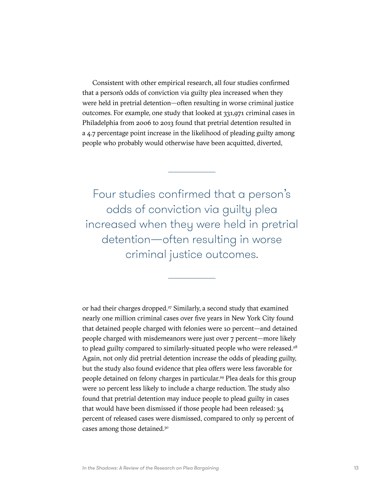Consistent with other empirical research, all four studies confirmed that a person's odds of conviction via guilty plea increased when they were held in pretrial detention—often resulting in worse criminal justice outcomes. For example, one study that looked at 331,971 criminal cases in Philadelphia from 2006 to 2013 found that pretrial detention resulted in a 4.7 percentage point increase in the likelihood of pleading guilty among people who probably would otherwise have been acquitted, diverted,

Four studies confirmed that a person's odds of conviction via guilty plea increased when they were held in pretrial detention—often resulting in worse criminal justice outcomes.

or had their charges dropped.<sup>27</sup> Similarly, a second study that examined nearly one million criminal cases over five years in New York City found that detained people charged with felonies were 10 percent—and detained people charged with misdemeanors were just over 7 percent—more likely to plead guilty compared to similarly-situated people who were released.<sup>[28](#page-63-0)</sup> Again, not only did pretrial detention increase the odds of pleading guilty, but the study also found evidence that plea offers were less favorable for people detained on felony charges in particular.<sup>[29](#page-63-0)</sup> Plea deals for this group were 10 percent less likely to include a charge reduction. The study also found that pretrial detention may induce people to plead guilty in cases that would have been dismissed if those people had been released: 34 percent of released cases were dismissed, compared to only 19 percent of cases among those detained[.30](#page-63-0)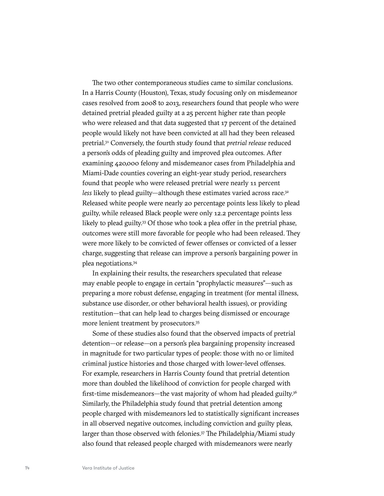The two other contemporaneous studies came to similar conclusions. In a Harris County (Houston), Texas, study focusing only on misdemeanor cases resolved from 2008 to 2013, researchers found that people who were detained pretrial pleaded guilty at a 25 percent higher rate than people who were released and that data suggested that 17 percent of the detained people would likely not have been convicted at all had they been released pretrial.[31](#page-63-0) Conversely, the fourth study found that *pretrial release* reduced a person's odds of pleading guilty and improved plea outcomes. After examining 420,000 felony and misdemeanor cases from Philadelphia and Miami-Dade counties covering an eight-year study period, researchers found that people who were released pretrial were nearly 11 percent less likely to plead guilty—although these estimates varied across race.<sup>32</sup> Released white people were nearly 20 percentage points less likely to plead guilty, while released Black people were only 12.2 percentage points less likely to plead guilty.<sup>33</sup> Of those who took a plea offer in the pretrial phase, outcomes were still more favorable for people who had been released. They were more likely to be convicted of fewer offenses or convicted of a lesser charge, suggesting that release can improve a person's bargaining power in plea negotiations<sup>34</sup>

In explaining their results, the researchers speculated that release may enable people to engage in certain "prophylactic measures"—such as preparing a more robust defense, engaging in treatment (for mental illness, substance use disorder, or other behavioral health issues), or providing restitution—that can help lead to charges being dismissed or encourage more lenient treatment by prosecutors[.35](#page-63-0)

Some of these studies also found that the observed impacts of pretrial detention—or release—on a person's plea bargaining propensity increased in magnitude for two particular types of people: those with no or limited criminal justice histories and those charged with lower-level offenses. For example, researchers in Harris County found that pretrial detention more than doubled the likelihood of conviction for people charged with first-time misdemeanors—the vast majority of whom had pleaded guilty.<sup>36</sup> Similarly, the Philadelphia study found that pretrial detention among people charged with misdemeanors led to statistically significant increases in all observed negative outcomes, including conviction and guilty pleas, larger than those observed with felonies.<sup>37</sup> The Philadelphia/Miami study also found that released people charged with misdemeanors were nearly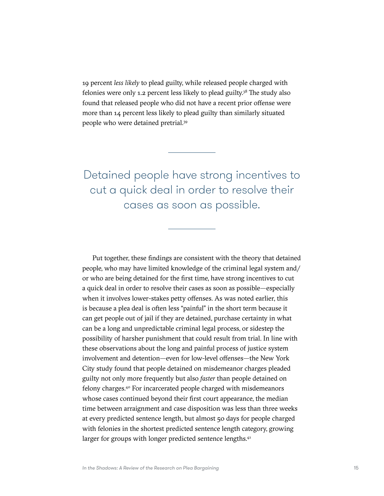19 percent *less likely* to plead guilty, while released people charged with felonies were only 1.2 percent less likely to plead guilty.[38](#page-63-0) The study also found that released people who did not have a recent prior offense were more than 14 percent less likely to plead guilty than similarly situated people who were detained pretrial.[39](#page-63-0)

Detained people have strong incentives to cut a quick deal in order to resolve their cases as soon as possible.

Put together, these findings are consistent with the theory that detained people, who may have limited knowledge of the criminal legal system and/ or who are being detained for the first time, have strong incentives to cut a quick deal in order to resolve their cases as soon as possible—especially when it involves lower-stakes petty offenses. As was noted earlier, this is because a plea deal is often less "painful" in the short term because it can get people out of jail if they are detained, purchase certainty in what can be a long and unpredictable criminal legal process, or sidestep the possibility of harsher punishment that could result from trial. In line with these observations about the long and painful process of justice system involvement and detention—even for low-level offenses—the New York City study found that people detained on misdemeanor charges pleaded guilty not only more frequently but also *faster* than people detained on felony charges[.40](#page-64-0) For incarcerated people charged with misdemeanors whose cases continued beyond their first court appearance, the median time between arraignment and case disposition was less than three weeks at every predicted sentence length, but almost 50 days for people charged with felonies in the shortest predicted sentence length category, growing larger for groups with longer predicted sentence lengths.<sup>41</sup>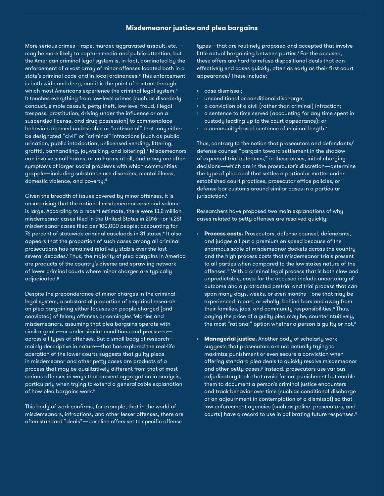#### **Misdemeanor justice and plea bargains**

More serious crimes—rape, murder, aggravated assault, etc. may be more likely to capture media and public attention, but the American criminal legal system is, in fact, dominated by the enforcement of a vast array of minor offenses located both in a state's criminal code and in local ordinances.<sup>a</sup> This enforcement is both wide and deep, and it is the point of contact through which most Americans experience the criminal legal system.<sup>b</sup> It touches everything from low-level crimes (such as disorderly conduct, simple assault, petty theft, low-level fraud, illegal trespass, prostitution, driving under the influence or on a suspended license, and drug possession) to commonplace behaviors deemed undesirable or "anti-social" that may either be designated "civil" or "criminal" infractions (such as public urination, public intoxication, unlicensed vending, littering, graffiti, panhandling, jaywalking, and loitering).° Misdemeanors can involve small harms, or no harms at all, and many are often symptoms of larger social problems with which communities grapple—including substance use disorders, mental illness, domestic violence, and poverty.<sup>d</sup>

Given the breadth of issues covered by minor offenses, it is unsurprising that the national misdemeanor caseload volume is large. According to a recent estimate, there were 13.2 million misdemeanor cases filed in the United States in 2016—or 4,261 misdemeanor cases filed per 100,000 people; accounting for 76 percent of statewide criminal caseloads in 31 states.<sup>e</sup> It also appears that the proportion of such cases among all criminal prosecutions has remained relatively stable over the last several decades.<sup>f</sup> Thus, the majority of plea bargains in America are products of the country's diverse and sprawling network of lower criminal courts where minor charges are typically adjudicated.g

Despite the preponderance of minor charges in the criminal legal system, a substantial proportion of empirical research on plea bargaining either focuses on people charged (and convicted) of felony offenses or comingles felonies and misdemeanors, assuming that plea bargains operate with similar goals—or under similar conditions and pressures across all types of offenses. But a small body of research mainly descriptive in nature—that has explored the real-life operation of the lower courts suggests that guilty pleas in misdemeanor and other petty cases are products of a process that may be qualitatively different from that of most serious offenses in ways that prevent aggregation in analysis, particularly when trying to extend a generalizable explanation of how plea bargains work.<sup>h</sup>

This body of work confirms, for example, that in the world of misdemeanors, infractions, and other lesser offenses, there are often standard "deals"—baseline offers set to specific offense

types—that are routinely proposed and accepted that involve little actual bargaining between parties.<sup>i</sup> For the accused, these offers are hard-to-refuse dispositional deals that can effectively end cases quickly, often as early as their first court appearance.<sup>j</sup> These include:

- › case dismissal;
- › unconditional or conditional discharge;
- a conviction of a civil (rather than criminal) infraction;
- a sentence to time served (accounting for any time spent in custody leading up to the court appearance); or
- $\rightarrow$  a community-based sentence of minimal length. $^k$

Thus, contrary to the notion that prosecutors and defendants/ defense counsel "bargain toward settlement in the shadow of expected trial outcomes," in these cases, initial charging decisions—which are in the prosecutor's discretion—determine the type of plea deal that settles a particular matter under established court practices, prosecutor office policies, or defense bar customs around similar cases in a particular jurisdiction.<sup>1</sup>

Researchers have proposed two main explanations of why cases related to petty offenses are resolved quickly:

- › **Process costs.** Prosecutors, defense counsel, defendants, and judges all put a premium on speed because of the enormous scale of misdemeanor dockets across the country and the high process costs that misdemeanor trials present to all parties when compared to the low-stakes nature of the offenses.m With a criminal legal process that is both slow and unpredictable, costs for the accused include uncertainty of outcome and a protracted pretrial and trial process that can span many days, weeks, or even months—one that may be experienced in part, or wholly, behind bars and away from their families, jobs, and community responsibilities.<sup></sup>' Thus, paying the price of a guilty plea may be, counterintuitively, the most "rational" option whether a person is guilty or not. $\circ$
- › **Managerial justice.** Another body of scholarly work suggests that prosecutors are not actually trying to maximize punishment or even secure a conviction when offering standard plea deals to quickly resolve misdemeanor and other petty cases.<sup>p</sup> Instead, prosecutors use various adjudicatory tools that avoid formal punishment but enable them to document a person's criminal justice encounters and track behavior over time (such as conditional discharge or an adjournment in contemplation of a dismissal) so that law enforcement agencies (such as police, prosecutors, and courts) have a record to use in calibrating future responses.<sup>q</sup>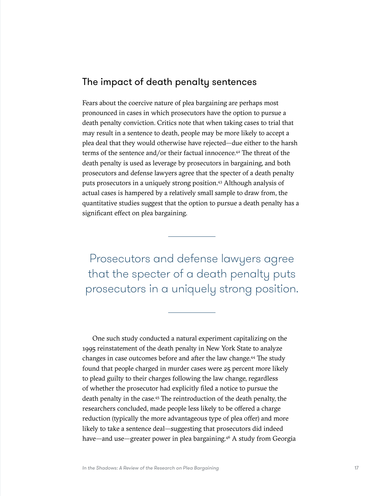### The impact of death penalty sentences

Fears about the coercive nature of plea bargaining are perhaps most pronounced in cases in which prosecutors have the option to pursue a death penalty conviction. Critics note that when taking cases to trial that may result in a sentence to death, people may be more likely to accept a plea deal that they would otherwise have rejected—due either to the harsh terms of the sentence and/or their factual innocence[.42](#page-64-0) The threat of the death penalty is used as leverage by prosecutors in bargaining, and both prosecutors and defense lawyers agree that the specter of a death penalty puts prosecutors in a uniquely strong position.[43](#page-64-0) Although analysis of actual cases is hampered by a relatively small sample to draw from, the quantitative studies suggest that the option to pursue a death penalty has a significant effect on plea bargaining.

Prosecutors and defense lawyers agree that the specter of a death penalty puts prosecutors in a uniquely strong position.

One such study conducted a natural experiment capitalizing on the 1995 reinstatement of the death penalty in New York State to analyze changes in case outcomes before and after the law change.<sup>44</sup> The study found that people charged in murder cases were 25 percent more likely to plead guilty to their charges following the law change, regardless of whether the prosecutor had explicitly filed a notice to pursue the death penalty in the case.[45](#page-64-0) The reintroduction of the death penalty, the researchers concluded, made people less likely to be offered a charge reduction (typically the more advantageous type of plea offer) and more likely to take a sentence deal—suggesting that prosecutors did indeed have—and use—greater power in plea bargaining.<sup>46</sup> A study from Georgia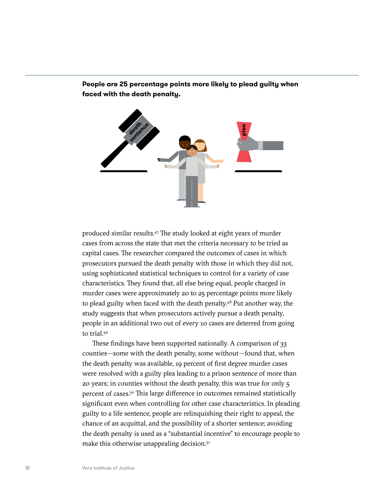

**People are 25 percentage points more likely to plead guilty when faced with the death penalty.**

produced similar results[.47](#page-64-0) The study looked at eight years of murder cases from across the state that met the criteria necessary to be tried as capital cases. The researcher compared the outcomes of cases in which prosecutors pursued the death penalty with those in which they did not, using sophisticated statistical techniques to control for a variety of case characteristics. They found that, all else being equal, people charged in murder cases were approximately 20 to 25 percentage points more likely to plead guilty when faced with the death penalty[.48](#page-64-0) Put another way, the study suggests that when prosecutors actively pursue a death penalty, people in an additional two out of every 10 cases are deterred from going to trial.[49](#page-64-0)

These findings have been supported nationally. A comparison of 33 counties—some with the death penalty, some without—found that, when the death penalty was available, 19 percent of first degree murder cases were resolved with a guilty plea leading to a prison sentence of more than 20 years; in counties without the death penalty, this was true for only 5 percent of cases[.50](#page-64-0) This large difference in outcomes remained statistically significant even when controlling for other case characteristics. In pleading guilty to a life sentence, people are relinquishing their right to appeal, the chance of an acquittal, and the possibility of a shorter sentence; avoiding the death penalty is used as a "substantial incentive" to encourage people to make this otherwise unappealing decision.<sup>51</sup>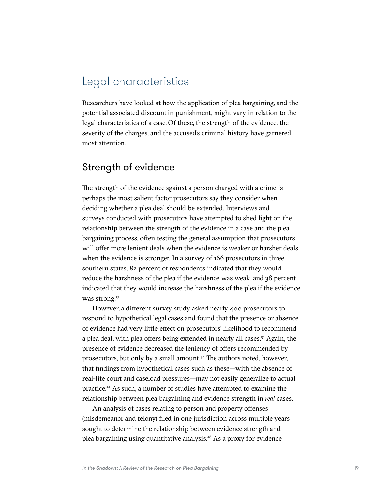# <span id="page-24-0"></span>Legal characteristics

Researchers have looked at how the application of plea bargaining, and the potential associated discount in punishment, might vary in relation to the legal characteristics of a case. Of these, the strength of the evidence, the severity of the charges, and the accused's criminal history have garnered most attention.

## Strength of evidence

The strength of the evidence against a person charged with a crime is perhaps the most salient factor prosecutors say they consider when deciding whether a plea deal should be extended. Interviews and surveys conducted with prosecutors have attempted to shed light on the relationship between the strength of the evidence in a case and the plea bargaining process, often testing the general assumption that prosecutors will offer more lenient deals when the evidence is weaker or harsher deals when the evidence is stronger. In a survey of 166 prosecutors in three southern states, 82 percent of respondents indicated that they would reduce the harshness of the plea if the evidence was weak, and 38 percent indicated that they would increase the harshness of the plea if the evidence was strong.<sup>52</sup>

However, a different survey study asked nearly 400 prosecutors to respond to hypothetical legal cases and found that the presence or absence of evidence had very little effect on prosecutors' likelihood to recommend a plea deal, with plea offers being extended in nearly all cases[.53](#page-64-0) Again, the presence of evidence decreased the leniency of offers recommended by prosecutors, but only by a small amount.<sup>[54](#page-64-0)</sup> The authors noted, however, that findings from hypothetical cases such as these—with the absence of real-life court and caseload pressures—may not easily generalize to actual practice.[55](#page-64-0) As such, a number of studies have attempted to examine the relationship between plea bargaining and evidence strength in *real* cases.

An analysis of cases relating to person and property offenses (misdemeanor and felony) filed in one jurisdiction across multiple years sought to determine the relationship between evidence strength and plea bargaining using quantitative analysis.[56](#page-64-0) As a proxy for evidence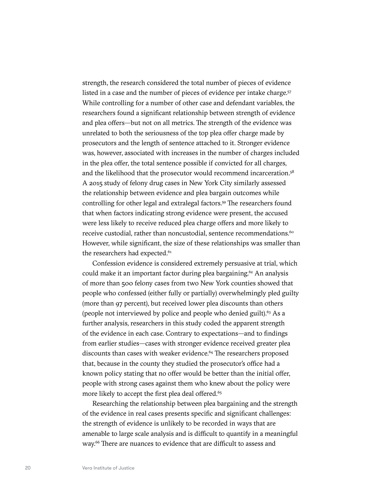strength, the research considered the total number of pieces of evidence listed in a case and the number of pieces of evidence per intake charge.<sup>57</sup> While controlling for a number of other case and defendant variables, the researchers found a significant relationship between strength of evidence and plea offers—but not on all metrics. The strength of the evidence was unrelated to both the seriousness of the top plea offer charge made by prosecutors and the length of sentence attached to it. Stronger evidence was, however, associated with increases in the number of charges included in the plea offer, the total sentence possible if convicted for all charges, and the likelihood that the prosecutor would recommend incarceration.<sup>[58](#page-64-0)</sup> A 2015 study of felony drug cases in New York City similarly assessed the relationship between evidence and plea bargain outcomes while controlling for other legal and extralegal factors.<sup>59</sup> The researchers found that when factors indicating strong evidence were present, the accused were less likely to receive reduced plea charge offers and more likely to receive custodial, rather than noncustodial, sentence recommendations.<sup>60</sup> However, while significant, the size of these relationships was smaller than the researchers had expected.<sup>[61](#page-64-0)</sup>

Confession evidence is considered extremely persuasive at trial, which could make it an important factor during plea bargaining.<sup>[62](#page-64-0)</sup> An analysis of more than 500 felony cases from two New York counties showed that people who confessed (either fully or partially) overwhelmingly pled guilty (more than 97 percent), but received lower plea discounts than others (people not interviewed by police and people who denied guilt).<sup>63</sup> As a further analysis, researchers in this study coded the apparent strength of the evidence in each case. Contrary to expectations—and to findings from earlier studies—cases with stronger evidence received greater plea discounts than cases with weaker evidence.<sup>64</sup> The researchers proposed that, because in the county they studied the prosecutor's office had a known policy stating that no offer would be better than the initial offer, people with strong cases against them who knew about the policy were more likely to accept the first plea deal offered.<sup>65</sup>

Researching the relationship between plea bargaining and the strength of the evidence in real cases presents specific and significant challenges: the strength of evidence is unlikely to be recorded in ways that are amenable to large scale analysis and is difficult to quantify in a meaningful way.<sup>66</sup> There are nuances to evidence that are difficult to assess and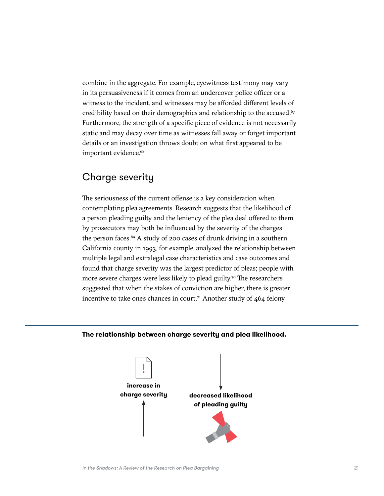combine in the aggregate. For example, eyewitness testimony may vary in its persuasiveness if it comes from an undercover police officer or a witness to the incident, and witnesses may be afforded different levels of credibility based on their demographics and relationship to the accused.<sup>[67](#page-64-0)</sup> Furthermore, the strength of a specific piece of evidence is not necessarily static and may decay over time as witnesses fall away or forget important details or an investigation throws doubt on what first appeared to be important evidence.<sup>[68](#page-64-0)</sup>

## Charge severity

The seriousness of the current offense is a key consideration when contemplating plea agreements. Research suggests that the likelihood of a person pleading guilty and the leniency of the plea deal offered to them by prosecutors may both be influenced by the severity of the charges the person faces. $69$  A study of 200 cases of drunk driving in a southern California county in 1993, for example, analyzed the relationship between multiple legal and extralegal case characteristics and case outcomes and found that charge severity was the largest predictor of pleas; people with more severe charges were less likely to plead guilty.<sup>70</sup> The researchers suggested that when the stakes of conviction are higher, there is greater incentive to take one's chances in court.<sup>71</sup> Another study of  $464$  felony

#### **The relationship between charge severity and plea likelihood.**

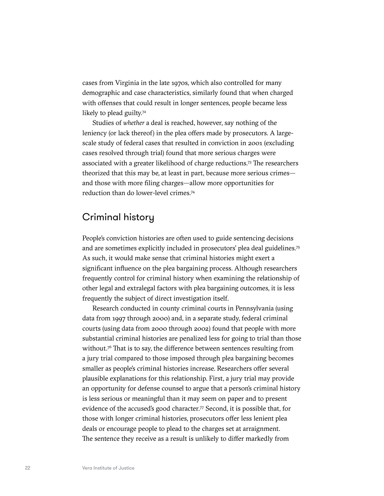cases from Virginia in the late 1970s, which also controlled for many demographic and case characteristics, similarly found that when charged with offenses that could result in longer sentences, people became less likely to plead guilty.<sup>[72](#page-64-0)</sup>

Studies of *whether* a deal is reached, however, say nothing of the leniency (or lack thereof) in the plea offers made by prosecutors. A largescale study of federal cases that resulted in conviction in 2001 (excluding cases resolved through trial) found that more serious charges were associated with a greater likelihood of charge reductions[.73](#page-64-0) The researchers theorized that this may be, at least in part, because more serious crimes and those with more filing charges—allow more opportunities for reduction than do lower-level crimes[.74](#page-65-0)

## Criminal history

People's conviction histories are often used to guide sentencing decisions and are sometimes explicitly included in prosecutors' plea deal guidelines[.75](#page-65-0) As such, it would make sense that criminal histories might exert a significant influence on the plea bargaining process. Although researchers frequently control for criminal history when examining the relationship of other legal and extralegal factors with plea bargaining outcomes, it is less frequently the subject of direct investigation itself.

Research conducted in county criminal courts in Pennsylvania (using data from 1997 through 2000) and, in a separate study, federal criminal courts (using data from 2000 through 2002) found that people with more substantial criminal histories are penalized less for going to trial than those without.<sup>76</sup> That is to say, the difference between sentences resulting from a jury trial compared to those imposed through plea bargaining becomes smaller as people's criminal histories increase. Researchers offer several plausible explanations for this relationship. First, a jury trial may provide an opportunity for defense counsel to argue that a person's criminal history is less serious or meaningful than it may seem on paper and to present evidence of the accused's good character.<sup>[77](#page-65-0)</sup> Second, it is possible that, for those with longer criminal histories, prosecutors offer less lenient plea deals or encourage people to plead to the charges set at arraignment. The sentence they receive as a result is unlikely to differ markedly from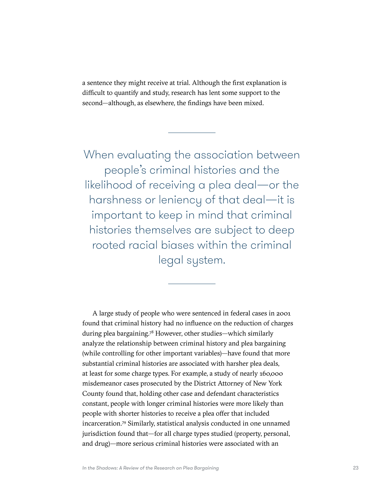a sentence they might receive at trial. Although the first explanation is difficult to quantify and study, research has lent some support to the second—although, as elsewhere, the findings have been mixed.

When evaluating the association between people's criminal histories and the likelihood of receiving a plea deal—or the harshness or leniency of that deal—it is important to keep in mind that criminal histories themselves are subject to deep rooted racial biases within the criminal legal system.

A large study of people who were sentenced in federal cases in 2001 found that criminal history had no influence on the reduction of charges during plea bargaining[.78](#page-65-0) However, other studies—which similarly analyze the relationship between criminal history and plea bargaining (while controlling for other important variables)—have found that more substantial criminal histories are associated with harsher plea deals, at least for some charge types. For example, a study of nearly 160,000 misdemeanor cases prosecuted by the District Attorney of New York County found that, holding other case and defendant characteristics constant, people with longer criminal histories were more likely than people with shorter histories to receive a plea offer that included incarceration.[79](#page-65-0) Similarly, statistical analysis conducted in one unnamed jurisdiction found that—for all charge types studied (property, personal, and drug)—more serious criminal histories were associated with an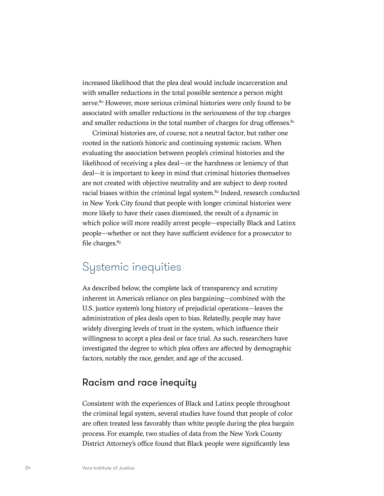<span id="page-29-0"></span>increased likelihood that the plea deal would include incarceration and with smaller reductions in the total possible sentence a person might serve.<sup>[80](#page-65-0)</sup> However, more serious criminal histories were only found to be associated with smaller reductions in the seriousness of the top charges and smaller reductions in the total number of charges for drug offenses.<sup>81</sup>

Criminal histories are, of course, not a neutral factor, but rather one rooted in the nation's historic and continuing systemic racism. When evaluating the association between people's criminal histories and the likelihood of receiving a plea deal—or the harshness or leniency of that deal—it is important to keep in mind that criminal histories themselves are not created with objective neutrality and are subject to deep rooted racial biases within the criminal legal system.<sup>82</sup> Indeed, research conducted in New York City found that people with longer criminal histories were more likely to have their cases dismissed, the result of a dynamic in which police will more readily arrest people—especially Black and Latinx people—whether or not they have sufficient evidence for a prosecutor to file charges.<sup>83</sup>

# Systemic inequities

As described below, the complete lack of transparency and scrutiny inherent in America's reliance on plea bargaining—combined with the U.S. justice system's long history of prejudicial operations—leaves the administration of plea deals open to bias. Relatedly, people may have widely diverging levels of trust in the system, which influence their willingness to accept a plea deal or face trial. As such, researchers have investigated the degree to which plea offers are affected by demographic factors, notably the race, gender, and age of the accused.

## Racism and race inequity

Consistent with the experiences of Black and Latinx people throughout the criminal legal system, several studies have found that people of color are often treated less favorably than white people during the plea bargain process. For example, two studies of data from the New York County District Attorney's office found that Black people were significantly less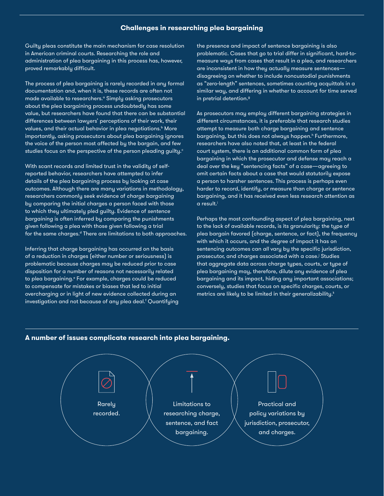#### **Challenges in researching plea bargaining**

Guilty pleas constitute the main mechanism for case resolution in American criminal courts. Researching the role and administration of plea bargaining in this process has, however, proved remarkably difficult.

The process of plea bargaining is rarely recorded in any formal documentation and, when it is, these records are often not made available to researchers.<sup>a</sup> Simply asking prosecutors about the plea bargaining process undoubtedly has some value, but researchers have found that there can be substantial differences between lawyers' perceptions of their work, their values, and their actual behavior in plea negotiations.<sup>b</sup> More importantly, asking prosecutors about plea bargaining ignores the voice of the person most affected by the bargain, and few studies focus on the perspective of the person pleading guilty.<sup>c</sup>

With scant records and limited trust in the validity of selfreported behavior, researchers have attempted to infer details of the plea bargaining process by looking at case outcomes. Although there are many variations in methodology, researchers commonly seek evidence of *charge bargaining* by comparing the initial charges a person faced with those to which they ultimately pled guilty. Evidence of *sentence bargaining* is often inferred by comparing the punishments given following a plea with those given following a trial for the same charges.<sup>d</sup> There are limitations to both approaches.

Inferring that charge bargaining has occurred on the basis of a reduction in charges (either number or seriousness) is problematic because charges may be reduced prior to case disposition for a number of reasons not necessarily related to plea bargaining.<sup>e</sup> For example, charges could be reduced to compensate for mistakes or biases that led to initial overcharging or in light of new evidence collected during an investigation and not because of any plea deal.<sup>f</sup> Quantifying the presence and impact of sentence bargaining is also problematic. Cases that go to trial differ in significant, hard-tomeasure ways from cases that result in a plea, and researchers are inconsistent in how they actually measure sentences disagreeing on whether to include noncustodial punishments as "zero-length" sentences, sometimes counting acquittals in a similar way, and differing in whether to account for time served in pretrial detention.<sup>9</sup>

As prosecutors may employ different bargaining strategies in different circumstances, it is preferable that research studies attempt to measure both charge bargaining and sentence bargaining, but this does not always happen.<sup>h</sup> Furthermore, researchers have also noted that, at least in the federal court system, there is an additional common form of plea bargaining in which the prosecutor and defense may reach a deal over the key "sentencing facts" of a case—agreeing to omit certain facts about a case that would statutorily expose a person to harsher sentences. This process is perhaps even harder to record, identify, or measure than charge or sentence bargaining, and it has received even less research attention as a result.<sup>i</sup>

Perhaps the most confounding aspect of plea bargaining, next to the lack of available records, is its granularity: the type of plea bargain favored (charge, sentence, or fact), the frequency with which it occurs, and the degree of impact it has on sentencing outcomes can *all* vary by the specific jurisdiction, prosecutor, and charges associated with a case.<sup>j</sup> Studies that aggregate data across charge types, courts, or type of plea bargaining may, therefore, dilute any evidence of plea bargaining and its impact, hiding any important associations; conversely, studies that focus on specific charges, courts, or metrics are likely to be limited in their generalizability. $k$ 



#### **A number of issues complicate research into plea bargaining.**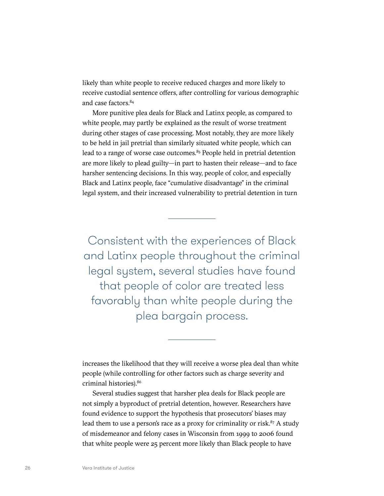likely than white people to receive reduced charges and more likely to receive custodial sentence offers, after controlling for various demographic and case factors.[84](#page-65-0)

More punitive plea deals for Black and Latinx people, as compared to white people, may partly be explained as the result of worse treatment during other stages of case processing. Most notably, they are more likely to be held in jail pretrial than similarly situated white people, which can lead to a range of worse case outcomes.<sup>85</sup> People held in pretrial detention are more likely to plead guilty—in part to hasten their release—and to face harsher sentencing decisions. In this way, people of color, and especially Black and Latinx people, face "cumulative disadvantage" in the criminal legal system, and their increased vulnerability to pretrial detention in turn

Consistent with the experiences of Black and Latinx people throughout the criminal legal system, several studies have found that people of color are treated less favorably than white people during the plea bargain process.

increases the likelihood that they will receive a worse plea deal than white people (while controlling for other factors such as charge severity and criminal histories)[.86](#page-65-0)

Several studies suggest that harsher plea deals for Black people are not simply a byproduct of pretrial detention, however. Researchers have found evidence to support the hypothesis that prosecutors' biases may lead them to use a person's race as a proxy for criminality or risk. $87$  A study of misdemeanor and felony cases in Wisconsin from 1999 to 2006 found that white people were 25 percent more likely than Black people to have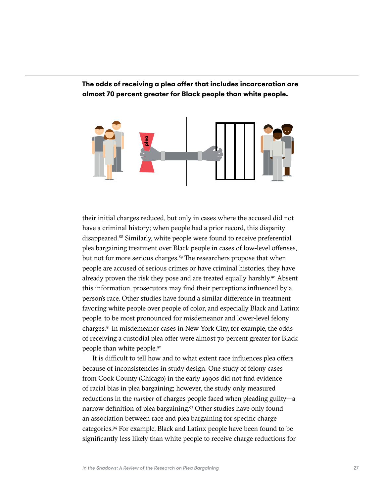**The odds of receiving a plea offer that includes incarceration are almost 70 percent greater for Black people than white people.**



their initial charges reduced, but only in cases where the accused did not have a criminal history; when people had a prior record, this disparity disappeared.[88](#page-65-0) Similarly, white people were found to receive preferential plea bargaining treatment over Black people in cases of low-level offenses, but not for more serious charges.<sup>89</sup> The researchers propose that when people are accused of serious crimes or have criminal histories, they have already proven the risk they pose and are treated equally harshly.<sup>90</sup> Absent this information, prosecutors may find their perceptions influenced by a person's race. Other studies have found a similar difference in treatment favoring white people over people of color, and especially Black and Latinx people, to be most pronounced for misdemeanor and lower-level felony charges.[91](#page-65-0) In misdemeanor cases in New York City, for example, the odds of receiving a custodial plea offer were almost 70 percent greater for Black people than white people[.92](#page-65-0)

It is difficult to tell how and to what extent race influences plea offers because of inconsistencies in study design. One study of felony cases from Cook County (Chicago) in the early 1990s did not find evidence of racial bias in plea bargaining; however, the study only measured reductions in the *number* of charges people faced when pleading guilty—a narrow definition of plea bargaining.[93](#page-65-0) Other studies have only found an association between race and plea bargaining for specific charge categories.[94](#page-65-0) For example, Black and Latinx people have been found to be significantly less likely than white people to receive charge reductions for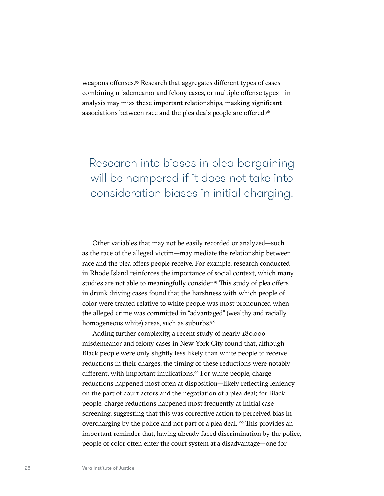weapons offenses.[95](#page-65-0) Research that aggregates different types of cases combining misdemeanor and felony cases, or multiple offense types—in analysis may miss these important relationships, masking significant associations between race and the plea deals people are offered[.96](#page-65-0)

Research into biases in plea bargaining will be hampered if it does not take into consideration biases in initial charging.

Other variables that may not be easily recorded or analyzed—such as the race of the alleged victim—may mediate the relationship between race and the plea offers people receive. For example, research conducted in Rhode Island reinforces the importance of social context, which many studies are not able to meaningfully consider.<sup>[97](#page-65-0)</sup> This study of plea offers in drunk driving cases found that the harshness with which people of color were treated relative to white people was most pronounced when the alleged crime was committed in "advantaged" (wealthy and racially homogeneous white) areas, such as suburbs.<sup>98</sup>

Adding further complexity, a recent study of nearly 180,000 misdemeanor and felony cases in New York City found that, although Black people were only slightly less likely than white people to receive reductions in their charges, the timing of these reductions were notably different, with important implications.<sup>99</sup> For white people, charge reductions happened most often at disposition—likely reflecting leniency on the part of court actors and the negotiation of a plea deal; for Black people, charge reductions happened most frequently at initial case screening, suggesting that this was corrective action to perceived bias in overcharging by the police and not part of a plea deal[.100](#page-65-0) This provides an important reminder that, having already faced discrimination by the police, people of color often enter the court system at a disadvantage—one for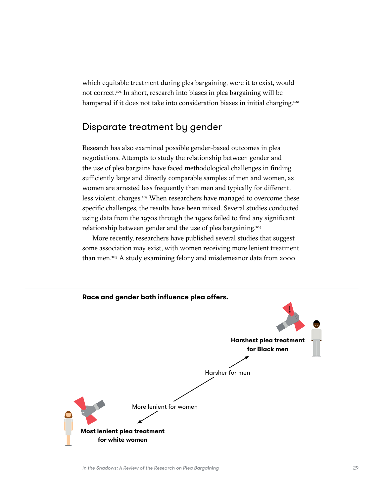which equitable treatment during plea bargaining, were it to exist, would not correct.[101](#page-65-0) In short, research into biases in plea bargaining will be hampered if it does not take into consideration biases in initial charging.<sup>102</sup>

## Disparate treatment by gender

Research has also examined possible gender-based outcomes in plea negotiations. Attempts to study the relationship between gender and the use of plea bargains have faced methodological challenges in finding sufficiently large and directly comparable samples of men and women, as women are arrested less frequently than men and typically for different, less violent, charges.<sup>103</sup> When researchers have managed to overcome these specific challenges, the results have been mixed. Several studies conducted using data from the 1970s through the 1990s failed to find any significant relationship between gender and the use of plea bargaining[.104](#page-66-0)

More recently, researchers have published several studies that suggest some association may exist, with women receiving more lenient treatment than men.[105](#page-66-0) A study examining felony and misdemeanor data from 2000

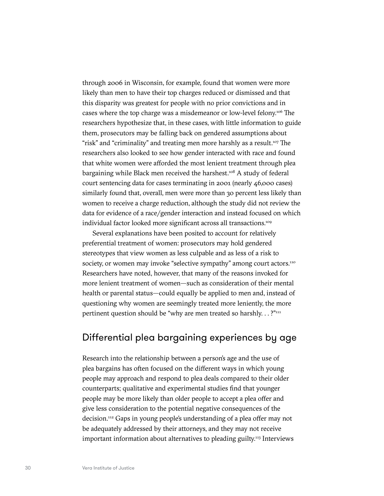through 2006 in Wisconsin, for example, found that women were more likely than men to have their top charges reduced or dismissed and that this disparity was greatest for people with no prior convictions and in cases where the top charge was a misdemeanor or low-level felony.[106](#page-66-0) The researchers hypothesize that, in these cases, with little information to guide them, prosecutors may be falling back on gendered assumptions about "risk" and "criminality" and treating men more harshly as a result.<sup>[107](#page-66-0)</sup> The researchers also looked to see how gender interacted with race and found that white women were afforded the most lenient treatment through plea bargaining while Black men received the harshest.<sup>108</sup> A study of federal court sentencing data for cases terminating in 2001 (nearly 46,000 cases) similarly found that, overall, men were more than 30 percent less likely than women to receive a charge reduction, although the study did not review the data for evidence of a race/gender interaction and instead focused on which individual factor looked more significant across all transactions.<sup>[109](#page-66-0)</sup>

Several explanations have been posited to account for relatively preferential treatment of women: prosecutors may hold gendered stereotypes that view women as less culpable and as less of a risk to society, or women may invoke "selective sympathy" among court actors.<sup>110</sup> Researchers have noted, however, that many of the reasons invoked for more lenient treatment of women—such as consideration of their mental health or parental status—could equally be applied to men and, instead of questioning why women are seemingly treated more leniently, the more pertinent question should be "why are men treated so harshly...?"<sup>[111](#page-66-0)</sup>

## Differential plea bargaining experiences by age

Research into the relationship between a person's age and the use of plea bargains has often focused on the different ways in which young people may approach and respond to plea deals compared to their older counterparts; qualitative and experimental studies find that younger people may be more likely than older people to accept a plea offer and give less consideration to the potential negative consequences of the decision[.112](#page-66-0) Gaps in young people's understanding of a plea offer may not be adequately addressed by their attorneys, and they may not receive important information about alternatives to pleading guilty.<sup>113</sup> Interviews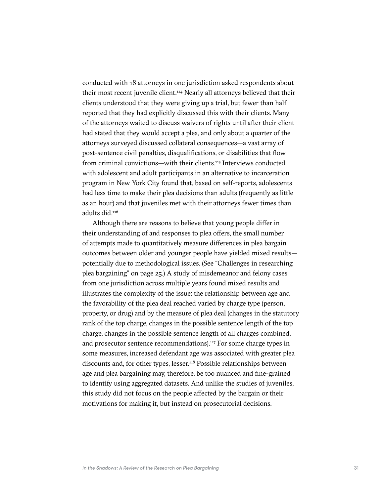conducted with 18 attorneys in one jurisdiction asked respondents about their most recent juvenile client.<sup>[114](#page-66-0)</sup> Nearly all attorneys believed that their clients understood that they were giving up a trial, but fewer than half reported that they had explicitly discussed this with their clients. Many of the attorneys waited to discuss waivers of rights until after their client had stated that they would accept a plea, and only about a quarter of the attorneys surveyed discussed collateral consequences—a vast array of post-sentence civil penalties, disqualifications, or disabilities that flow from criminal convictions—with their clients[.115](#page-66-0) Interviews conducted with adolescent and adult participants in an alternative to incarceration program in New York City found that, based on self-reports, adolescents had less time to make their plea decisions than adults (frequently as little as an hour) and that juveniles met with their attorneys fewer times than adults did.[116](#page-66-0)

Although there are reasons to believe that young people differ in their understanding of and responses to plea offers, the small number of attempts made to quantitatively measure differences in plea bargain outcomes between older and younger people have yielded mixed results potentially due to methodological issues. (See "Challenges in researching plea bargaining" on page 25.) A study of misdemeanor and felony cases from one jurisdiction across multiple years found mixed results and illustrates the complexity of the issue: the relationship between age and the favorability of the plea deal reached varied by charge type (person, property, or drug) and by the measure of plea deal (changes in the statutory rank of the top charge, changes in the possible sentence length of the top charge, changes in the possible sentence length of all charges combined, and prosecutor sentence recommendations).<sup>117</sup> For some charge types in some measures, increased defendant age was associated with greater plea discounts and, for other types, lesser.<sup>[118](#page-66-0)</sup> Possible relationships between age and plea bargaining may, therefore, be too nuanced and fine-grained to identify using aggregated datasets. And unlike the studies of juveniles, this study did not focus on the people affected by the bargain or their motivations for making it, but instead on prosecutorial decisions.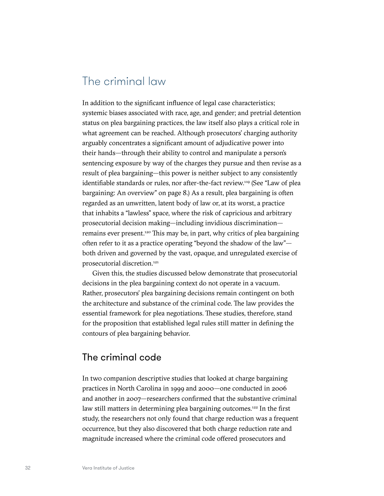# The criminal law

In addition to the significant influence of legal case characteristics; systemic biases associated with race, age, and gender; and pretrial detention status on plea bargaining practices, the law itself also plays a critical role in what agreement can be reached. Although prosecutors' charging authority arguably concentrates a significant amount of adjudicative power into their hands—through their ability to control and manipulate a person's sentencing exposure by way of the charges they pursue and then revise as a result of plea bargaining—this power is neither subject to any consistently identifiable standards or rules, nor after-the-fact review.[119](#page-66-0) (See "Law of plea bargaining: An overview" on page 8.) As a result, plea bargaining is often regarded as an unwritten, latent body of law or, at its worst, a practice that inhabits a "lawless" space, where the risk of capricious and arbitrary prosecutorial decision making—including invidious discrimination— remains ever present.<sup>[120](#page-66-0)</sup> This may be, in part, why critics of plea bargaining often refer to it as a practice operating "beyond the shadow of the law" both driven and governed by the vast, opaque, and unregulated exercise of prosecutorial discretion.<sup>121</sup>

Given this, the studies discussed below demonstrate that prosecutorial decisions in the plea bargaining context do not operate in a vacuum. Rather, prosecutors' plea bargaining decisions remain contingent on both the architecture and substance of the criminal code. The law provides the essential framework for plea negotiations. These studies, therefore, stand for the proposition that established legal rules still matter in defining the contours of plea bargaining behavior.

## The criminal code

In two companion descriptive studies that looked at charge bargaining practices in North Carolina in 1999 and 2000—one conducted in 2006 and another in 2007—researchers confirmed that the substantive criminal law still matters in determining plea bargaining outcomes.<sup>[122](#page-67-0)</sup> In the first study, the researchers not only found that charge reduction was a frequent occurrence, but they also discovered that both charge reduction rate and magnitude increased where the criminal code offered prosecutors and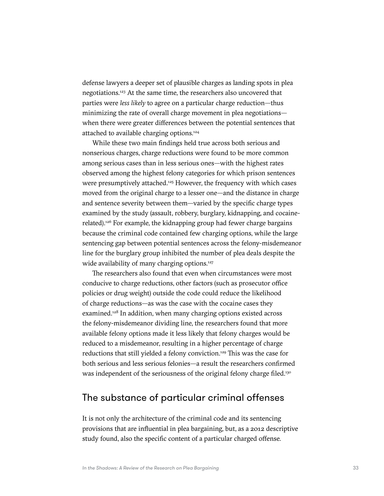defense lawyers a deeper set of plausible charges as landing spots in plea negotiations.[123](#page-67-0) At the same time, the researchers also uncovered that parties were *less likely* to agree on a particular charge reduction—thus minimizing the rate of overall charge movement in plea negotiations when there were greater differences between the potential sentences that attached to available charging options[.124](#page-67-0)

While these two main findings held true across both serious and nonserious charges, charge reductions were found to be more common among serious cases than in less serious ones—with the highest rates observed among the highest felony categories for which prison sentences were presumptively attached.<sup>125</sup> However, the frequency with which cases moved from the original charge to a lesser one—and the distance in charge and sentence severity between them—varied by the specific charge types examined by the study (assault, robbery, burglary, kidnapping, and cocainerelated).[126](#page-67-0) For example, the kidnapping group had fewer charge bargains because the criminal code contained few charging options, while the large sentencing gap between potential sentences across the felony-misdemeanor line for the burglary group inhibited the number of plea deals despite the wide availability of many charging options.<sup>127</sup>

The researchers also found that even when circumstances were most conducive to charge reductions, other factors (such as prosecutor office policies or drug weight) outside the code could reduce the likelihood of charge reductions—as was the case with the cocaine cases they examined.<sup>128</sup> In addition, when many charging options existed across the felony-misdemeanor dividing line, the researchers found that more available felony options made it less likely that felony charges would be reduced to a misdemeanor, resulting in a higher percentage of charge reductions that still yielded a felony conviction.<sup>129</sup> This was the case for both serious and less serious felonies—a result the researchers confirmed was independent of the seriousness of the original felony charge filed.<sup>130</sup>

## The substance of particular criminal offenses

It is not only the architecture of the criminal code and its sentencing provisions that are influential in plea bargaining, but, as a 2012 descriptive study found, also the specific content of a particular charged offense.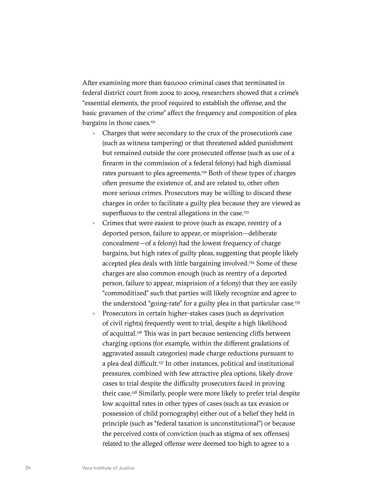After examining more than 620,000 criminal cases that terminated in federal district court from 2002 to 2009, researchers showed that a crime's "essential elements, the proof required to establish the offense, and the basic gravamen of the crime" affect the frequency and composition of plea bargains in those cases.<sup>[131](#page-67-0)</sup>

- › Charges that were secondary to the crux of the prosecution's case (such as witness tampering) or that threatened added punishment but remained outside the core prosecuted offense (such as use of a firearm in the commission of a federal felony) had high dismissal rates pursuant to plea agreements.<sup>132</sup> Both of these types of charges often presume the existence of, and are related to, other often more serious crimes. Prosecutors may be willing to discard these charges in order to facilitate a guilty plea because they are viewed as superfluous to the central allegations in the case.<sup>133</sup>
- Crimes that were easiest to prove (such as escape, reentry of a deported person, failure to appear, or misprision—deliberate concealment—of a felony) had the lowest frequency of charge bargains, but high rates of guilty pleas, suggesting that people likely accepted plea deals with little bargaining involved.<sup>134</sup> Some of these charges are also common enough (such as reentry of a deported person, failure to appear, misprision of a felony) that they are easily "commoditized" such that parties will likely recognize and agree to the understood "going-rate" for a guilty plea in that particular case.[135](#page-67-0)
- › Prosecutors in certain higher-stakes cases (such as deprivation of civil rights) frequently went to trial, despite a high likelihood of acquittal.<sup>136</sup> This was in part because sentencing cliffs between charging options (for example, within the different gradations of aggravated assault categories) made charge reductions pursuant to a plea deal difficult.<sup>[137](#page-67-0)</sup> In other instances, political and institutional pressures, combined with few attractive plea options, likely drove cases to trial despite the difficulty prosecutors faced in proving their case.[138](#page-67-0) Similarly, people were more likely to prefer trial despite low acquittal rates in other types of cases (such as tax evasion or possession of child pornography) either out of a belief they held in principle (such as "federal taxation is unconstitutional") or because the perceived costs of conviction (such as stigma of sex offenses) related to the alleged offense were deemed too high to agree to a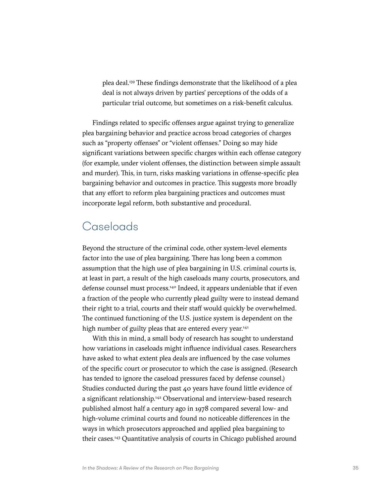plea deal[.139](#page-67-0) These findings demonstrate that the likelihood of a plea deal is not always driven by parties' perceptions of the odds of a particular trial outcome, but sometimes on a risk-benefit calculus.

Findings related to specific offenses argue against trying to generalize plea bargaining behavior and practice across broad categories of charges such as "property offenses" or "violent offenses." Doing so may hide significant variations between specific charges within each offense category (for example, under violent offenses, the distinction between simple assault and murder). This, in turn, risks masking variations in offense-specific plea bargaining behavior and outcomes in practice. This suggests more broadly that any effort to reform plea bargaining practices and outcomes must incorporate legal reform, both substantive and procedural.

# Caseloads

Beyond the structure of the criminal code, other system-level elements factor into the use of plea bargaining. There has long been a common assumption that the high use of plea bargaining in U.S. criminal courts is, at least in part, a result of the high caseloads many courts, prosecutors, and defense counsel must process.[140](#page-67-0) Indeed, it appears undeniable that if even a fraction of the people who currently plead guilty were to instead demand their right to a trial, courts and their staff would quickly be overwhelmed. The continued functioning of the U.S. justice system is dependent on the high number of guilty pleas that are entered every year.<sup>141</sup>

With this in mind, a small body of research has sought to understand how variations in caseloads might influence individual cases. Researchers have asked to what extent plea deals are influenced by the case volumes of the specific court or prosecutor to which the case is assigned. (Research has tended to ignore the caseload pressures faced by defense counsel.) Studies conducted during the past 40 years have found little evidence of a significant relationship.<sup>[142](#page-67-0)</sup> Observational and interview-based research published almost half a century ago in 1978 compared several low- and high-volume criminal courts and found no noticeable differences in the ways in which prosecutors approached and applied plea bargaining to their cases[.143](#page-67-0) Quantitative analysis of courts in Chicago published around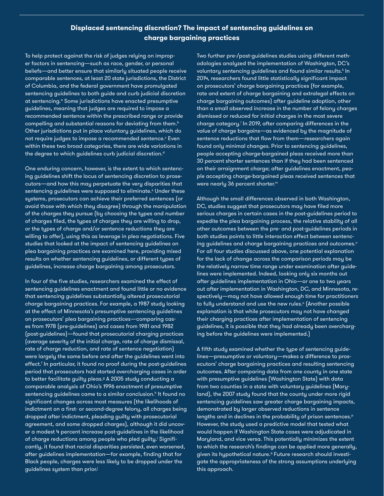### **Displaced sentencing discretion? The impact of sentencing guidelines on charge bargaining practices**

To help protect against the risk of judges relying on improper factors in sentencing—such as race, gender, or personal beliefs—and better ensure that similarly situated people receive comparable sentences, at least 20 state jurisdictions, the District of Columbia, and the federal government have promulgated sentencing guidelines to both guide and curb judicial discretion at sentencing.<sup>ª</sup> Some jurisdictions have enacted presumptive guidelines, meaning that judges are required to impose a recommended sentence within the prescribed range or provide compelling and substantial reasons for deviating from them.<sup>b</sup> Other jurisdictions put in place voluntary guidelines, which do not require judges to impose a recommended sentence.° Even within these two broad categories, there are wide variations in the degree to which guidelines curb judicial discretion.<sup>d</sup>

One enduring concern, however, is the extent to which sentencing guidelines shift the locus of sentencing discretion to prosecutors—and how this may perpetuate the very disparities that sentencing guidelines were supposed to eliminate.<sup>e</sup> Under these systems, prosecutors can achieve their preferred sentences (or avoid those with which they disagree) through the manipulation of the charges they pursue (by choosing the types and number of charges filed, the types of charges they are willing to drop, or the types of charge and/or sentence reductions they are willing to offer), using this as leverage in plea negotiations. Five studies that looked at the impact of sentencing guidelines on plea bargaining practices are examined here, providing mixed results on whether sentencing guidelines, or different types of guidelines, increase charge bargaining among prosecutors.

guidelines system than prior.<sup>j</sup> In four of the five studies, researchers examined the effect of sentencing guidelines enactment and found little or no evidence that sentencing guidelines substantially altered prosecutorial charge bargaining practices. For example, a 1987 study looking at the effect of Minnesota's presumptive sentencing guidelines on prosecutors' plea bargaining practices—comparing cases from 1978 (pre-guidelines) and cases from 1981 and 1982 (post-guidelines)—found that prosecutorial charging practices (average severity of the initial charge, rate of charge dismissal, rate of charge reduction, and rate of sentence negotiation) were largely the same before and after the guidelines went into effect.<sup>f</sup> In particular, it found no proof during the post-guidelines period that prosecutors had started overcharging cases in order to better facilitate guilty pleas.<sup>9</sup> A 2005 study conducting a comparable analysis of Ohio's 1996 enactment of presumptive sentencing guidelines came to a similar conclusion.<sup>h</sup> It found no significant changes across most measures (the likelihoods of indictment on a first- or second-degree felony, all charges being dropped after indictment, pleading guilty with prosecutorial agreement, and some dropped charges), although it did uncover a modest 4 percent increase post-guidelines in the likelihood of charge reductions among people who pled guilty.<sup>:</sup> Significantly, it found that racial disparities persisted, even worsened, after guidelines implementation—for example, finding that for Black people, charges were less likely to be dropped under the

Two further pre-/post-guidelines studies using different methodologies analyzed the implementation of Washington, DC's voluntary sentencing guidelines and found similar results. $^\mathsf{k}$  In 2014, researchers found little statistically significant impact on prosecutors' charge bargaining practices (for example, rate and extent of charge bargaining and extralegal effects on charge bargaining outcomes) after guideline adoption, other than a small observed increase in the number of felony charges dismissed or reduced for initial charges in the most severe charge category.' In 2019, after comparing differences in the *value* of charge bargains—as evidenced by the magnitude of sentence reductions that flow from them—researchers again found only minimal changes. Prior to sentencing guidelines, people accepting charge-bargained pleas received more than 30 percent shorter sentences than if they had been sentenced on their arraignment charge; after guidelines enactment, people accepting charge-bargained pleas received sentences that were nearly 36 percent shorter.<sup>m</sup>

Although the small differences observed in both Washington, DC, studies suggest that prosecutors may have filed more serious charges in certain cases in the post-guidelines period to expedite the plea bargaining process, the relative stability of all other outcomes between the pre- and post-guidelines periods in both studies points to little interaction effect between sentencing guidelines and charge bargaining practices and outcomes.<sup>n</sup> For all four studies discussed above, one potential explanation for the lack of change across the comparison periods may be the relatively narrow time range under examination after guidelines were implemented. Indeed, looking only six months out after guidelines implementation in Ohio—or one to two years out after implementation in Washington, DC, and Minnesota, respectively—may not have allowed enough time for practitioners to fully understand and use the new rules.° (Another possible explanation is that while prosecutors may not have changed their charging practices after implementation of sentencing guidelines, it is possible that they had already been overcharging before the guidelines were implemented.)

A fifth study examined whether the *type* of sentencing guidelines—presumptive or voluntary—makes a difference to prosecutors' charge bargaining practices and resulting sentencing outcomes. After comparing data from one county in one state with presumptive guidelines (Washington State) with data from two counties in a state with voluntary guidelines (Maryland), the 2007 study found that the county under more rigid sentencing guidelines saw greater charge bargaining impacts, demonstrated by larger observed reductions in sentence lengths and in declines in the probability of prison sentences.<sup>p</sup> However, the study used a predictive model that tested what would happen if Washington State cases were adjudicated in Maryland, and vice versa. This potentially minimizes the extent to which the research's findings can be applied more generally, given its hypothetical nature.<sup>q</sup> Future research should investigate the appropriateness of the strong assumptions underlying this approach.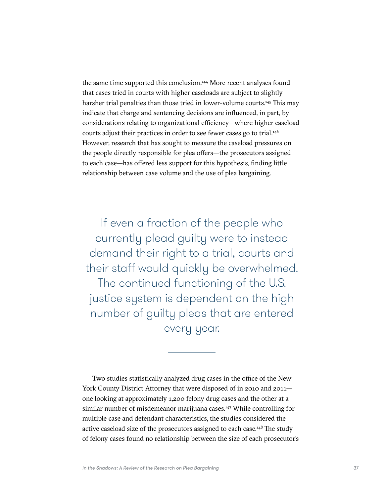the same time supported this conclusion.<sup>144</sup> More recent analyses found that cases tried in courts with higher caseloads are subject to slightly harsher trial penalties than those tried in lower-volume courts.<sup>145</sup> This may indicate that charge and sentencing decisions are influenced, in part, by considerations relating to organizational efficiency—where higher caseload courts adjust their practices in order to see fewer cases go to trial.<sup>[146](#page-67-0)</sup> However, research that has sought to measure the caseload pressures on the people directly responsible for plea offers—the prosecutors assigned to each case—has offered less support for this hypothesis, finding little relationship between case volume and the use of plea bargaining.

If even a fraction of the people who currently plead guilty were to instead demand their right to a trial, courts and their staff would quickly be overwhelmed. The continued functioning of the U.S. justice system is dependent on the high number of guilty pleas that are entered

every year.

Two studies statistically analyzed drug cases in the office of the New York County District Attorney that were disposed of in 2010 and 2011 one looking at approximately 1,200 felony drug cases and the other at a similar number of misdemeanor marijuana cases.<sup>147</sup> While controlling for multiple case and defendant characteristics, the studies considered the active caseload size of the prosecutors assigned to each case.<sup>148</sup> The study of felony cases found no relationship between the size of each prosecutor's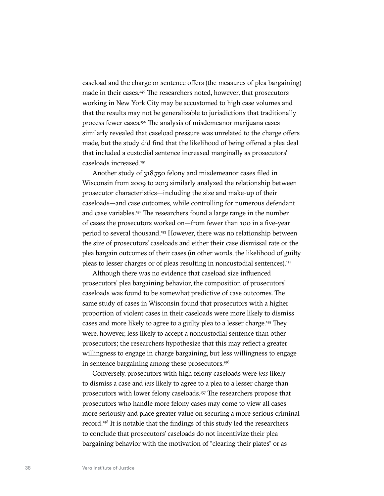caseload and the charge or sentence offers (the measures of plea bargaining) made in their cases[.149](#page-67-0) The researchers noted, however, that prosecutors working in New York City may be accustomed to high case volumes and that the results may not be generalizable to jurisdictions that traditionally process fewer cases.<sup>150</sup> The analysis of misdemeanor marijuana cases similarly revealed that caseload pressure was unrelated to the charge offers made, but the study did find that the likelihood of being offered a plea deal that included a custodial sentence increased marginally as prosecutors' caseloads increased.[151](#page-67-0)

Another study of 318,750 felony and misdemeanor cases filed in Wisconsin from 2009 to 2013 similarly analyzed the relationship between prosecutor characteristics—including the size and make-up of their caseloads—and case outcomes, while controlling for numerous defendant and case variables.<sup>152</sup> The researchers found a large range in the number of cases the prosecutors worked on—from fewer than 100 in a five-year period to several thousand[.153](#page-67-0) However, there was no relationship between the size of prosecutors' caseloads and either their case dismissal rate or the plea bargain outcomes of their cases (in other words, the likelihood of guilty pleas to lesser charges or of pleas resulting in noncustodial sentences).<sup>154</sup>

Although there was no evidence that caseload size influenced prosecutors' plea bargaining behavior, the composition of prosecutors' caseloads was found to be somewhat predictive of case outcomes. The same study of cases in Wisconsin found that prosecutors with a higher proportion of violent cases in their caseloads were more likely to dismiss cases and more likely to agree to a guilty plea to a lesser charge[.155](#page-67-0) They were, however, less likely to accept a noncustodial sentence than other prosecutors; the researchers hypothesize that this may reflect a greater willingness to engage in charge bargaining, but less willingness to engage in sentence bargaining among these prosecutors.<sup>[156](#page-67-0)</sup>

Conversely, prosecutors with high felony caseloads were *less* likely to dismiss a case and *less* likely to agree to a plea to a lesser charge than prosecutors with lower felony caseloads[.157](#page-67-0) The researchers propose that prosecutors who handle more felony cases may come to view all cases more seriously and place greater value on securing a more serious criminal record.[158](#page-68-0) It is notable that the findings of this study led the researchers to conclude that prosecutors' caseloads do not incentivize their plea bargaining behavior with the motivation of "clearing their plates" or as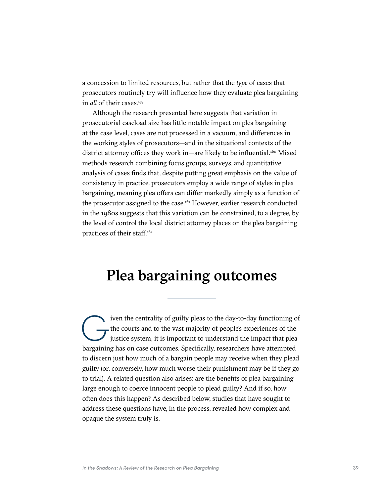a concession to limited resources, but rather that the *type* of cases that prosecutors routinely try will influence how they evaluate plea bargaining in *all* of their cases.<sup>159</sup>

Although the research presented here suggests that variation in prosecutorial caseload size has little notable impact on plea bargaining at the case level, cases are not processed in a vacuum, and differences in the working styles of prosecutors—and in the situational contexts of the district attorney offices they work in—are likely to be influential.<sup>160</sup> Mixed methods research combining focus groups, surveys, and quantitative analysis of cases finds that, despite putting great emphasis on the value of consistency in practice, prosecutors employ a wide range of styles in plea bargaining, meaning plea offers can differ markedly simply as a function of the prosecutor assigned to the case.<sup>[161](#page-68-0)</sup> However, earlier research conducted in the 1980s suggests that this variation can be constrained, to a degree, by the level of control the local district attorney places on the plea bargaining practices of their staff.<sup>162</sup>

# Plea bargaining outcomes

The courts and to the vast majority of people's experiences of the justice system, it is important to understand the impact that plear hargaining has on case outcomes. Specifically researchers have attempted the courts and to the vast majority of people's experiences of the justice system, it is important to understand the impact that plea bargaining has on case outcomes. Specifically, researchers have attempted to discern just how much of a bargain people may receive when they plead guilty (or, conversely, how much worse their punishment may be if they go to trial). A related question also arises: are the benefits of plea bargaining large enough to coerce innocent people to plead guilty? And if so, how often does this happen? As described below, studies that have sought to address these questions have, in the process, revealed how complex and opaque the system truly is.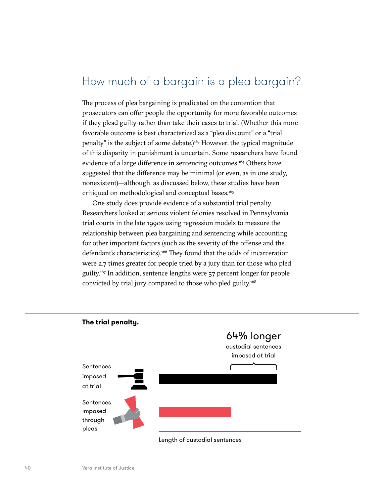# How much of a bargain is a plea bargain?

The process of plea bargaining is predicated on the contention that prosecutors can offer people the opportunity for more favorable outcomes if they plead guilty rather than take their cases to trial. (Whether this more favorable outcome is best characterized as a "plea discount" or a "trial penalty" is the subject of some debate.) $163$  However, the typical magnitude of this disparity in punishment is uncertain. Some researchers have found evidence of a large difference in sentencing outcomes.<sup>164</sup> Others have suggested that the difference may be minimal (or even, as in one study, nonexistent)—although, as discussed below, these studies have been critiqued on methodological and conceptual bases.<sup>165</sup>

One study does provide evidence of a substantial trial penalty. Researchers looked at serious violent felonies resolved in Pennsylvania trial courts in the late 1990s using regression models to measure the relationship between plea bargaining and sentencing while accounting for other important factors (such as the severity of the offense and the defendant's characteristics).<sup>166</sup> They found that the odds of incarceration were 2.7 times greater for people tried by a jury than for those who pled guilty.[167](#page-68-0) In addition, sentence lengths were 57 percent longer for people convicted by trial jury compared to those who pled guilty[.168](#page-68-0)

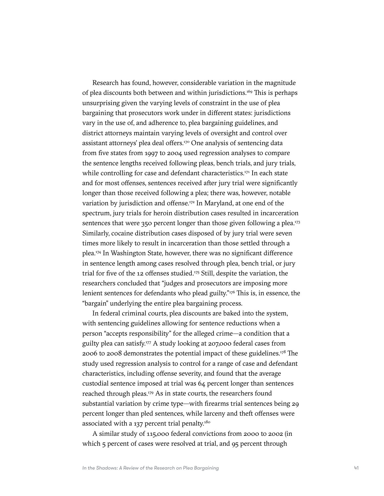Research has found, however, considerable variation in the magnitude of plea discounts both between and within jurisdictions.<sup>169</sup> This is perhaps unsurprising given the varying levels of constraint in the use of plea bargaining that prosecutors work under in different states: jurisdictions vary in the use of, and adherence to, plea bargaining guidelines, and district attorneys maintain varying levels of oversight and control over assistant attorneys' plea deal offers.[170](#page-68-0) One analysis of sentencing data from five states from 1997 to 2004 used regression analyses to compare the sentence lengths received following pleas, bench trials, and jury trials, while controlling for case and defendant characteristics.<sup>[171](#page-68-0)</sup> In each state and for most offenses, sentences received after jury trial were significantly longer than those received following a plea; there was, however, notable variation by jurisdiction and offense.<sup>172</sup> In Maryland, at one end of the spectrum, jury trials for heroin distribution cases resulted in incarceration sentences that were 350 percent longer than those given following a plea.<sup>173</sup> Similarly, cocaine distribution cases disposed of by jury trial were seven times more likely to result in incarceration than those settled through a plea[.174](#page-68-0) In Washington State, however, there was no significant difference in sentence length among cases resolved through plea, bench trial, or jury trial for five of the 12 offenses studied.<sup>175</sup> Still, despite the variation, the researchers concluded that "judges and prosecutors are imposing more lenient sentences for defendants who plead guilty."<sup>176</sup> This is, in essence, the "bargain" underlying the entire plea bargaining process.

In federal criminal courts, plea discounts are baked into the system, with sentencing guidelines allowing for sentence reductions when a person "accepts responsibility" for the alleged crime—a condition that a guilty plea can satisfy.<sup>177</sup> A study looking at 207,000 federal cases from 2006 to 2008 demonstrates the potential impact of these guidelines.<sup>178</sup> The study used regression analysis to control for a range of case and defendant characteristics, including offense severity, and found that the average custodial sentence imposed at trial was 64 percent longer than sentences reached through pleas.[179](#page-68-0) As in state courts, the researchers found substantial variation by crime type—with firearms trial sentences being 29 percent longer than pled sentences, while larceny and theft offenses were associated with a 137 percent trial penalty.<sup>[180](#page-68-0)</sup>

A similar study of 115,000 federal convictions from 2000 to 2002 (in which 5 percent of cases were resolved at trial, and 95 percent through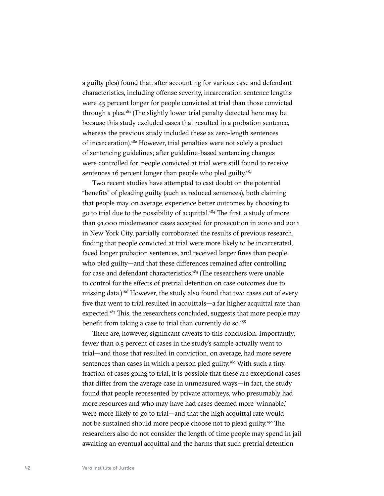a guilty plea) found that, after accounting for various case and defendant characteristics, including offense severity, incarceration sentence lengths were 45 percent longer for people convicted at trial than those convicted through a plea. $181$  (The slightly lower trial penalty detected here may be because this study excluded cases that resulted in a probation sentence, whereas the previous study included these as zero-length sentences of incarceration)[.182](#page-68-0) However, trial penalties were not solely a product of sentencing guidelines; after guideline-based sentencing changes were controlled for, people convicted at trial were still found to receive sentences 16 percent longer than people who pled guilty.<sup>183</sup>

Two recent studies have attempted to cast doubt on the potential "benefits" of pleading guilty (such as reduced sentences), both claiming that people may, on average, experience better outcomes by choosing to go to trial due to the possibility of acquittal.[184](#page-68-0) The first, a study of more than 91,000 misdemeanor cases accepted for prosecution in 2010 and 2011 in New York City, partially corroborated the results of previous research, finding that people convicted at trial were more likely to be incarcerated, faced longer probation sentences, and received larger fines than people who pled guilty—and that these differences remained after controlling for case and defendant characteristics.<sup>[185](#page-68-0)</sup> (The researchers were unable to control for the effects of pretrial detention on case outcomes due to missing data.)<sup>186</sup> However, the study also found that two cases out of every five that went to trial resulted in acquittals—a far higher acquittal rate than expected.<sup>[187](#page-68-0)</sup> This, the researchers concluded, suggests that more people may benefit from taking a case to trial than currently do so.<sup>[188](#page-68-0)</sup>

There are, however, significant caveats to this conclusion. Importantly, fewer than 0.5 percent of cases in the study's sample actually went to trial—and those that resulted in conviction, on average, had more severe sentences than cases in which a person pled guilty.<sup>189</sup> With such a tiny fraction of cases going to trial, it is possible that these are exceptional cases that differ from the average case in unmeasured ways—in fact, the study found that people represented by private attorneys, who presumably had more resources and who may have had cases deemed more 'winnable,' were more likely to go to trial—and that the high acquittal rate would not be sustained should more people choose not to plead guilty.<sup>190</sup> The researchers also do not consider the length of time people may spend in jail awaiting an eventual acquittal and the harms that such pretrial detention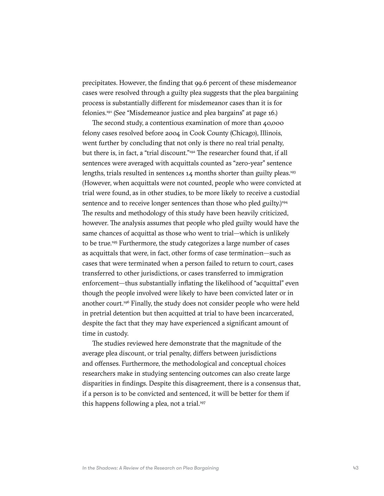precipitates. However, the finding that 99.6 percent of these misdemeanor cases were resolved through a guilty plea suggests that the plea bargaining process is substantially different for misdemeanor cases than it is for felonies.[191](#page-69-0) (See "Misdemeanor justice and plea bargains" at page 16.)

The second study, a contentious examination of more than 40,000 felony cases resolved before 2004 in Cook County (Chicago), Illinois, went further by concluding that not only is there no real trial penalty, but there is, in fact, a "trial discount.["192](#page-69-0) The researcher found that, if all sentences were averaged with acquittals counted as "zero-year" sentence lengths, trials resulted in sentences  $14$  months shorter than guilty pleas.<sup>[193](#page-69-0)</sup> (However, when acquittals were not counted, people who were convicted at trial were found, as in other studies, to be more likely to receive a custodial sentence and to receive longer sentences than those who pled guilty.)<sup>194</sup> The results and methodology of this study have been heavily criticized, however. The analysis assumes that people who pled guilty would have the same chances of acquittal as those who went to trial—which is unlikely to be true[.195](#page-69-0) Furthermore, the study categorizes a large number of cases as acquittals that were, in fact, other forms of case termination—such as cases that were terminated when a person failed to return to court, cases transferred to other jurisdictions, or cases transferred to immigration enforcement—thus substantially inflating the likelihood of "acquittal" even though the people involved were likely to have been convicted later or in another court.[196](#page-69-0) Finally, the study does not consider people who were held in pretrial detention but then acquitted at trial to have been incarcerated, despite the fact that they may have experienced a significant amount of time in custody.

The studies reviewed here demonstrate that the magnitude of the average plea discount, or trial penalty, differs between jurisdictions and offenses. Furthermore, the methodological and conceptual choices researchers make in studying sentencing outcomes can also create large disparities in findings. Despite this disagreement, there is a consensus that, if a person is to be convicted and sentenced, it will be better for them if this happens following a plea, not a trial.<sup>[197](#page-69-0)</sup>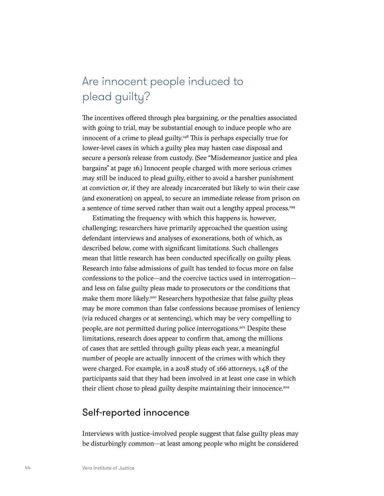# Are innocent people induced to plead guilty?

The incentives offered through plea bargaining, or the penalties associated with going to trial, may be substantial enough to induce people who are innocent of a crime to plead guilty[.198](#page-69-0) This is perhaps especially true for lower-level cases in which a guilty plea may hasten case disposal and secure a person's release from custody. (See "Misdemeanor justice and plea bargains" at page 16.) Innocent people charged with more serious crimes may still be induced to plead guilty, either to avoid a harsher punishment at conviction or, if they are already incarcerated but likely to win their case (and exoneration) on appeal, to secure an immediate release from prison on a sentence of time served rather than wait out a lengthy appeal process.<sup>199</sup>

Estimating the frequency with which this happens is, however, challenging; researchers have primarily approached the question using defendant interviews and analyses of exonerations, both of which, as described below, come with significant limitations. Such challenges mean that little research has been conducted specifically on guilty pleas. Research into false admissions of guilt has tended to focus more on false confessions to the police—and the coercive tactics used in interrogation and less on false guilty pleas made to prosecutors or the conditions that make them more likely.<sup>200</sup> Researchers hypothesize that false guilty pleas may be more common than false confessions because promises of leniency (via reduced charges or at sentencing), which may be very compelling to people, are not permitted during police interrogations.<sup>[201](#page-69-0)</sup> Despite these limitations, research does appear to confirm that, among the millions of cases that are settled through guilty pleas each year, a meaningful number of people are actually innocent of the crimes with which they were charged. For example, in a 2018 study of 166 attorneys, 148 of the participants said that they had been involved in at least one case in which their client chose to plead guilty despite maintaining their innocence.<sup>[202](#page-69-0)</sup>

## Self-reported innocence

Interviews with justice-involved people suggest that false guilty pleas may be disturbingly common—at least among people who might be considered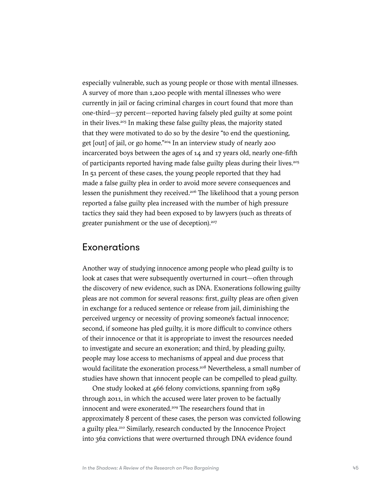especially vulnerable, such as young people or those with mental illnesses. A survey of more than 1,200 people with mental illnesses who were currently in jail or facing criminal charges in court found that more than one-third—37 percent—reported having falsely pled guilty at some point in their lives.<sup>203</sup> In making these false guilty pleas, the majority stated that they were motivated to do so by the desire "to end the questioning, get [out] of jail, or go home.["204](#page-69-0) In an interview study of nearly 200 incarcerated boys between the ages of 14 and 17 years old, nearly one-fifth of participants reported having made false guilty pleas during their lives[.205](#page-69-0) In 51 percent of these cases, the young people reported that they had made a false guilty plea in order to avoid more severe consequences and lessen the punishment they received.<sup>[206](#page-69-0)</sup> The likelihood that a young person reported a false guilty plea increased with the number of high pressure tactics they said they had been exposed to by lawyers (such as threats of greater punishment or the use of deception).<sup>207</sup>

## Exonerations

Another way of studying innocence among people who plead guilty is to look at cases that were subsequently overturned in court—often through the discovery of new evidence, such as DNA. Exonerations following guilty pleas are not common for several reasons: first, guilty pleas are often given in exchange for a reduced sentence or release from jail, diminishing the perceived urgency or necessity of proving someone's factual innocence; second, if someone has pled guilty, it is more difficult to convince others of their innocence or that it is appropriate to invest the resources needed to investigate and secure an exoneration; and third, by pleading guilty, people may lose access to mechanisms of appeal and due process that would facilitate the exoneration process.<sup>208</sup> Nevertheless, a small number of studies have shown that innocent people can be compelled to plead guilty.

One study looked at 466 felony convictions, spanning from 1989 through 2011, in which the accused were later proven to be factually innocent and were exonerated.<sup>209</sup> The researchers found that in approximately 8 percent of these cases, the person was convicted following a guilty plea.<sup>[210](#page-69-0)</sup> Similarly, research conducted by the Innocence Project into 362 convictions that were overturned through DNA evidence found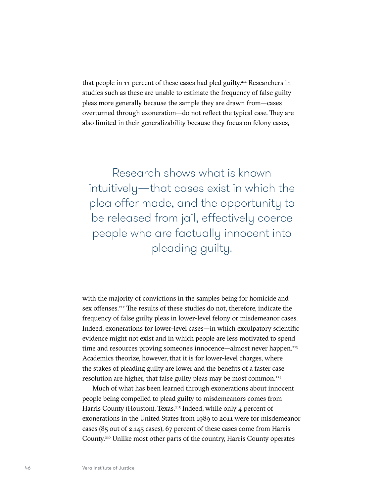that people in 11 percent of these cases had pled guilty[.211](#page-69-0) Researchers in studies such as these are unable to estimate the frequency of false guilty pleas more generally because the sample they are drawn from—cases overturned through exoneration—do not reflect the typical case. They are also limited in their generalizability because they focus on felony cases,

Research shows what is known intuitively—that cases exist in which the plea offer made, and the opportunity to be released from jail, effectively coerce people who are factually innocent into pleading guilty.

with the majority of convictions in the samples being for homicide and sex offenses.<sup>212</sup> The results of these studies do not, therefore, indicate the frequency of false guilty pleas in lower-level felony or misdemeanor cases. Indeed, exonerations for lower-level cases—in which exculpatory scientific evidence might not exist and in which people are less motivated to spend time and resources proving someone's innocence—almost never happen.<sup>213</sup> Academics theorize, however, that it is for lower-level charges, where the stakes of pleading guilty are lower and the benefits of a faster case resolution are higher, that false guilty pleas may be most common.<sup>214</sup>

Much of what has been learned through exonerations about innocent people being compelled to plead guilty to misdemeanors comes from Harris County (Houston), Texas.<sup>215</sup> Indeed, while only 4 percent of exonerations in the United States from 1989 to 2011 were for misdemeanor cases (85 out of 2,145 cases), 67 percent of these cases come from Harris County[.216](#page-69-0) Unlike most other parts of the country, Harris County operates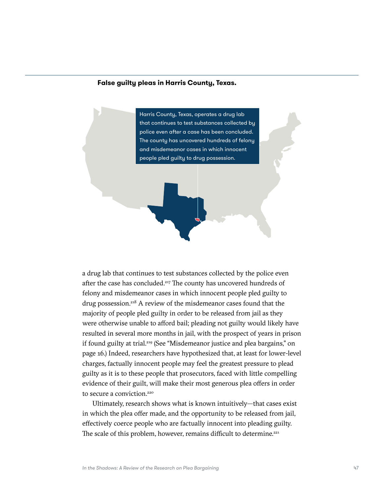#### **False guilty pleas in Harris County, Texas.**



a drug lab that continues to test substances collected by the police even after the case has concluded.<sup>[217](#page-69-0)</sup> The county has uncovered hundreds of felony and misdemeanor cases in which innocent people pled guilty to drug possession.<sup>218</sup> A review of the misdemeanor cases found that the majority of people pled guilty in order to be released from jail as they were otherwise unable to afford bail; pleading not guilty would likely have resulted in several more months in jail, with the prospect of years in prison if found guilty at trial.<sup>219</sup> (See "Misdemeanor justice and plea bargains," on page 16.) Indeed, researchers have hypothesized that, at least for lower-level charges, factually innocent people may feel the greatest pressure to plead guilty as it is to these people that prosecutors, faced with little compelling evidence of their guilt, will make their most generous plea offers in order to secure a conviction.<sup>[220](#page-69-0)</sup>

Ultimately, research shows what is known intuitively—that cases exist in which the plea offer made, and the opportunity to be released from jail, effectively coerce people who are factually innocent into pleading guilty. The scale of this problem, however, remains difficult to determine.<sup>221</sup>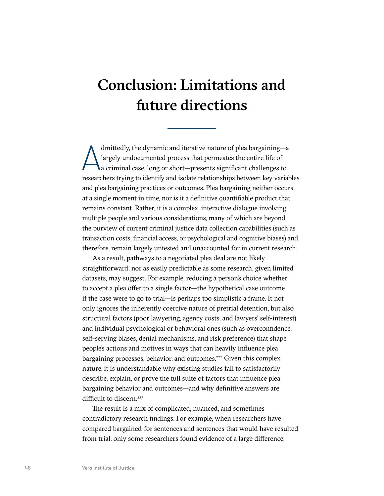# Conclusion: Limitations and future directions

dmittedly, the dynamic and iterative nature of plea bargaining—a<br>largely undocumented process that permeates the entire life of<br>a criminal case, long or short—presents significant challenges to<br>researchers trying to identi dmittedly, the dynamic and iterative nature of plea bargaining—a largely undocumented process that permeates the entire life of a criminal case, long or short—presents significant challenges to and plea bargaining practices or outcomes. Plea bargaining neither occurs at a single moment in time, nor is it a definitive quantifiable product that remains constant. Rather, it is a complex, interactive dialogue involving multiple people and various considerations, many of which are beyond the purview of current criminal justice data collection capabilities (such as transaction costs, financial access, or psychological and cognitive biases) and, therefore, remain largely untested and unaccounted for in current research.

As a result, pathways to a negotiated plea deal are not likely straightforward, nor as easily predictable as some research, given limited datasets, may suggest. For example, reducing a person's choice whether to accept a plea offer to a single factor—the hypothetical case outcome if the case were to go to trial—is perhaps too simplistic a frame. It not only ignores the inherently coercive nature of pretrial detention, but also structural factors (poor lawyering, agency costs, and lawyers' self-interest) and individual psychological or behavioral ones (such as overconfidence, self-serving biases, denial mechanisms, and risk preference) that shape people's actions and motives in ways that can heavily influence plea bargaining processes, behavior, and outcomes.<sup>222</sup> Given this complex nature, it is understandable why existing studies fail to satisfactorily describe, explain, or prove the full suite of factors that influence plea bargaining behavior and outcomes—and why definitive answers are difficult to discern.<sup>223</sup>

The result is a mix of complicated, nuanced, and sometimes contradictory research findings. For example, when researchers have compared bargained-for sentences and sentences that would have resulted from trial, only some researchers found evidence of a large difference.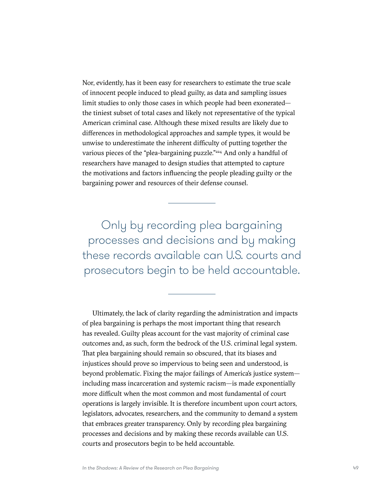Nor, evidently, has it been easy for researchers to estimate the true scale of innocent people induced to plead guilty, as data and sampling issues limit studies to only those cases in which people had been exonerated the tiniest subset of total cases and likely not representative of the typical American criminal case. Although these mixed results are likely due to differences in methodological approaches and sample types, it would be unwise to underestimate the inherent difficulty of putting together the various pieces of the "plea-bargaining puzzle."<sup>[224](#page-69-0)</sup> And only a handful of researchers have managed to design studies that attempted to capture the motivations and factors influencing the people pleading guilty or the bargaining power and resources of their defense counsel.

Only by recording plea bargaining processes and decisions and by making these records available can U.S. courts and prosecutors begin to be held accountable.

Ultimately, the lack of clarity regarding the administration and impacts of plea bargaining is perhaps the most important thing that research has revealed. Guilty pleas account for the vast majority of criminal case outcomes and, as such, form the bedrock of the U.S. criminal legal system. That plea bargaining should remain so obscured, that its biases and injustices should prove so impervious to being seen and understood, is beyond problematic. Fixing the major failings of America's justice system including mass incarceration and systemic racism—is made exponentially more difficult when the most common and most fundamental of court operations is largely invisible. It is therefore incumbent upon court actors, legislators, advocates, researchers, and the community to demand a system that embraces greater transparency. Only by recording plea bargaining processes and decisions and by making these records available can U.S. courts and prosecutors begin to be held accountable.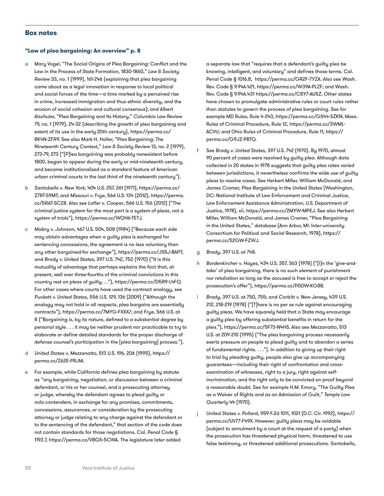#### **Box notes**

#### **"Law of plea bargaining: An overview" p. 8**

- a Mary Vogel, "The Social Origins of Plea Bargaining: Conflict and the Law in the Process of State Formation, 1830-1860," *Law & Society Review* 33, no. 1 (1999), 161-246 (explaining that plea bargaining came about as a legal innovation in response to local political and social forces of the time—a time marked by a perceived rise in crime, increased immigration and thus ethnic diversity, and the erosion of social cohesion and cultural consensus); and Albert Alschuler, "Plea Bargaining and Its History," *Columbia Law Review* 79, no. 1 (1979), 24-32 (describing the growth of plea bargaining and extent of its use in the early 20th century), [https://perma.cc/](perma.cc/BK4N-ZFR9) [BK4N-ZFR9.](perma.cc/BK4N-ZFR9) See also Mark H. Haller, "Plea Bargaining: The Nineteenth Century Context," *Law & Society Review* 13, no. 2 (1979), 273-79, 273 ("[P]lea bargaining was probably nonexistent before 1800, began to appear during the early or mid-nineteenth century, and became institutionalized as a standard feature of American urban criminal courts in the last third of the nineteenth century").
- b *Santobello v. New York*, 404 U.S. 257, 261 (1971), [https://perma.cc/](https://perma.cc/Z7RT-S9MT) [Z7RT-S9MT;](https://perma.cc/Z7RT-S9MT) and *Missouri v. Frye*, 566 U.S. 134 (2012), [https://perma.](https://perma.cc/5RAT-SCZ8) [cc/5RAT-SCZ8.](https://perma.cc/5RAT-SCZ8) Also see *Lafler v. Cooper*, 566 U.S. 156 (2012) ("The criminal justice system for the most part is a system of pleas, not a system of trials"), [https://perma.cc/WQH6-TETJ.](https://perma.cc/WQH6-TETJ)
- c *Mabry v. Johnson*, 467 U.S. 504, 508 (1984) ("Because each side may obtain advantages when a guilty plea is exchanged for sentencing concessions, the agreement is no less voluntary than any other bargained-for exchange"), <https://perma.cc/JS5J-BAPT>; and *Brady v. United States*, 397 U.S. 742, 752 (1970) ("It is this mutuality of advantage that perhaps explains the fact that, at present, well over three-fourths of the criminal convictions in this country rest on pleas of guilty. . ."), [https://perma.cc/D5R9-L4FQ.](https://perma.cc/D5R9-L4FQ) For other cases where courts have used the contract analogy, see *Puckett v. United States*, 556 U.S. 129, 136 (2009) ("Although the analogy may not hold in all respects, plea bargains are essentially contracts"), <https://perma.cc/7MYG-FXXX/>; and *Frye*, 566 U.S. at 8 ("Bargaining is, by its nature, defined to a substantial degree by personal style . . . it may be neither prudent nor practicable to try to elaborate or define detailed standards for the proper discharge of defense counsel's participation in the [plea bargaining] process.").
- d *United States v. Mezzanatto*, 513 U.S. 196, 206 (1995), [https://](https://perma.cc/Z62E-PRJM) [perma.cc/Z62E-PRJM](https://perma.cc/Z62E-PRJM).
- e For example, while California defines plea bargaining by statute as "any bargaining, negotiation, or discussion between a criminal defendant, or his or her counsel, and a prosecuting attorney or judge, whereby the defendant agrees to plead guilty or nolo contendere, in exchange for any promises, commitments, concessions, assurances, or consideration by the prosecuting attorney or judge relating to any charge against the defendant or to the sentencing of the defendant," that section of the code does not contain standards for those negotiations. Cal. Penal Code § 1192.7, <https://perma.cc/VBG5-5CWA>. The legislature later added

a separate law that "requires that a defendant's guilty plea be knowing, intelligent, and voluntary" and defines those terms. Cal. Penal Code § 1016.8, <https://perma.cc/GR2F-7YZA>. Also see Wash. Rev. Code § 9.94A.421, <https://perma.cc/W39A-PLZF>; and Wash. Rev. Code § 9.94A.431 [https://perma.cc/C8Y7-AU5Z.](https://perma.cc/C8Y7-AU5Z) Other states have chosen to promulgate administrative rules or court rules rather than statutes to govern the process of plea bargaining. See for example MD Rules, Rule 4-243, [https://perma.cc/GS44-SZKN;](https://perma.cc/GS44-SZKN) Mass. Rules of Criminal Procedure, Rule 12, [https://perma.cc/3WML-](https://perma.cc/3WML-ACVU)[ACVU;](https://perma.cc/3WML-ACVU) and Ohio Rules of Criminal Procedure, Rule 11, [https://](https://perma.cc/G9JZ-PBTQ) [perma.cc/G9JZ-PBTQ](https://perma.cc/G9JZ-PBTQ).

- f See *Brady v. United States*, 397 U.S. 742 (1970). By 1970, almost 90 percent of cases were resolved by guilty plea. Although data collected in 20 states in 1978 suggests that guilty plea rates varied between jurisdictions, it nevertheless confirms the wide use of guilty pleas to resolve cases. See Herbert Miller, William McDonald, and James Cramer, *Plea Bargaining in the United States* (Washington, DC: National Institute of Law Enforcement and Criminal Justice, Law Enforcement Assistance Administration, U.S. Department of Justice, 1978), xii, [https://perma.cc/2MYW-MPEJ.](https://perma.cc/2MYW-MPEJ) See also Herbert Miller, William McDonald, and James Cramer, "Plea Bargaining in the United States," database (Ann Arbor, MI: Inter-university Consortium for Political and Social Research, 1978), [https://](https://perma.cc/S2GW-FZWJ) [perma.cc/S2GW-FZWJ.](https://perma.cc/S2GW-FZWJ)
- g *Brady*, 397 U.S. at 748.
- h *Bordenkircher v. Hayes*, 434 U.S. 357, 363 (1978) ("[I]n the 'give-andtake' of plea bargaining, there is no such element of punishment nor retaliation so long as the accused is free to accept or reject the prosecution's offer"), <https://perma.cc/P5DW-KG8B>.
- i *Brady*, 397 U.S. at 750, 755; and *Corbitt v. New Jersey*, 439 U.S. 212, 218-219 (1978) ("[T]here is no per se rule against encouraging guilty pleas. We have squarely held that a State may encourage a guilty plea by offering substantial benefits in return for the plea."), [https://perma.cc/5F73-N4HS.](https://perma.cc/5F73-N4HS) Also see *Mezzanatto*, 513 U.S. at 209-210 (1995) ("The plea bargaining process necessarily exerts pressure on people to plead guilty and to abandon a series of fundamental rights. . . ."). In addition to giving up their right to trial by pleading guilty, people also give up accompanying guarantees—including their right of confrontation and crossexamination of witnesses, right to a jury, right against selfincrimination, and the right only to be convicted on proof beyond a reasonable doubt. See for example H.M. Emory, "The Guilty Plea as a Waiver of Rights and as an Admission of Guilt," *Temple Law Quarterly* 44 (1970).
- j *United States v. Pollard*, 959 F.2d 1011, 1021 (D.C. Cir. 1992), [https://](https://perma.cc/UV77-F49X) [perma.cc/UV77-F49X](https://perma.cc/UV77-F49X). However, guilty pleas may be voidable (subject to annulment by a court at the request of a party) when the prosecution has threatened physical harm, threatened to use false testimony, or threatened additional prosecutions. *Santobello*,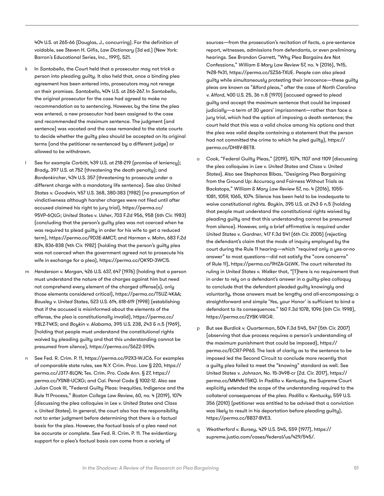404 U.S. at 265-66 (Douglas, J., concurring). For the definition of voidable, see Steven H. Gifis, *Law Dictionary* (3d ed.) (New York: Barron's Educational Series, Inc., 1991), 521.

- In Santobello, the Court held that a prosecutor may not trick a person into pleading guilty. It also held that, once a binding plea agreement has been entered into, prosecutors may not renege on their promises. *Santobello*, 404 U.S. at 266-267. In *Santobello*, the original prosecutor for the case had agreed to make no recommendation as to sentencing. However, by the time the plea was entered, a new prosecutor had been assigned to the case and recommended the maximum sentence. The judgment (and sentence) was vacated and the case remanded to the state courts to decide whether the guilty plea should be accepted on its original terms (and the petitioner re-sentenced by a different judge) or allowed to be withdrawn.
- l See for example *Corbitt*, 439 U.S. at 218-219 (promise of leniency); *Brady*, 397 U.S. at 752 (threatening the death penalty); and *Bordenkircher*, 434 U.S. 357 (threatening to prosecute under a different charge with a mandatory life sentence). See also *United States v. Goodwin*, 457 U.S. 368, 380-383 (1982) (no presumption of vindictiveness although harsher charges were not filed until after accused claimed his right to jury trial), [https://perma.cc/](https://perma.cc/95VP-6QLG) [95VP-6QLG](https://perma.cc/95VP-6QLG); *United States v. Usher*, 703 F.2d 956, 958 (6th Cir. 1983) (concluding that the person's guilty plea was not coerced when he was required to plead guilty in order for his wife to get a reduced term), [https://perma.cc/9D3E-AMCT;](https://perma.cc/9D3E-AMCT) and *Harman v. Mohn*, 683 F.2d 834, 836-838 (4th Cir. 1982) (holding that the person's guilty plea was not coerced when the government agreed not to prosecute his wife in exchange for a plea), <https://perma.cc/QK9D-3WC5>.
- m *Henderson v. Morgan,* 426 U.S. 637, 647 (1976) (holding that a person must understand the nature of the charges against him but need not comprehend every element of the charged offense(s), only those elements considered critical), <https://perma.cc/T5UZ-4KAA>; *Bousley v. United States*, 523 U.S. 614, 618-619 (1998) (establishing that if the accused is misinformed about the elements of the offense, the plea is constitutionally invalid), [https://perma.cc/](https://perma.cc/Y8LZ-T4KS) [Y8LZ-T4KS](https://perma.cc/Y8LZ-T4KS); and *Boykin v. Alabama*, 395 U.S. 238, 243 & n.5 (1969), (holding that people must understand the constitutional rights waived by pleading guilty and that this understanding cannot be presumed from silence), <https://perma.cc/S6Z2-S9S4>.
- See Fed. R. Crim. P. 11,<https://perma.cc/P2X3-WJC6>. For examples of comparable state rules, see N.Y. Crim. Proc. Law § 220, [https://](https://perma.cc/J3T7-8LQN) [perma.cc/J3T7-8LQN](https://perma.cc/J3T7-8LQN); Tex. Crim. Pro. Code Ann. § 27, [https://](https://perma.cc/YSN8-UCXG) [perma.cc/YSN8-UCXG](https://perma.cc/YSN8-UCXG); and Cal. Penal Code § 1002-12. Also see Julian Cook III, "Federal Guilty Pleas: Inequities, Indigence and the Rule 11 Process," *Boston College Law Review*, 60, no. 4 (2019), 1074 (discussing the plea colloquies in *Lee v. United States* and *Class v. United States*). In general, the court also has the responsibility not to enter judgment before determining that there is a factual basis for the plea. However, the factual basis of a plea need not be accurate or complete. See Fed. R. Crim. P. 11. The evidentiary support for a plea's factual basis can come from a variety of

sources—from the prosecution's recitation of facts, a pre-sentence report, witnesses, admissions from defendants, or even preliminary hearings. See Brandon Garrett, "Why Plea Bargains Are Not Confessions," *William & Mary Law Review* 57, no. 4 (2016), 1415, 1428-1431, [https://perma.cc/SZS6-TXUE.](https://perma.cc/SZS6-TXUE) People can also plead guilty while simultaneously protesting their innocence—these guilty pleas are known as "Alford pleas," after the case of *North Carolina v. Alford*, 400 U.S. 25, 36 n.8 (1970) (accused agreed to plead guilty and accept the maximum sentence that could be imposed judicially—a term of 30 years' imprisonment—rather than face a jury trial, which had the option of imposing a death sentence; the court held that this was a valid choice among his options and that the plea was valid despite containing a statement that the person had not committed the crime to which he pled guilty), [https://](https://perma.cc/DH8V-BET8) [perma.cc/DH8V-BET8.](https://perma.cc/DH8V-BET8)

- o Cook, "Federal Guilty Pleas," (2019), 1074, 1107 and 1109 (discussing the plea colloquies in *Lee v. United States* and *Class v. United States*). Also see Stephanos Bibas, "Designing Plea Bargaining from the Ground Up: Accuracy and Fairness Without Trials as Backstops," *William & Mary Law Review* 57, no. 4 (2016), 1055- 1081, 1059, 1065, 1074. Silence has been held to be inadequate to waive constitutional rights. *Boykin*, 395 U.S. at 243 & n.5 (holding that people must understand the constitutional rights waived by pleading guilty and that this understanding cannot be presumed from silence). However, only a brief affirmative is required under *United States v. Gardner*, 417 F.3d 541 (6th Cir. 2005) (rejecting the defendant's claim that the mode of inquiry employed by the court during the Rule 11 hearing—which "required only a yes-or-no answer" to most questions—did not satisfy the "core concerns" of Rule 11), [https://perma.cc/9HZA-GLWK.](https://perma.cc/9HZA-GLWK) The court reiterated its ruling in *United States v. Walker* that, "[T]here is no requirement that in order to rely on a defendant's answer in a guilty-plea colloquy to conclude that the defendant pleaded guilty knowingly and voluntarily, those answers must be lengthy and all-encompassing; a straightforward and simple 'Yes, your Honor' is sufficient to bind a defendant to its consequences." 160 F.3d 1078, 1096 (6th Cir. 1998), [https://perma.cc/2YBK-VRGR.](https://perma.cc/2YBK-VRGR)
- p But see *Burdick v. Quarterman*, 504 F.3d 545, 547 (5th Cir. 2007) (observing that due process requires a person's understanding of the maximum punishment that could be imposed), [https://](https://perma.cc/ECR7-PP6S) [perma.cc/ECR7-PP6S.](https://perma.cc/ECR7-PP6S) The lack of clarity as to the sentence to be imposed led the Second Circuit to conclude more recently that a guilty plea failed to meet the "knowing" standard as well. See *United States v. Johnson*, No. 15-3498-cr (2d. Cir. 2017), [https://](https://perma.cc/MM4N-T5KQ) [perma.cc/MM4N-T5KQ](https://perma.cc/MM4N-T5KQ). In *Padilla v. Kentucky*, the Supreme Court explicitly extended the scope of the understanding required to the collateral consequences of the plea. *Padilla v. Kentucky*, 559 U.S. 356 (2010) (petitioner was entitled to be advised that a conviction was likely to result in his deportation before pleading guilty), <https://perma.cc/8B37-BVE3>.
- q *Weatherford v. Bursey*, 429 U.S. 545, 559 (1977), [https://](https://supreme.justia.com/cases/federal/us/429/545/) [supreme.justia.com/cases/federal/us/429/545/](https://supreme.justia.com/cases/federal/us/429/545/).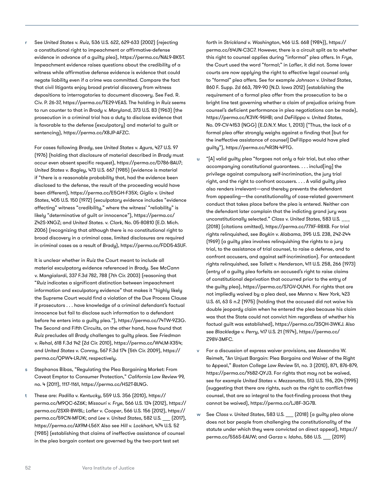r See *United States v. Ruiz*, 536 U.S. 622, 629-633 (2002) (rejecting a constitutional right to impeachment or affirmative-defense evidence in advance of a guilty plea),<https://perma.cc/NAL9-BK5T>. Impeachment evidence raises questions about the credibility of a witness while affirmative defense evidence is evidence that could negate liability even if a crime was committed. Compare the fact that civil litigants enjoy broad pretrial discovery from witness depositions to interrogatories to document discovery. See Fed. R. Civ. P. 26-37,<https://perma.cc/TE29-VEAS>. The holding in *Ruiz* seems to run counter to that in *Brady v. Maryland*, 373 U.S. 83 (1963) (the prosecution in a criminal trial has a duty to disclose evidence that is favorable to the defense (exculpatory) and material to guilt or sentencing),<https://perma.cc/X8JP-AFZC>.

For cases following *Brady*, see *United States v. Agurs*, 427 U.S. 97 (1976) (holding that disclosure of material described in *Brady* must occur even absent specific request),<https://perma.cc/D786-BAU7>; *United States v. Bagley*, 473 U.S. 667 (1985) (evidence is material if "there is a reasonable probability that, had the evidence been disclosed to the defense, the result of the proceeding would have been different), [https://perma.cc/E5GH-F35X;](https://perma.cc/E5GH-F35X) *Giglio v. United States*, 405 U.S. 150 (1972) (exculpatory evidence includes "evidence affecting" witness "credibility," where the witness' "reliability" is likely "determinative of guilt or innocence"), [https://perma.cc/](https://perma.cc/Z42S-XNGZ) [Z42S-XNGZ;](https://perma.cc/Z42S-XNGZ) and *United States. v. Clark*, No. 05-80810 (E.D. Mich. 2006) (recognizing that although there is no constitutional right to broad discovery in a criminal case, limited disclosures are required in criminal cases as a result of *Brady*), [https://perma.cc/FDD5-ASUF.](https://perma.cc/FDD5-ASUF)

It is unclear whether in *Ruiz* the Court meant to include all material exculpatory evidence referenced in *Brady*. See *McCann v. Mangialardi*, 337 F.3d 782, 788 (7th Cir. 2003) (reasoning that "*Ruiz* indicates a significant distinction between impeachment information and exculpatory evidence" that makes it "highly likely the Supreme Court would find a violation of the Due Process Clause if prosecutors . . . have knowledge of a criminal defendant's factual innocence but fail to disclose such information to a defendant before he enters into a guilty plea."), [https://perma.cc/74TW-9Z3G.](https://perma.cc/74TW-9Z3G) The Second and Fifth Circuits, on the other hand, have found that *Ruiz* precludes all *Brady* challenges to guilty pleas. See *Friedman v. Rehal*, 618 F.3d 142 (2d Cir. 2010), <https://perma.cc/W4LM-X354>; and *United States v. Conroy*, 567 F.3d 174 (5th Cir. 2009), [https://](https://perma.cc/QPW4-LRJW) [perma.cc/QPW4-LRJW](https://perma.cc/QPW4-LRJW), respectively.

- s Stephanos Bibas, "Regulating the Plea Bargaining Market: From Caveat Emptor to Consumer Protection," *California Law Review* 99, no. 4 (2011), 1117-1161, <https://perma.cc/HS2T-BLNG>.
- t These are: *Padilla v. Kentucky*, 559 U.S. 356 (2010), [https://](https://perma.cc/M9QC-6Z6K) [perma.cc/M9QC-6Z6K](https://perma.cc/M9QC-6Z6K); *Missouri v. Frye*, 566 U.S. 134 (2012), [https://](https://perma.cc/2SXR-BW8L) [perma.cc/2SXR-BW8L;](https://perma.cc/2SXR-BW8L) *Lafler v. Cooper*, 566 U.S. 156 (2012), [https://](https://perma.cc/59CN-MFDK) [perma.cc/59CN-MFDK](https://perma.cc/59CN-MFDK); and Lee v. United States, 582 U.S. [2017], [https://perma.cc/AX9M-L56Y.](https://perma.cc/AX9M-L56Y) Also see *Hill v. Lockhart*, 474 U.S. 52 (1985) (establishing that claims of ineffective assistance of counsel in the plea bargain context are governed by the two-part test set

forth in *Strickland v. Washington*, 466 U.S. 668 (1984)), [https://](https://perma.cc/64UN-C3C7) [perma.cc/64UN-C3C7](https://perma.cc/64UN-C3C7). However, there is a circuit split as to whether this right to counsel applies during "informal" plea offers. In *Frye*, the Court used the word "formal;" in *Lafler*, it did not. Some lower courts are now applying the right to effective legal counsel only to "formal" plea offers. See for example *Johnson v. United States*, 860 F. Supp. 2d 663, 789-90 (N.D. Iowa 2012) (establishing the requirement of a formal plea offer from the prosecution to be a bright line test governing whether a claim of prejudice arising from counsel's deficient performance in plea negotiations can be made), <https://perma.cc/K3VK-96HB>; and *DeFilippo v. United States*, No. 09-CV-4153 (NGG) (E.D.N.Y. Mar. 1, 2013) ("Thus, the lack of a formal plea offer strongly weighs against a finding that [but for the ineffective assistance of counsel] DeFilippo would have pled guilty"), [https://perma.cc/4R3N-4PTG.](https://perma.cc/4R3N-4PTG)

- u "[A] valid guilty plea "forgoes not only a fair trial, but also other accompanying constitutional guarantees. . . . includ[ing] the privilege against compulsory self-incrimination, the jury trial right, and the right to confront accusers. . . . A valid guilty plea also renders irrelevant—and thereby prevents the defendant from appealing—the constitutionality of case-related government conduct that takes place before the plea is entered. Neither can the defendant later complain that the indicting grand jury was unconstitutionally selected." *Class v. United States*, 583 U.S. \_\_\_ (2018) (citations omitted), <https://perma.cc/77XF-R8XB>. For trial rights relinquished, see *Boykin v. Alabama*, 395 U.S. 238, 242-244 (1969) (a guilty plea involves relinquishing the rights to a jury trial, to the assistance of trial counsel, to raise a defense, and to confront accusers, and against self-incrimination). For antecedent rights relinquished, see *Tollett v. Henderson*, 411 U.S. 258, 266 (1973) (entry of a guilty plea forfeits an accused's right to raise claims of constitutional deprivation that occurred prior to the entry of the guilty plea), [https://perma.cc/S7GV-QU4H.](https://perma.cc/S7GV-QU4H) For rights that are not impliedly waived by a plea deal, see *Menna v. New York*, 423 U.S. 61, 63 & n.2 (1975) (holding that the accused did not waive his double jeopardy claim when he entered the plea because his claim was that the State could not convict him regardless of whether his factual guilt was established), <https://perma.cc/3SQH-3WKJ>. Also see *Blackledge v. Perry*, 417 U.S. 21 (1974), [https://perma.cc/](https://perma.cc/Z98V-3MFC) [Z98V-3MFC](https://perma.cc/Z98V-3MFC).
- For a discussion of express waiver provisions, see Alexandra W. Reimelt, "An Unjust Bargain: Plea Bargains and Waiver of the Right to Appeal," *Boston College Law Review* 51, no. 3 (2010), 871, 876-879, [https://perma.cc/Y682-QYJ3.](https://perma.cc/Y682-QYJ3) For rights that may not be waived, see for example *United States v. Mezzanatto*, 513 U.S. 196, 204 (1995) (suggesting that there are rights, such as the right to conflict-free counsel, that are so integral to the fact-finding process that they cannot be waived), [https://perma.cc/LJ8F-3G7B.](https://perma.cc/LJ8F-3G7B)
- See Class v. United States, 583 U.S. [2018] (a guilty plea alone does not bar people from challenging the constitutionality of the statute under which they were convicted on direct appeal), [https://](https://perma.cc/5S6S-EAUW) [perma.cc/5S6S-EAUW;](https://perma.cc/5S6S-EAUW) and *Garza v. Idaho*, 586 U.S. \_\_ [2019]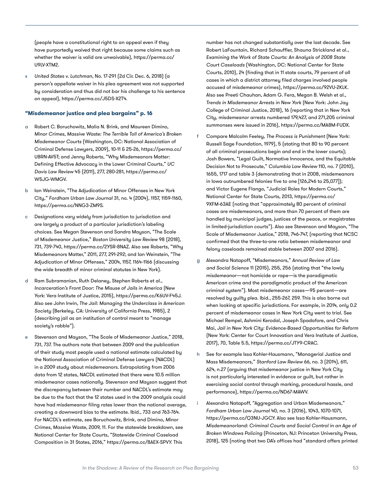(people have a constitutional right to an appeal even if they have purportedly waived that right because some claims such as whether the waiver is valid are unwaivable), [https://perma.cc/](https://perma.cc/U9LV-XTM2) [U9LV-XTM2](https://perma.cc/U9LV-XTM2).

x *United States v. Lutchman*, No. 17-291 (2d Cir. Dec. 6, 2018) (a person's appellate waiver in his plea agreement was not supported by consideration and thus did not bar his challenge to his sentence on appeal),<https://perma.cc/J5DS-X2T4>.

#### **"Misdemeanor justice and plea bargains" p. 16**

- a Robert C. Boruchowitz, Malia N. Brink, and Maureen Dimino, *Minor Crimes, Massive Waste: The Terrible Toll of America's Broken Misdemeanor Courts* (Washington, DC: National Association of Criminal Defense Lawyers, 2009), 10-11 & 25-26, [https://perma.cc/](https://perma.cc/U8RN-AV5T) [U8RN-AV5T](https://perma.cc/U8RN-AV5T); and Jenny Roberts, "Why Misdemeanors Matter: Defining Effective Advocacy in the Lower Criminal Courts," *UC Davis Law Review* 45 (2011), 277, 280-281, [https://perma.cc/](https://perma.cc/W5JG-WMGV) [W5JG-WMGV.](https://perma.cc/W5JG-WMGV)
- b Ian Weinstein, "The Adjudication of Minor Offenses in New York City," *Fordham Urban Law Journal* 31, no. 4 (2004), 1157, 1159-1160, <https://perma.cc/NNG3-ZM9S>.
- c Designations vary widely from jurisdiction to jurisdiction and are largely a product of a particular jurisdiction's labeling choices. See Megan Stevenson and Sandra Mayson, "The Scale of Misdemeanor Justice," *Boston University Law Review* 98 (2018), 731, 739-740, [https://perma.cc/2YSR-8NAZ.](https://perma.cc/2YSR-8NAZ) Also see Roberts, "Why Misdemeanors Matter," 2011, 277, 291-292; and Ian Weinstein, "The Adjudication of Minor Offenses," 2004, 1157, 1164-1166 (discussing the wide breadth of minor criminal statutes in New York).
- d Ram Subramanian, Ruth Delaney, Stephen Roberts et al., *Incarceration's Front Door: The Misuse of Jails in America* (New York: Vera Institute of Justice, 2015), [https://perma.cc/K6UV-F45J.](https://perma.cc/K6UV-F45J) Also see John Irwin, *The Jail: Managing the Underclass in American Society* (Berkeley, CA: University of California Press, 1985), 2 (describing jail as an institution of control meant to "manage society's rabble").
- Stevenson and Mayson, "The Scale of Misdemeanor Justice," 2018, 731, 737. The authors note that between 2009 and the publication of their study most people used a national estimate calculated by the National Association of Criminal Defense Lawyers (NACDL) in a 2009 study about misdemeanors. Extrapolating from 2006 data from 12 states, NACDL estimated that there were 10.5 million misdemeanor cases nationally. Stevenson and Mayson suggest that the discrepancy between their number and NACDL's estimate may be due to the fact that the 12 states used in the 2009 analysis could have had misdemeanor filing rates lower than the national average, creating a downward bias to the estimate. Ibid., 733 and 763-764. For NACDL's estimate, see Boruchowitz, Brink, and Dimino, *Minor Crimes, Massive Waste*, 2009, 11. For the statewide breakdown, see National Center for State Courts, "Statewide Criminal Caseload Composition in 31 States, 2016," [https://perma.cc/8AEX-SPVY.](https://perma.cc/8AEX-SPVY) This

number has not changed substantially over the last decade. See Robert LaFountain, Richard Schauffler, Shauna Strickland et al., *Examining the Work of State Courts: An Analysis of 2008 State Court Caseloads* (Washington, DC: National Center for State Courts, 2010), 24 (finding that in 11 state courts, 79 percent of all cases in which a district attorney filed charges involved people accused of misdemeanor crimes), <https://perma.cc/92VU-2KLK>. Also see Preeti Chauhan, Adam G. Fera, Megan B. Welsh et al., *Trends in Misdemeanor Arrests in New York* (New York: John Jay College of Criminal Justice, 2018), 16 (reporting that in New York City, misdemeanor arrests numbered 179,427, and 271,205 criminal summonses were issued in 2016),<https://perma.cc/MA8M-FUDX>.

- f Compare Malcolm Feeley, *The Process is Punishment* (New York: Russell Sage Foundation, 1979), 5 (stating that 80 to 90 percent of all criminal prosecutions begin and end in the lower courts); Josh Bowers, "Legal Guilt, Normative Innocence, and the Equitable Decision Not to Prosecute," *Columbia Law Review* 110, no. 7 (2010), 1655, 1717 and table 3 (demonstrating that in 2008, misdemeanors in Iowa outnumbered felonies five to one [126,246 to 25,077]); and Victor Eugene Flango, "Judicial Roles for Modern Courts," National Center for State Courts, 2013, [https://perma.cc/](https://perma.cc/9XFM-63AE) [9XFM-63AE](https://perma.cc/9XFM-63AE) (noting that "approximately 80 percent of criminal cases are misdemeanors, and more than 70 percent of them are handled by municipal judges, justices of the peace, or magistrates in limited-jurisdiction courts"). Also see Stevenson and Mayson, "The Scale of Misdemeanor Justice," 2018, 746-747, (reporting that NCSC confirmed that the three-to-one ratio between misdemeanor and felony caseloads remained stable between 2007 and 2016).
- g Alexandra Natapoff, "Misdemeanors," *Annual Review of Law and Social Science* 11 (2015), 255, 256 (stating that "the lowly misdemeanor—not homicide or rape—is the paradigmatic American crime and the paradigmatic product of the American criminal system"). Most misdemeanor cases—95 percent—are resolved by guilty plea. Ibid., 255-267, 259. This is also borne out when looking at specific jurisdictions. For example, in 2014, only 0.2 percent of misdemeanor cases in New York City went to trial. See Michael Rempel, Ashmini Kerodal, Joseph Spadafore, and Chris Mai, *Jail in New York City: Evidence-Based Opportunities for Reform*  (New York: Center for Court Innovation and Vera Institute of Justice, 2017), 70, Table 5.5, [https://perma.cc/JTY9-CRAC.](https://perma.cc/JTY9-CRAC)
- h See for example Issa Kohler-Hausmann, "Managerial Justice and Mass Misdemeanors," *Stanford Law Review* 66, no. 3 (2014), 611, 624, n.27 (arguing that misdemeanor justice in New York City is not particularly interested in evidence or guilt, but rather in exercising social control through marking, procedural hassle, and performance), [https://perma.cc/ND67-MAWV.](https://perma.cc/ND67-MAWV)
- i Alexandra Natapoff, "Aggregation and Urban Misdemeanors," *Fordham Urban Law Journal* 40, no. 3 (2016), 1043, 1070-1071, <https://perma.cc/Q3NU-JGCY>. Also see Issa Kohler-Hausmann, *Misdemeanorland: Criminal Courts and Social Control in an Age of Broken Windows Policing* (Princeton, NJ: Princeton University Press, 2018), 125 (noting that two DA's offices had "standard offers printed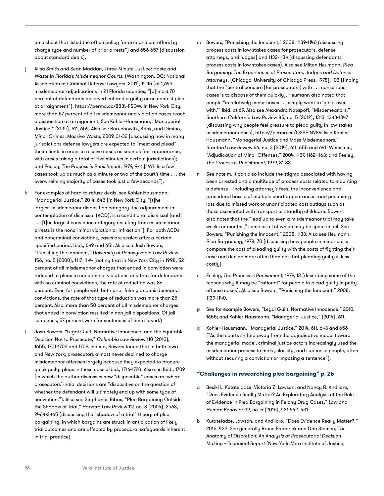on a sheet that listed the office policy for arraignment offers by charge type and number of prior arrests") and 656-657 (discussion about standard deals).

- j Alisa Smith and Sean Maddan, *Three-Minute Justice: Haste and Waste in Florida's Misdemeanor Courts*, (Washington, DC: National Association of Criminal Defense Lawyers, 2011), 14-15 (of 1,649 misdemeanor adjudications in 21 Florida counties, "[a]lmost 70 percent of defendants observed entered a guilty or no contest plea at arraignment"), [https://perma.cc/883L-FSDW.](https://perma.cc/883L-FSDW) In New York City, more than 57 percent of all misdemeanor and violation cases reach a disposition at arraignment. See Kohler-Hausmann, "Managerial Justice," (2014), 611, 654. Also see Boruchowitz, Brink, and Dimino, *Minor Crimes, Massive Waste*, 2009, 31-32 (discussing how in many jurisdictions defense lawyers are expected to "meet and plead" their clients in order to resolve cases as soon as first appearance, with cases taking a total of five minutes in certain jurisdictions); and Feeley, *The Process is Punishment*, 1979, 9-11 ("While a few cases took up as much as a minute or two of the court's time . . . the overwhelming majority of cases took just a few seconds").
- For examples of hard-to-refuse deals, see Kohler-Hausmann, "Managerial Justice," 2014, 645 (in New York City, "[t]he largest misdemeanor disposition category, the adjournment in contemplation of dismissal (ACD), is a conditional dismissal [and] . . . [t]he largest conviction category resulting from misdemeanor arrests is the noncriminal violation or infraction"). For both ACDs and noncriminal convictions, cases are sealed after a certain specified period. Ibid., 649 and 651. Also see Josh Bowers, "Punishing the Innocent," *University of Pennsylvania Law Review* 156, no. 5 (2008), 1117, 1144 (noting that in New York City in 1998, 52 percent of all misdemeanor charges that ended in conviction were reduced to pleas to noncriminal violations and that for defendants with no criminal convictions, the rate of reduction was 86 percent. Even for people with both prior felony and misdemeanor convictions, the rate of that type of reduction was more than 25 percent. Also, more than 50 percent of all misdemeanor charges that ended in conviction resulted in non-jail dispositions. Of jail sentences, 57 percent were for sentences of time served.)
- l Josh Bowers, "Legal Guilt, Normative Innocence, and the Equitable Decision Not to Prosecute," *Columbia Law Review* 110 (2010), 1655, 1701-1702 and 1709. Indeed, Bowers found that in both Iowa and New York, prosecutors almost never declined to charge misdemeanor offenses largely because they expected to procure quick guilty pleas in these cases. Ibid., 1716-1720. Also see Ibid., 1709 (in which the author discusses how "disposable" cases are where prosecutors' initial decisions are "dispositive on the question of whether the defendant will ultimately end up with some type of conviction."). Also see Stephanos Bibas, "Plea Bargaining Outside the Shadow of Trial," *Harvard Law Review* 117, no. 8 (2004), 2463, 2464-2465 (discussing the "shadow of a trial" theory of plea bargaining, in which bargains are struck in anticipation of likely trial outcomes and are affected by procedural safeguards inherent in trial practice).
- m Bowers, "Punishing the Innocent," 2008, 1139-1140 (discussing process costs in low-stakes cases for prosecutors, defense attorneys, and judges) and 1132-1134 (discussing defendants' process costs in low-stakes cases). Also see Milton Heumann, *Plea Bargaining: The Experiences of Prosecutors, Judges and Defense Attorneys*, (Chicago: University of Chicago Press, 1978), 103 (finding that the "central concern [for prosecutors] with . . . nonserious cases is to dispose of them quickly). Heumann also noted that people "in relatively minor cases . . . simply want to 'get it over with.'" Ibid. at 69. Also see Alexandra Natapoff, "Misdemeanors," *Southern California Law Review* 85, no. 5 (2012), 1313, 1343-1347 (discussing why people feel pressure to plead guilty in low stakes misdemeanor cases),<https://perma.cc/Q3SF-NV8V>; Issa Kohler-Hausmann, "Managerial Justice and Mass Misdemeanors," *Stanford Law Review* 66, no. 3 (2014), 611, 655 and 691; Weinstein, "Adjudication of Minor Offenses," 2004, 1157, 1162-1163; and Feeley, *The Process is Punishment*, 1979, 31-33.
- n See note m. It can also include the stigma associated with having been arrested and a multitude of process costs related to mounting a defense—including attorney's fees, the inconvenience and procedural hassle of multiple court appearances, and pecuniary loss due to missed work or unanticipated cost outlays such as those associated with transport or standby childcare. Bowers also notes that the "lead up to even a misdemeanor trial may take weeks or months," some or all of which may be spent in jail. See Bowers, "Punishing the Innocent," 2008, 1133. Also see Heumann, *Plea Bargaining*, 1978, 70 (discussing how people in minor cases compare the cost of pleading guilty with the costs of fighting their case and decide more often than not that pleading guilty is less costly).
- o Feeley, *The Process is Punishment*, 1979, 13 (describing some of the reasons why it may be "rational" for people to plead guilty in petty offense cases). Also see Bowers, "Punishing the Innocent," 2008, 1139-1140.
- p See for example Bowers, "Legal Guilt, Normative Innocence," 2010, 1655; and Kohler-Hausmann, "Managerial Justice," (2014), 611.
- q Kohler-Hausmann, "Managerial Justice," 2014, 611, 643 and 656 ("As the courts shifted away from the adjudicative model toward the managerial model, criminal justice actors increasingly used the misdemeanor process to mark, classify, and supervise people, often without securing a conviction or imposing a sentence").

#### **"Challenges in researching plea bargaining" p. 25**

- a Besiki L. Kutateladze, Victoria Z. Lawson, and Nancy R. Andiloro, "Does Evidence Really Matter? An Exploratory Analysis of the Role of Evidence in Plea Bargaining in Felony Drug Cases," *Law and Human Behavior* 39, no. 5 (2015), 431-442, 431.
- b Kutateladze, Lawson, and Andiloro, "Does Evidence Really Matter?," 2015, 432. See generally Bruce Frederick and Don Stemen, *The Anatomy of Discretion: An Analysis of Prosecutorial Decision Making – Technical Report* (New York: Vera Institute of Justice,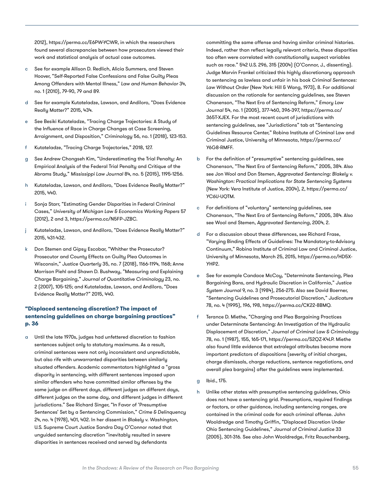2012), [https://perma.cc/E6PW-YCWR,](https://perma.cc/E6PW-YCWR) in which the researchers found several discrepancies between how prosecutors viewed their work and statistical analysis of actual case outcomes.

- c See for example Allison D. Redlich, Alicia Summers, and Steven Hoover, "Self-Reported False Confessions and False Guilty Pleas Among Offenders with Mental Illness," *Law and Human Behavior* 34, no. 1 (2010), 79-90, 79 and 89.
- d See for example Kutateladze, Lawson, and Andiloro, "Does Evidence Really Matter?" 2015, 434.
- e See Besiki Kutateladze, "Tracing Charge Trajectories: A Study of the Influence of Race in Charge Changes at Case Screening, Arraignment, and Disposition," *Criminology* 56, no. 1 (2018), 123-153.
- f Kutateladze, "Tracing Charge Trajectories," 2018, 127.
- g See Andrew Chongseh Kim, "Underestimating the Trial Penalty: An Empirical Analysis of the Federal Trial Penalty and Critique of the Abrams Study," *Mississippi Law Journal* 84, no. 5 (2015), 1195-1256.
- h Kutateladze, Lawson, and Andiloro, "Does Evidence Really Matter?" 2015, 440.
- i Sonja Starr, "Estimating Gender Disparities in Federal Criminal Cases," *University of Michigan Law & Economics Working Papers* 57 (2012), 2 and 3, <https://perma.cc/N5FP-JZBC>.
- Kutateladze, Lawson, and Andiloro, "Does Evidence Really Matter?" 2015, 431-432.
- k Don Stemen and Gipsy Escobar, "Whither the Prosecutor? Prosecutor and County Effects on Guilty Plea Outcomes in Wisconsin," *Justice Quarterly* 35, no. 7 (2018), 1166-1194, 1168; Anne Morrison Piehl and Shawn D. Bushway, "Measuring and Explaining Charge Bargaining," *Journal of Quantitative Criminology* 23, no. 2 (2007), 105-125; and Kutateladze, Lawson, and Andiloro, "Does Evidence Really Matter?" 2015, 440.

#### **"Displaced sentencing discretion? The impact of sentencing guidelines on charge bargaining practices" p. 36**

a Until the late 1970s, judges had unfettered discretion to fashion sentences subject only to statutory maximums. As a result, criminal sentences were not only inconsistent and unpredictable, but also rife with unwarranted disparities between similarly situated offenders. Academic commentators highlighted a "gross disparity in sentencing, with different sentences imposed upon similar offenders who have committed similar offenses by the same judge on different days, different judges on different days, different judges on the same day, and different judges in different jurisdictions." See Richard Singer, "In Favor of 'Presumptive Sentences' Set by a Sentencing Commission," *Crime & Delinquency* 24, no. 4 (1978), 401, 402. In her dissent in *Blakely v. Washington*, U.S. Supreme Court Justice Sandra Day O'Connor noted that unguided sentencing discretion "inevitably resulted in severe disparities in sentences received and served by defendants

committing the same offense and having similar criminal histories. Indeed, rather than reflect legally relevant criteria, these disparities too often were correlated with constitutionally suspect variables such as race." 542 U.S. 296, 315 (2004) (O'Connor, J., dissenting). Judge Marvin Frankel criticized this highly discretionary approach to sentencing as lawless and unfair in his book *Criminal Sentences: Law Without Order* (New York: Hill & Wang, 1973), 8. For additional discussion on the rationale for sentencing guidelines, see Steven Chanenson, "The Next Era of Sentencing Reform," *Emory Law Journal* 54, no. 1 (2005), 377-460, 396-397, [https://perma.cc/](https://perma.cc/365T-XJEX) [365T-XJEX](https://perma.cc/365T-XJEX). For the most recent count of jurisdictions with sentencing guidelines, see "Jurisdictions" tab at "Sentencing Guidelines Resource Center," Robina Institute of Criminal Law and Criminal Justice, University of Minnesota, [https://perma.cc/](https://perma.cc/Y6G8-RMFF) [Y6G8-RMFF.](https://perma.cc/Y6G8-RMFF)

- b For the definition of "presumptive" sentencing guidelines, see Chanenson, "The Next Era of Sentencing Reform," 2005, 384. Also see Jon Wool and Don Stemen, *Aggravated Sentencing: Blakely v. Washington: Practical Implications for State Sentencing Systems* (New York: Vera Institute of Justice, 2004), 2, [https://perma.cc/](https://perma.cc/YC6U-UQTM) [YC6U-UQTM.](https://perma.cc/YC6U-UQTM)
- c For definitions of "voluntary" sentencing guidelines, see Chanenson, "The Next Era of Sentencing Reform," 2005, 384. Also see Wool and Stemen, *Aggravated Sentencing*, 2004, 2.
- d For a discussion about these differences, see Richard Frase, "Varying Binding Effects of Guidelines: The Mandatory-to-Advisory Continuum," Robina Institute of Criminal Law and Criminal Justice, University of Minnesota, March 25, 2015, [https://perma.cc/HD5X-](https://perma.cc/HD5X-YHP2)[YHP2](https://perma.cc/HD5X-YHP2).
- e See for example Candace McCoy, "Determinate Sentencing, Plea Bargaining Bans, and Hydraulic Discretion in California," *Justice System Journal* 9, no. 3 (1984), 256-275. Also see David Boerner, "Sentencing Guidelines and Prosecutorial Discretion," *Judicature* 78, no. 4 (1995), 196, 198, [https://perma.cc/CK22-8BMQ.](https://perma.cc/CK22-8BMQ)
- f Terance D. Miethe, "Charging and Plea Bargaining Practices under Determinate Sentencing: An Investigation of the Hydraulic Displacement of Discretion," *Journal of Criminal Law & Criminology*  78, no. 1 (1987), 155, 165-171, [https://perma.cc/S2QZ-K4LP.](https://perma.cc/S2QZ-K4LP) Miethe also found little evidence that extralegal attributes became more important predictors of dispositions (severity of initial charges, charge dismissals, charge reductions, sentence negotiations, and overall plea bargains) after the guidelines were implemented.
- g Ibid., 175.
- h Unlike other states with presumptive sentencing guidelines, Ohio does not have a sentencing grid. Presumptions, required findings or factors, or other guidance, including sentencing ranges, are contained in the criminal code for each criminal offense. John Wooldredge and Timothy Griffin, "Displaced Discretion Under Ohio Sentencing Guidelines," *Journal of Criminal Justice* 33 (2005), 301-316. See also John Wooldredge, Fritz Rauschenberg,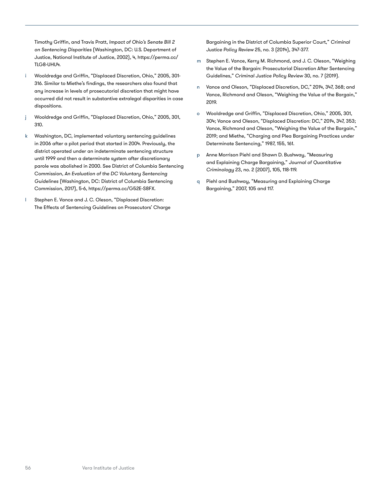Timothy Griffin, and Travis Pratt, *Impact of Ohio's Senate Bill 2 on Sentencing Disparities* (Washington, DC: U.S. Department of Justice, National Institute of Justice, 2002), 4, [https://perma.cc/](https://perma.cc/TLG8-UHU4) [TLG8-UHU4.](https://perma.cc/TLG8-UHU4)

- Wooldredge and Griffin, "Displaced Discretion, Ohio," 2005, 301-316. Similar to Miethe's findings, the researchers also found that any increase in levels of prosecutorial discretion that might have occurred did not result in substantive extralegal disparities in case dispositions.
- j Wooldredge and Griffin, "Displaced Discretion, Ohio," 2005, 301, 310.
- k Washington, DC, implemented voluntary sentencing guidelines in 2006 after a pilot period that started in 2004. Previously, the district operated under an indeterminate sentencing structure until 1999 and then a determinate system after discretionary parole was abolished in 2000. See District of Columbia Sentencing Commission, *An Evaluation of the DC Voluntary Sentencing Guidelines* (Washington, DC: District of Columbia Sentencing Commission, 2017), 5-6,<https://perma.cc/G52E-S8FX>.
- Stephen E. Vance and J. C. Oleson, "Displaced Discretion: The Effects of Sentencing Guidelines on Prosecutors' Charge

Bargaining in the District of Columbia Superior Court," *Criminal Justice Policy Review* 25, no. 3 (2014), 347-377.

- m Stephen E. Vance, Kerry M. Richmond, and J. C. Oleson, "Weighing the Value of the Bargain: Prosecutorial Discretion After Sentencing Guidelines," *Criminal Justice Policy Review* 30, no. 7 (2019).
- n Vance and Oleson, "Displaced Discretion, DC," 2014, 347, 368; and Vance, Richmond and Oleson, "Weighing the Value of the Bargain," 2019.
- o Wooldredge and Griffin, "Displaced Discretion, Ohio," 2005, 301, 304; Vance and Oleson, "Displaced Discretion: DC," 2014, 347, 353; Vance, Richmond and Oleson, "Weighing the Value of the Bargain," 2019; and Miethe, "Charging and Plea Bargaining Practices under Determinate Sentencing," 1987, 155, 161.
- p Anne Morrison Piehl and Shawn D. Bushway, "Measuring and Explaining Charge Bargaining," *Journal of Quantitative Criminology* 23, no. 2 (2007), 105, 118-119.
- q Piehl and Bushway, "Measuring and Explaining Charge Bargaining," 2007, 105 and 117.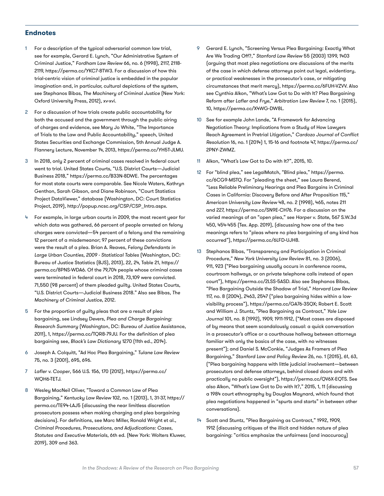#### **Endnotes**

- [1](#page-6-0) For a description of the typical adversarial common law trial, see for example, Gerard E. Lynch, "Our Administrative System of Criminal Justice," *Fordham Law Review* 66, no. 6 (1998), 2117, 2118- 2119, [https://perma.cc/YKC7-8TW3.](https://perma.cc/YKC7-8TW3) For a discussion of how this trial-centric vision of criminal justice is embedded in the popular imagination and, in particular, cultural depictions of the system, see Stephanos Bibas, *The Machinery of Criminal Justice* (New York: Oxford University Press, 2012), xv-xvi.
- [2](#page-6-0) For a discussion of how trials create public accountability for both the accused and the government through the public airing of charges and evidence, see Mary Jo White, "The Importance of Trials to the Law and Public Accountability," speech, United States Securities and Exchange Commission, 5th Annual Judge A. Flannery Lecture, November 14, 2013, <https://perma.cc/YH5T-JLMU>.
- [3](#page-6-0) In 2018, only 2 percent of criminal cases resolved in federal court went to trial. United States Courts, "U.S. District Courts—Judicial Business 2018," [https://perma.cc/B33N-8DWE.](https://perma.cc/B33N-8DWE) The percentages for most state courts were comparable. See Nicole Waters, Kathryn Genthon, Sarah Gibson, and Diane Robinson, "Court Statistics Project DataViewer," database (Washington, DC: Court Statistics Project, 2019), [http://popup.ncsc.org/CSP/CSP\\_Intro.aspx.](http://popup.ncsc.org/CSP/CSP_Intro.aspx)
- [4](#page-6-0) For example, in large urban courts in 2009, the most recent year for which data was gathered, 66 percent of people arrested on felony charges were convicted—54 percent of a felony and the remaining 12 percent of a misdemeanor; 97 percent of these convictions were the result of a plea. Brian A. Reaves, *Felony Defendants in Large Urban Counties, 2009 - Statistical Tables* (Washington, DC: Bureau of Justice Statistics (BJS), 2013), 22, 24, Table 21, [https://](https://perma.cc/8PNS-WDA6) [perma.cc/8PNS-WDA6](https://perma.cc/8PNS-WDA6). Of the 79,704 people whose criminal cases were terminated in federal court in 2018, 73,109 were convicted. 71,550 (98 percent) of them pleaded guilty. United States Courts, "U.S. District Courts—Judicial Business 2018." Also see Bibas, *The Machinery of Criminal Justice*, 2012.
- [5](#page-6-0) For the proportion of guilty pleas that are a result of plea bargaining, see Lindsey Devers, *Plea and Charge Bargaining: Research Summary* (Washington, DC: Bureau of Justice Assistance, 2011), 1, [https://perma.cc/TQR8-79JU.](https://perma.cc/TQR8-79JU) For the definition of plea bargaining see, *Black's Law Dictionary* 1270 (11th ed., 2014).
- [6](#page-6-0) Joseph A. Colquitt, "Ad Hoc Plea Bargaining," *Tulane Law Review* 75, no. 3 (2001), 695, 696.
- [7](#page-7-0) *Lafler v. Cooper*, 566 U.S. 156, 170 (2012), [https://perma.cc/](https://perma.cc/WQH6-TETJ) [WQH6-TETJ](https://perma.cc/WQH6-TETJ).
- [8](#page-7-0) Wesley MacNeil Oliver, "Toward a Common Law of Plea Bargaining," *Kentucky Law Review* 102, no. 1 (2013), 1, 31-37, [https://](https://perma.cc/TE94-LAJ5) [perma.cc/TE94-LAJ5](https://perma.cc/TE94-LAJ5) (discussing the near limitless discretion prosecutors possess when making charging and plea bargaining decisions). For definitions, see Marc Miller, Ronald Wright et al., *Criminal Procedures, Prosecutions, and Adjudications: Cases, Statutes and Executive Materials*, 6th ed. (New York: Wolters Kluwer, 2019), 309 and 363.
- 9 Gerard E. Lynch, "Screening Versus Plea Bargaining: Exactly What Are We Trading Off?," *Stanford Law Review* 55 (2003) 1399, 1403 (arguing that most plea negotiations are discussions of the merits of the case in which defense attorneys point out legal, evidentiary, or practical weaknesses in the prosecutor's case, or mitigating circumstances that merit mercy), [https://perma.cc/6FUH-VZVV.](https://perma.cc/6FUH-VZVV) Also see Cynthia Alkon, "What's Law Got to Do with It? Plea Bargaining Reform after *Lafler* and *Frye*," *Arbitration Law Review* 7, no. 1 (2015), 10, <https://perma.cc/X4WG-DW8L>.
- [10](#page-8-0) See for example John Lande, "A Framework for Advancing Negotiation Theory: Implications from a Study of How Lawyers Reach Agreement in Pretrial Litigation," *Cardozo Journal of Conflict Resolution* 16, no. 1 (2014) 1, 15-16 and footnote 47, [https://perma.cc/](https://perma.cc/2PNY-ZWMZ) [2PNY-ZWMZ.](https://perma.cc/2PNY-ZWMZ)
- [11](#page-8-0) Alkon, "What's Law Got to Do with It?", 2015, 10.
- 12 For "blind plea," see LegalMatch, "Blind plea," [https://perma.](https://perma.cc/6CG9-MSTQ) [cc/6CG9-MSTQ](https://perma.cc/6CG9-MSTQ). For "pleading the sheet," see Laura Berend, "Less Reliable Preliminary Hearings and Plea Bargains in Criminal Cases in California: Discovery Before and After Proposition 115," *American University Law Review* 48, no. 2 (1998), 465, notes 211 and 227,<https://perma.cc/SN9E-CH76>. For a discussion on the varied meanings of an "open plea," see *Harper v. State*, 567 S.W.3d 450, 454-455 (Tex. App. 2019), (discussing how one of the two meanings refers to "pleas where no plea bargaining of any kind has occurred"), [https://perma.cc/6LFD-UJH8.](https://perma.cc/6LFD-UJH8)
- 13 Stephanos Bibas, "Transparency and Participation in Criminal Procedure," *New York University Law Review* 81, no. 3 (2006), 911, 923 ("Plea bargaining usually occurs in conference rooms, courtroom hallways, or on private telephone calls instead of open court"), <https://perma.cc/2LSS-5ASD>. Also see Stephanos Bibas, "Plea Bargaining Outside the Shadow of Trial," *Harvard Law Review* 117, no. 8 (2004), 2463, 2547 ("plea bargaining hides within a lowvisibility process"), [https://perma.cc/GA76-3SQX;](https://perma.cc/GA76-3SQX) Robert E. Scott and William J. Stuntz, "Plea Bargaining as Contract," *Yale Law Journal* 101, no. 8 (1992), 1909, 1911-1912, ("Most cases are disposed of by means that seem scandalously casual: a quick conversation in a prosecutor's office or a courthouse hallway between attorneys familiar with only the basics of the case, with no witnesses present"); and Daniel S. McConkie, "Judges As Framers of Plea Bargaining," *Stanford Law and Policy Review* 26, no. 1 (2015), 61, 63, ("Plea bargaining happens with little judicial involvement—between prosecutors and defense attorneys, behind closed doors and with practically no public oversight"), [https://perma.cc/QV6X-EQTS.](https://perma.cc/QV6X-EQTS) See also Alkon, "What's Law Got to Do with It?," 2015, 1, 11 (discussing a 1984 court ethnography by Douglas Maynard, which found that plea negotiations happened in "spurts and starts" in between other conversations).
- [14](#page-9-0) Scott and Stuntz, "Plea Bargaining as Contract," 1992, 1909, 1912 (discussing critiques of the illicit and hidden nature of plea bargaining: "critics emphasize the unfairness (and inaccuracy)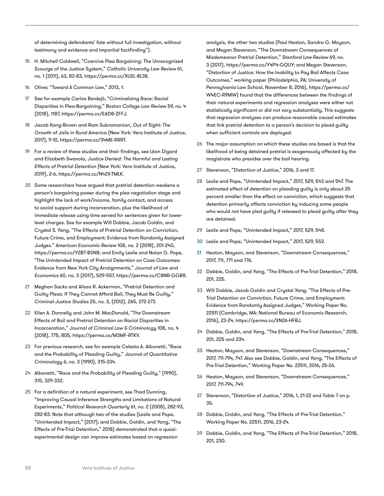of determining defendants' fate without full investigation, without testimony and evidence and impartial factfinding").

- [15](#page-9-0) H. Mitchell Caldwell, "Coercive Plea Bargaining: The Unrecognized Scourge of the Justice System," *Catholic University Law Review* 61, no. 1 (2011), 63, 82-83, [https://perma.cc/XU2L-8L38.](https://perma.cc/XU2L-8L38)
- [16](#page-9-0) Oliver, "Toward A Common Law," 2013, 1.
- 17 See for example Carlos Berdejó, "Criminalizing Race: Racial Disparities in Plea-Bargaining," *Boston College Law Review* 59, no. 4 (2018), 1187,<https://perma.cc/E6D8-ZFFJ>.
- [18](#page-16-0) Jacob Kang-Brown and Ram Subramanian, *Out of Sight: The Growth of Jails in Rural America* (New York: Vera Institute of Justice, 2017), 9-10, [https://perma.cc/34ME-RRRT.](https://perma.cc/34ME-RRRT)
- 19 For a review of these studies and their findings, see Léon Digard and Elizabeth Swavola, *Justice Denied: The Harmful and Lasting Effects of Pretrial Detention* (New York: Vera Institute of Justice, 2019), 2-6,<https://perma.cc/N42X-TMLK>.
- [20](#page-16-0) Some researchers have argued that pretrial detention weakens a person's bargaining power during the plea negotiation stage and highlight the lack of work/income, family contact, and access to social support during incarceration, plus the likelihood of immediate release using time served for sentences given for lowerlevel charges. See for example Will Dobbie, Jacob Goldin, and Crystal S. Yang, "The Effects of Pretrial Detention on Conviction, Future Crime, and Employment: Evidence from Randomly Assigned Judges." *American Economic Review* 108, no. 2 (2018), 201-240, [https://perma.cc/Y2B7-BSN8;](https://perma.cc/Y2B7-BSN8) and Emily Leslie and Nolan G. Pope, "The Unintended Impact of Pretrial Detention on Case Outcomes: Evidence from New York City Arraignments," *Journal of Law and Economics* 60, no. 3 (2017), 529-557, [https://perma.cc/C8NR-GGB8.](https://perma.cc/C8NR-GGB8)
- [21](#page-16-0) Meghan Sacks and Alissa R. Ackerman, "Pretrial Detention and Guilty Pleas: If They Cannot Afford Bail, They Must Be Guilty," *Criminal Justice Studies* 25, no. 3, (2012), 265, 272-273.
- [22](#page-16-0) Ellen A. Donnelly and John M. MacDonald, "The Downstream Effects of Bail and Pretrial Detention on Racial Disparities in Incarceration," *Journal of Criminal Law & Criminology* 108, no. 4 (2018), 775, 805, <https://perma.cc/M3MF-RTKV>.
- [23](#page-16-0) For previous research, see for example Celesta A. Albonetti, "Race and the Probability of Pleading Guilty," *Journal of Quantitative Criminology* 6, no. 3 (1990), 315-334.
- [24](#page-17-0) Albonetti, "Race and the Probability of Pleading Guilty," (1990), 315, 329-332.
- 25 For a definition of a natural experiment, see Thad Dunning, "Improving Causal Inference Strengths and Limitations of Natural Experiments," *Political Research Quarterly* 61, no. 2 (2008), 282-93, 282-83. Note that although two of the studies (Leslie and Pope, "Unintended Impact," (2017); and Dobbie, Goldin, and Yang, "The Effects of Pre-Trial Detention," 2018) demonstrated that a quasiexperimental design can improve estimates based on regression

analysis, the other two studies (Paul Heaton, Sandra G. Mayson, and Megan Stevenson, "The Downstream Consequences of Misdemeanor Pretrial Detention," *Stanford Law Review* 69, no. 3 (2017), <https://perma.cc/Y4P4-GQUY>; and Megan Stevenson, "Distortion of Justice: How the Inability to Pay Bail Affects Case Outcomes," working paper (Philadelphia, PA: University of Pennsylvania Law School, November 8, 2016), [https://perma.cc/](https://perma.cc/W4EC-R9MW) [W4EC-R9MW\)](https://perma.cc/W4EC-R9MW) found that the differences between the findings of their natural experiments and regression analyses were either not statistically significant or did not vary substantially. This suggests that regression analyses can produce reasonable causal estimates that link pretrial detention to a person's decision to plead guilty when sufficient controls are deployed.

- 26 The major assumption on which these studies are based is that the likelihood of being detained pretrial is exogenously affected by the magistrate who presides over the bail hearing.
- 27 Stevenson, "Distortion of Justice," 2016, 3 and 17.
- 28 Leslie and Pope, "Unintended Impact," 2017, 529, 543 and 547. The estimated effect of detention on pleading guilty is only about 25 percent smaller than the effect on conviction, which suggests that detention primarily affects conviction by inducing some people who would not have pled guilty if released to plead guilty after they are detained.
- 29 Leslie and Pope, "Unintended Impact," 2017, 529, 548.
- 30 Leslie and Pope, "Unintended Impact," 2017, 529, 552.
- [31](#page-19-0) Heaton, Mayson, and Stevenson, "Downstream Consequences," 2017, 711, 771 and 776.
- [32](#page-19-0) Dobbie, Goldin, and Yang, "The Effects of Pre-Trial Detention," 2018, 201, 225.
- [33](#page-19-0) Will Dobbie, Jacob Goldin and Crystal Yang, "The Effects of Pre-Trial Detention on Conviction, Future Crime, and Employment: Evidence from Randomly Assigned Judges," Working Paper No. 22511 (Cambridge, MA: National Bureau of Economic Research, 2016), 23-24, <https://perma.cc/XN26-HFBJ>.
- 34 Dobbie, Goldin, and Yang, "The Effects of Pre-Trial Detention," 2018, 201, 225 and 234.
- [35](#page-19-0) Heaton, Mayson, and Stevenson, "Downstream Consequences," 2017, 711-794, 747. Also see Dobbie, Goldin, and Yang, "The Effects of Pre-Trial Detention," Working Paper No. 22511, 2016, 25-26.
- 36 Heaton, Mayson, and Stevenson, "Downstream Consequences," 2017, 711-794, 749.
- [37](#page-19-0) Stevenson, "Distortion of Justice," 2016, 1, 21-22 and Table 7 on p. 35.
- 38 Dobbie, Goldin, and Yang, "The Effects of Pre-Trial Detention," Working Paper No. 22511, 2016, 23-24.
- 39 Dobbie, Goldin, and Yang, "The Effects of Pre-Trial Detention," 2018, 201, 230.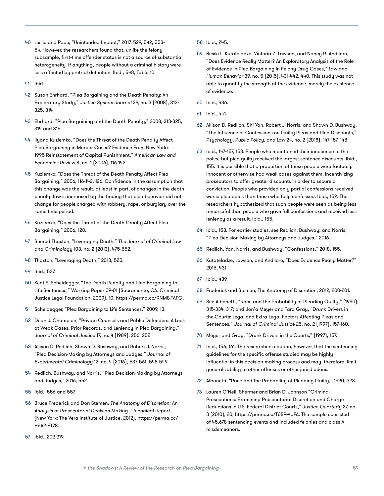- 40 Leslie and Pope, "Unintended Impact," 2017, 529, 542, 553- 54. However, the researchers found that, unlike the felony subsample, first-time offender status is not a source of substantial heterogeneity. If anything, people without a criminal history were less affected by pretrial detention. Ibid., 548, Table 10.
- 41 Ibid.
- 42 Susan Ehrhard, "Plea Bargaining and the Death Penalty: An Exploratory Study," *Justice System Journal* 29, no. 3 (2008), 313- 325, 314.
- 43 Ehrhard, "Plea Bargaining and the Death Penalty," 2008, 313-325, 314 and 316.
- 44 Ilyana Kuziemko, "Does the Threat of the Death Penalty Affect Plea Bargaining in Murder Cases? Evidence From New York's 1995 Reinstatement of Capital Punishment," *American Law and Economics Review* 8, no. 1 (2006), 116-142.
- 45 Kuziemko, "Does the Threat of the Death Penalty Affect Plea Bargaining," 2006, 116-142, 126. Confidence in the assumption that this change was the result, at least in part, of changes in the death penalty law is increased by the finding that plea behavior did not change for people charged with robbery, rape, or burglary over the same time period.
- 46 Kuziemko, "Does the Threat of the Death Penalty Affect Plea Bargaining," 2006, 128.
- 47 Sherod Thaxton, "Leveraging Death," *The Journal of Criminal Law and Criminology* 103, no. 2 (2013), 475-552.
- 48 Thaxton, "Leveraging Death," 2013, 525.
- 49 Ibid., 537.
- 50 Kent S. Scheidegger, "The Death Penalty and Plea Bargaining to Life Sentences," Working Paper 09-01 (Sacramento, CA: Criminal Justice Legal Foundation, 2009), 10, <https://perma.cc/RNM8-TAFG>.
- 51 Scheidegger, "Plea Bargaining to Life Sentences," 2009, 13.
- 52 Dean J. Champion, "Private Counsels and Public Defenders: A Look at Weak Cases, Prior Records, and Leniency in Plea Bargaining," *Journal of Criminal Justice* 17, no. 4 (1989), 256, 257.
- 53 Allison D. Redlich, Shawn D. Bushway, and Robert J. Norris, "Plea Decision-Making by Attorneys and Judges," *Journal of Experimental Criminology* 12, no. 4 (2016), 537-561, 548-549.
- 54 Redlich, Bushway, and Norris, "Plea Decision-Making by Attorneys and Judges," 2016, 552.
- 55 Ibid., 556 and 557.
- 56 Bruce Frederick and Don Stemen, *The Anatomy of Discretion: An Analysis of Prosecutorial Decision Making – Technical Report* (New York: The Vera Institute of Justice, 2012), [https://perma.cc/](https://perma.cc/H6A2-ET78) [H6A2-ET78](https://perma.cc/H6A2-ET78).
- 57 Ibid., 202-219.
- 58 Ibid., 245.
- 59 Besiki L. Kutateladze, Victoria Z. Lawson, and Nancy R. Andiloro, "Does Evidence Really Matter? An Exploratory Analysis of the Role of Evidence in Plea Bargaining in Felony Drug Cases," *Law and Human Behavior* 39, no. 5 (2015), 431-442, 440. This study was not able to quantify the strength of the evidence, merely the existence of evidence.
- 60 Ibid., 436.
- 61 Ibid., 441.
- 62 Allison D. Redlich, Shi Yan, Robert J. Norris, and Shawn D. Bushway, "The Influence of Confessions on Guilty Pleas and Plea Discounts," *Psychology, Public Policy, and Law* 24, no. 2 (2018), 147-157, 148.
- 63 Ibid., 147-157, 153. People who maintained their innocence to the police but pled guilty received the largest sentence discounts. Ibid., 155. It is possible that a proportion of these people were factually innocent or otherwise had weak cases against them, incentivizing prosecutors to offer greater discounts in order to secure a conviction. People who provided only partial confessions received worse plea deals than those who fully confessed. Ibid., 152. The researchers hypothesized that such people were seen as being less remorseful than people who gave full confessions and received less leniency as a result. Ibid., 155.
- 64 Ibid., 153. For earlier studies, see Redlich, Bushway, and Norris, "Plea Decision-Making by Attorneys and Judges," 2016.
- 65 Redlich, Yan, Norris, and Bushway, "Confessions," 2018, 155.
- 66 Kutateladze, Lawson, and Andiloro, "Does Evidence Really Matter?" 2015, 431.
- 67 Ibid., 439.
- 68 Frederick and Stemen, The Anatomy of Discretion, 2012, 200-201.
- 69 See Albonetti, "Race and the Probability of Pleading Guilty," (1990), 315-334, 317; and Jon'a Meyer and Tara Gray, "Drunk Drivers in the Courts: Legal and Extra-Legal Factors Affecting Pleas and Sentences," *Journal of Criminal Justice* 25, no. 2 (1997), 157-160.
- 70 Meyer and Gray, "Drunk Drivers in the Courts," (1997), 157.
- 71 Ibid., 156, 161. The researchers caution, however, that the sentencing guidelines for the specific offense studied may be highly influential in this decision-making process and may, therefore, limit generalizability to other offenses or other jurisdictions.
- 72 Albonetti, "Race and the Probability of Pleading Guilty," 1990, 323.
- 73 Lauren O'Neill Shermer and Brian D. Johnson "Criminal Prosecutions: Examining Prosecutorial Discretion and Charge Reductions in U.S. Federal District Courts," *Justice Quarterly* 27, no. 3 (2010), 20, [https://perma.cc/T6B9-VUFA.](https://perma.cc/T6B9-VUFA) The sample consisted of 45,678 sentencing events and included felonies and class A misdemeanors.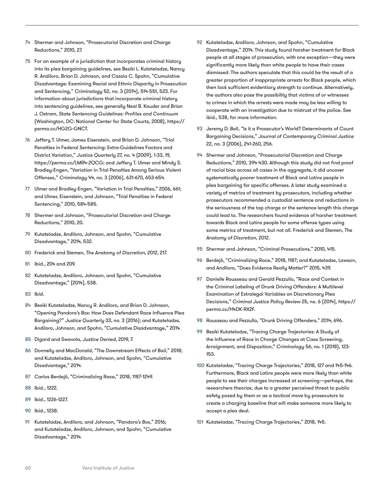- 74 Shermer and Johnson, "Prosecutorial Discretion and Charge Reductions," 2010, 27.
- 75 For an example of a jurisdiction that incorporates criminal history into its plea bargaining guidelines, see Besiki L. Kutateladze, Nancy R. Andiloro, Brian D. Johnson, and Cassia C. Spohn, "Cumulative Disadvantage: Examining Racial and Ethnic Disparity in Prosecution and Sentencing," *Criminology* 52, no. 3 (2014), 514-551, 523. For information about jurisdictions that incorporate criminal history into sentencing guidelines, see generally Neal B. Kauder and Brian J. Ostram, *State Sentencing Guidelines: Profiles and Continuum* (Washington, DC: National Center for State Courts, 2008), [https://](https://perma.cc/HG2G-GNCT) [perma.cc/HG2G-GNCT](https://perma.cc/HG2G-GNCT).
- 76 Jeffery T. Ulmer, James Eisenstein, and Brian D. Johnson, "Trial Penalties in Federal Sentencing: Extra-Guidelines Factors and District Variation," *Justice Quarterly* 27, no. 4 (2009), 1-33, 19, [https://perma.cc/LMR4-2QCG;](https://perma.cc/LMR4-2QCG) and Jeffery T. Ulmer and Mindy S. Bradley-Engen, "Variation in Trial Penalties Among Serious Violent Offenses," *Criminology* 44, no. 3 (2006), 631-670, 653-654.
- 77 Ulmer and Bradley-Engen, "Variation in Trial Penalties," 2006, 661; and Ulmer, Eisenstein, and Johnson, "Trial Penalties in Federal Sentencing," 2010, 584-585.
- 78 Shermer and Johnson, "Prosecutorial Discretion and Charge Reductions," 2010, 20.
- 79 Kutateladze, Andiloro, Johnson, and Spohn, "Cumulative Disadvantage," 2014, 532.
- 80 Frederick and Stemen, *The Anatomy of Discretion*, 2012, 217.
- 81 Ibid., 204 and 209.
- 82 Kutateladze, Andiloro, Johnson, and Spohn, "Cumulative Disadvantage," (2014), 538.
- 83 Ibid.
- 84 Besiki Kutateladze, Nancy R. Andiloro, and Brian D. Johnson, "Opening Pandora's Box: How Does Defendant Race Influence Plea Bargaining?" *Justice Quarterly* 33, no. 3 (2016); and Kutateladze, Andiloro, Johnson, and Spohn, "Cumulative Disadvantage," 2014.
- 85 Digard and Swavola, *Justice Denied*, 2019, 7.
- 86 Donnelly and MacDonald, "The Downstream Effects of Bail," 2018; and Kutateladze, Andiloro, Johnson, and Spohn, "Cumulative Disadvantage," 2014.
- 87 Carlos Berdejó, "Criminalizing Race," 2018, 1187-1249.
- 88 Ibid., 1222.
- 89 Ibid., 1226-1227.
- 90 Ibid., 1238.
- 91 Kutateladze, Andiloro, and Johnson, "Pandora's Box," 2016; and Kutateladze, Andiloro, Johnson, and Spohn, "Cumulative Disadvantage," 2014.
- 92 Kutateladze, Andiloro, Johnson, and Spohn, "Cumulative Disadvantage," 2014. This study found harsher treatment for Black people at all stages of prosecution, with one exception—they were significantly more likely than white people to have their cases dismissed. The authors speculate that this could be the result of a greater proportion of inappropriate arrests for Black people, which then lack sufficient evidentiary strength to continue. Alternatively, the authors also pose the possibility that victims of or witnesses to crimes in which the arrests were made may be less willing to cooperate with an investigation due to mistrust of the police. See ibid., 538, for more information.
- 93 Jeremy D. Ball, "Is it a Prosecutor's World? Determinants of Count Bargaining Decisions," *Journal of Contemporary Criminal Justice* 22, no. 3 (2006), 241-260, 256.
- 94 Shermer and Johnson, "Prosecutorial Discretion and Charge Reductions," 2010, 394-430. Although this study did not find proof of racial bias across all cases in the aggregate, it did uncover systematically poorer treatment of Black and Latinx people in plea bargaining for specific offenses. A later study examined a variety of metrics of treatment by prosecutors, including whether prosecutors recommended a custodial sentence and reductions in the seriousness of the top charge or the sentence length this charge could lead to. The researchers found evidence of harsher treatment towards Black and Latinx people for some offense types using some metrics of treatment, but not all. Frederick and Stemen, *The Anatomy of Discretion*, 2012.
- 95 Shermer and Johnson, "Criminal Prosecutions," 2010, 415.
- 96 Berdejó, "Criminalizing Race," 2018, 1187; and Kutateladze, Lawson, and Andiloro, "Does Evidence Really Matter?" 2015, 439.
- 97 Danielle Rousseau and Gerald Pezzullo, "Race and Context in the Criminal Labeling of Drunk Driving Offenders: A Multilevel Examination of Extralegal Variables on Discretionary Plea Decisions," *Criminal Justice Policy Review* 25, no. 6 (2014), [https://](https://perma.cc/H4DK-RX2F) [perma.cc/H4DK-RX2F.](https://perma.cc/H4DK-RX2F)
- 98 Rousseau and Pezzullo, "Drunk Driving Offenders," 2014, 696.
- 99 Besiki Kutateladze, "Tracing Charge Trajectories: A Study of the Influence of Race in Charge Changes at Case Screening, Arraignment, and Disposition," *Criminology* 56, no. 1 (2018), 123- 153.
- 100 Kutateladze, "Tracing Charge Trajectories," 2018, 127 and 145-146. Furthermore, Black and Latinx people were more likely than white people to see their charges increased at screening—perhaps, the researchers theorize, due to a greater perceived threat to public safety posed by them or as a tactical move by prosecutors to create a charging baseline that will make someone more likely to accept a plea deal.
- 101 Kutateladze, "Tracing Charge Trajectories," 2018, 145.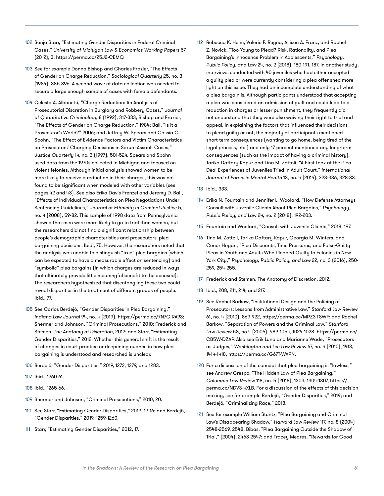- <span id="page-66-0"></span>102 Sonja Starr, "Estimating Gender Disparities in Federal Criminal Cases," *University of Michigan Law & Economics Working Papers* 57 (2012), 3, [https://perma.cc/25J2-CEMQ.](https://perma.cc/25J2-CEMQ)
- 103 See for example Donna Bishop and Charles Frazier, "The Effects of Gender on Charge Reduction," *Sociological Quarterly* 25, no. 3 (1984), 385-396. A second wave of data collection was needed to secure a large enough sample of cases with female defendants.
- 104 Celesta A. Albonetti, "Charge Reduction: An Analysis of Prosecutorial Discretion in Burglary and Robbery Cases," *Journal of Quantitative Criminology* 8 (1992), 317-333; Bishop and Frazier, "The Effects of Gender on Charge Reduction," 1984; Ball, "Is it a Prosecutor's World?" 2006; and Jeffrey W. Spears and Cassia C. Spohn, "The Effect of Evidence Factors and Victim Characteristics on Prosecutors' Charging Decisions in Sexual Assault Cases," *Justice Quarterly* 14, no. 3 (1997), 501-524. Spears and Spohn used data from the 1970s collected in Michigan and focused on violent felonies. Although initial analysis showed women to be more likely to receive a reduction in their charges, this was not found to be significant when modeled with other variables (see pages 42 and 43). See also Erika Davis Frenzel and Jeremy D. Ball, "Effects of Individual Characteristics on Plea Negotiations Under Sentencing Guidelines," *Journal of Ethnicity in Criminal Justice* 5, no. 4 (2008), 59-82. This sample of 1998 data from Pennsylvania showed that men were more likely to go to trial than women, but the researchers did not find a significant relationship between people's demographic characteristics and prosecutors' plea bargaining decisions. Ibid., 75. However, the researchers noted that the analysis was unable to distinguish "true" plea bargains (which can be expected to have a measurable effect on sentencing) and "symbolic" plea bargains (in which charges are reduced in ways that ultimately provide little meaningful benefit to the accused). The researchers hypothesized that disentangling these two could reveal disparities in the treatment of different groups of people. Ibid., 77.
- 105 See Carlos Berdejó, "Gender Disparities in Plea Bargaining," *Indiana Law Journal* 94, no. 4 (2019), [https://perma.cc/7N7C-RA93;](https://perma.cc/7N7C-RA93) Shermer and Johnson, "Criminal Prosecutions," 2010; Frederick and Stemen, *The Anatomy of Discretion*, 2012; and Starr, "Estimating Gender Disparities," 2012. Whether this general shift is the result of changes in court practice or deepening nuance in how plea bargaining is understood and researched is unclear.
- 106 Berdejó, "Gender Disparities," 2019, 1272, 1279, and 1283.
- 107 Ibid., 1260-61.
- 108 Ibid., 1265-66.
- 109 Shermer and Johnson, "Criminal Prosecutions," 2010, 20.
- 110 See Starr, "Estimating Gender Disparities," 2012, 12-16; and Berdejó, "Gender Disparities," 2019, 1259-1260.
- 111 Starr, "Estimating Gender Disparities," 2012, 17.
- 112 Rebecca K. Helm, Valerie F. Reyna, Allison A. Franz, and Rachel Z. Novick, "Too Young to Plead? Risk, Rationality, and Plea Bargaining's Innocence Problem in Adolescents," *Psychology, Public Policy, and Law* 24, no. 2 (2018), 180-191, 187. In another study, interviews conducted with 40 juveniles who had either accepted a guilty plea or were currently considering a plea offer shed more light on this issue. They had an incomplete understanding of what a plea bargain is. Although participants understood that accepting a plea was considered an admission of guilt and could lead to a reduction in charges or lesser punishment, they frequently did not understand that they were also waiving their right to trial and appeal. In explaining the factors that influenced their decisions to plead guilty or not, the majority of participants mentioned short-term consequences (wanting to go home, being tired of the legal process, etc.) and only 17 percent mentioned any long-term consequences (such as the impact of having a criminal history). Tarika Daftary-Kapur and Tina M. Zottoli, "A First Look at the Plea Deal Experiences of Juveniles Tried in Adult Court," *International Journal of Forensic Mental Health* 13, no. 4 (2014), 323-336, 328-33.
- 113 Ibid., 333.
- 114 Erika N. Fountain and Jennifer L. Woolard, "How Defense Attorneys Consult with Juvenile Clients About Plea Bargains," *Psychology, Public Policy, and Law* 24, no. 2 (2018), 192-203.
- 115 Fountain and Woolard, "Consult with Juvenile Clients," 2018, 197.
- 116 Tina M. Zottoli, Tarika Daftary-Kapur, Georgia M. Winters, and Conor Hogan, "Plea Discounts, Time Pressures, and False-Guilty Pleas in Youth and Adults Who Pleaded Guilty to Felonies in New York City," *Psychology, Public Policy, and Law* 22, no. 3 (2016), 250- 259, 254-255.
- 117 Frederick and Stemen, The Anatomy of Discretion, 2012.
- 118 Ibid., 208, 211, 214, and 217.
- 119 See Rachel Barkow, "Institutional Design and the Policing of Prosecutors: Lessons from Administrative Law," *Stanford Law Review* 61, no. 4 (2010), 869-922, [https://perma.cc/MPZ3-TSWF;](https://perma.cc/MPZ3-TSWF) and Rachel Barkow, "Separation of Powers and the Criminal Law," *Stanford Law Review* 58, no.4 (2006), 989-1054, 1024-1028, [https://perma.cc/](https://perma.cc/CB5W-DZAP) [CB5W-DZAP.](https://perma.cc/CB5W-DZAP) Also see Erik Luna and Marianne Wade, "Prosecutors as Judges," *Washington and Lee Law Review* 67, no. 4 (2010), 1413, 1414-1418,<https://perma.cc/G67T-WAPN>.
- 120 For a discussion of the concept that plea bargaining is "lawless," see Andrew Crespo, "The Hidden Law of Plea Bargaining," *Columbia Law Review* 118, no. 5 (2018), 1303, 1304-1307, [https://](https://perma.cc/NDV3-4XLB) [perma.cc/NDV3-4XLB.](https://perma.cc/NDV3-4XLB) For a discussion of the effects of this decision making, see for example Berdejó, "Gender Disparities," 2019; and Berdejó, "Criminalizing Race," 2018.
- 121 See for example William Stuntz, "Plea Bargaining and Criminal Law's Disappearing Shadow," *Harvard Law Review* 117, no. 8 (2004) 2548-2569, 2548; Bibas, "Plea Bargaining Outside the Shadow of Trial," (2004), 2463-2547; and Tracey Meares, "Rewards for Good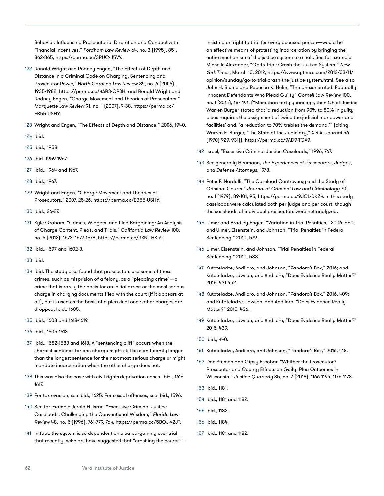<span id="page-67-0"></span>Behavior: Influencing Prosecutorial Discretion and Conduct with Financial Incentives," *Fordham Law Review* 64, no. 3 (1995), 851, 862-865,<https://perma.cc/3RUC-J5VV>.

- 122 Ronald Wright and Rodney Engen, "The Effects of Depth and Distance in a Criminal Code on Charging, Sentencing and Prosecutor Power," *North Carolina Law Review* 84, no. 6 (2006), 1935-1982,<https://perma.cc/4AR3-QP3H>; and Ronald Wright and Rodney Engen, "Charge Movement and Theories of Prosecutors," *Marquette Law Review* 91, no. 1 (2007), 9-38, [https://perma.cc/](https://perma.cc/EB55-USHY) [EB55-USHY](https://perma.cc/EB55-USHY).
- 123 Wright and Engen, "The Effects of Depth and Distance," 2006, 1940.
- 124 Ibid.
- 125 Ibid., 1958.
- 126 Ibid.,1959-1967.
- 127 Ibid., 1964 and 1967.
- 128 Ibid., 1967.
- 129 Wright and Engen, "Charge Movement and Theories of Prosecutors," 2007, 25-26, [https://perma.cc/EB55-USHY.](https://perma.cc/EB55-USHY)
- 130 Ibid., 26-27.
- 131 Kyle Graham, "Crimes, Widgets, and Plea Bargaining: An Analysis of Charge Content, Pleas, and Trials," *California Law Review* 100, no. 6 (2012), 1573, 1577-1578,<https://perma.cc/3XNL-HK44>.
- 132 Ibid., 1597 and 1602-3.
- 133 Ibid.
- 134 Ibid. The study also found that prosecutors use some of these crimes, such as misprision of a felony, as a "pleading crime"—a crime that is rarely the basis for an initial arrest or the most serious charge in charging documents filed with the court (if it appears at all), but is used as the basis of a plea deal once other charges are dropped. Ibid., 1605.
- 135 Ibid., 1608 and 1618-1619.
- 136 Ibid., 1605-1613.
- 137 Ibid., 1582-1583 and 1613. A "sentencing cliff" occurs when the shortest sentence for one charge might still be significantly longer than the longest sentence for the next most serious charge or might mandate incarceration when the other charge does not.
- 138 This was also the case with civil rights deprivation cases. Ibid., 1616- 1617.
- 139 For tax evasion, see ibid., 1625. For sexual offenses, see ibid., 1596.
- 140 See for example Jerold H. Israel "Excessive Criminal Justice Caseloads: Challenging the Conventional Wisdom," *Florida Law Review* 48, no. 5 (1996), 761-779, 764, [https://perma.cc/5BQJ-V2JT.](https://perma.cc/5BQJ-V2JT)
- 141 In fact, the system is so dependent on plea bargaining over trial that recently, scholars have suggested that "crashing the courts"—

insisting on right to trial for every accused person—would be an effective means of protesting incarceration by bringing the entire mechanism of the justice system to a halt. See for example Michelle Alexander, "Go to Trial: Crash the Justice System," *New York Times*, March 10, 2012, [https://www.nytimes.com/2012/03/11/](https://www.nytimes.com/2012/03/11/opinion/sunday/go-to-trial-crash-the-justice-system.html) [opinion/sunday/go-to-trial-crash-the-justice-system.html.](https://www.nytimes.com/2012/03/11/opinion/sunday/go-to-trial-crash-the-justice-system.html) See also John H. Blume and Rebecca K. Helm, "The Unexonerated: Factually Innocent Defendants Who Plead Guilty" *Cornell Law Review* 100, no. 1 (2014), 157-191, ("More than forty years ago, then Chief Justice Warren Burger stated that 'a reduction from 90% to 80% in guilty pleas requires the assignment of twice the judicial manpower and facilities' and, 'a reduction to 70% trebles the demand.'" (citing Warren E. Burger, "The State of the Judiciary," *A.B.A. Journal* 56 (1970) 929, 931)), [https://perma.cc/9AD9-TGX9.](https://perma.cc/9AD9-TGX9)

- 142 Israel, "Excessive Criminal Justice Caseloads," 1996, 767.
- 143 See generally Heumann, *The Experiences of Prosecutors, Judges, and Defense Attorneys*, 1978.
- 144 Peter F. Nardulli, "The Caseload Controversy and the Study of Criminal Courts," *Journal of Criminal Law and Criminology* 70, no. 1 (1979), 89-101, 95,<https://perma.cc/9JCL-DKZ4>. In this study caseloads were calculated both per judge and per court, though the caseloads of individual prosecutors were not analyzed.
- 145 Ulmer and Bradley-Engen, "Variation in Trial Penalties," 2006, 650; and Ulmer, Eisenstein, and Johnson, "Trial Penalties in Federal Sentencing," 2010, 579.
- 146 Ulmer, Eisenstein, and Johnson, "Trial Penalties in Federal Sentencing," 2010, 588.
- 147 Kutateladze, Andiloro, and Johnson, "Pandora's Box," 2016; and Kutateladze, Lawson, and Andiloro, "Does Evidence Really Matter?" 2015, 431-442.
- 148 Kutateladze, Andiloro, and Johnson, "Pandora's Box," 2016, 409; and Kutateladze, Lawson, and Andiloro, "Does Evidence Really Matter?" 2015, 436.
- 149 Kutateladze, Lawson, and Andiloro, "Does Evidence Really Matter?" 2015, 439.
- 150 Ibid., 440.
- 151 Kutateladze, Andiloro, and Johnson, "Pandora's Box," 2016, 418.
- 152 Don Stemen and Gipsy Escobar, "Whither the Prosecutor? Prosecutor and County Effects on Guilty Plea Outcomes in Wisconsin," *Justice Quarterly* 35, no. 7 (2018), 1166-1194, 1175-1178.
- 153 Ibid., 1181.
- 154 Ibid., 1181 and 1182.
- 155 Ibid., 1182.
- 156 Ibid., 1184.
- 157 Ibid., 1181 and 1182.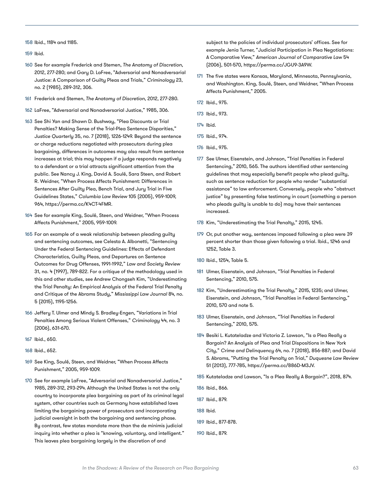<span id="page-68-0"></span>158 Ibid., 1184 and 1185.

159 Ibid.

- 160 See for example Frederick and Stemen, *The Anatomy of Discretion*, 2012, 277-280; and Gary D. LaFree, "Adversarial and Nonadversarial Justice: A Comparison of Guilty Pleas and Trials," *Criminology* 23, no. 2 (1985), 289-312, 306.
- 161 Frederick and Stemen, *The Anatomy of Discretion*, 2012, 277-280.
- 162 LaFree, "Adversarial and Nonadversarial Justice," 1985, 306.
- 163 See Shi Yan and Shawn D. Bushway, "Plea Discounts or Trial Penalties? Making Sense of the Trial-Plea Sentence Disparities," *Justice Quarterly* 35, no. 7 (2018), 1226-1249. Beyond the sentence or charge reductions negotiated with prosecutors during plea bargaining, differences in outcomes may also result from sentence increases at trial; this may happen if a judge responds negatively to a defendant or a trial attracts significant attention from the public. See Nancy J. King, David A. Soulé, Sara Steen, and Robert R. Weidner, "When Process Affects Punishment: Differences in Sentences After Guilty Plea, Bench Trial, and Jury Trial in Five Guidelines States," *Columbia Law Review* 105 (2005), 959-1009, 964,<https://perma.cc/K4CT-4FMR>.
- 164 See for example King, Soulé, Steen, and Weidner, "When Process Affects Punishment," 2005, 959-1009.
- 165 For an example of a weak relationship between pleading guilty and sentencing outcomes, see Celesta A. Albonetti, "Sentencing Under the Federal Sentencing Guidelines: Effects of Defendant Characteristics, Guilty Pleas, and Departures on Sentence Outcomes for Drug Offenses, 1991-1992," *Law and Society Review* 31, no. 4 (1997), 789-822. For a critique of the methodology used in this and other studies, see Andrew Chongseh Kim, "Underestimating the Trial Penalty: An Empirical Analysis of the Federal Trial Penalty and Critique of the Abrams Study," *Mississippi Law Journal* 84, no. 5 (2015), 1195-1256.
- 166 Jeffery T. Ulmer and Mindy S. Bradley-Engen, "Variations in Trial Penalties Among Serious Violent Offenses," *Criminology* 44, no. 3 (2006), 631-670.
- 167 Ibid., 650.
- 168 Ibid., 652.
- 169 See King, Soulé, Steen, and Weidner, "When Process Affects Punishment," 2005, 959-1009.
- 170 See for example LaFree, "Adversarial and Nonadversarial Justice," 1985, 289-312, 293-294. Although the United States is not the only country to incorporate plea bargaining as part of its criminal legal system, other countries such as Germany have established laws limiting the bargaining power of prosecutors and incorporating judicial oversight in both the bargaining and sentencing phase. By contrast, few states mandate more than the de minimis judicial inquiry into whether a plea is "knowing, voluntary, and intelligent." This leaves plea bargaining largely in the discretion of and

subject to the policies of individual prosecutors' offices. See for example Jenia Turner, "Judicial Participation in Plea Negotiations: A Comparative View," *American Journal of Comparative Law* 54 (2006), 501-570, <https://perma.cc/JGU9-3A9W>.

- 171 The five states were Kansas, Maryland, Minnesota, Pennsylvania, and Washington. King, Soulé, Steen, and Weidner, "When Process Affects Punishment," 2005.
- 172 Ibid., 975.
- 173 Ibid., 973.
- 174 Ibid.
- 175 Ibid., 974.
- 176 Ibid., 975.
- 177 See Ulmer, Eisenstein, and Johnson, "Trial Penalties in Federal Sentencing," 2010, 565. The authors identified other sentencing guidelines that may especially benefit people who plead guilty, such as sentence reduction for people who render "substantial assistance" to law enforcement. Conversely, people who "obstruct justice" by presenting false testimony in court (something a person who pleads guilty is unable to do) may have their sentences increased.
- 178 Kim, "Underestimating the Trial Penalty," 2015, 1245.
- 179 Or, put another way, sentences imposed following a plea were 39 percent shorter than those given following a trial. Ibid., 1246 and 1252, Table 3.
- 180 Ibid., 1254, Table 5.
- 181 Ulmer, Eisenstein, and Johnson, "Trial Penalties in Federal Sentencing," 2010, 575.
- 182 Kim, "Underestimating the Trial Penalty," 2015, 1235; and Ulmer, Eisenstein, and Johnson, "Trial Penalties in Federal Sentencing," 2010, 570 and note 5.
- 183 Ulmer, Eisenstein, and Johnson, "Trial Penalties in Federal Sentencing," 2010, 575.
- 184 Besiki L. Kutateladze and Victoria Z. Lawson, "Is a Plea Really a Bargain? An Analysis of Plea and Trial Dispositions in New York City," *Crime and Delinquency* 64, no. 7 (2018), 856-887; and David S. Abrams, "Putting the Trial Penalty on Trial," *Duquesne Law Review*  51 (2013), 777-785, <https://perma.cc/886D-M3JV>.
- 185 Kutateladze and Lawson, "Is a Plea Really A Bargain?", 2018, 874.
- 186 Ibid., 866.
- 187 Ibid., 879.
- 188 Ibid.
- 189 Ibid., 877-878.
- 190 Ibid., 879.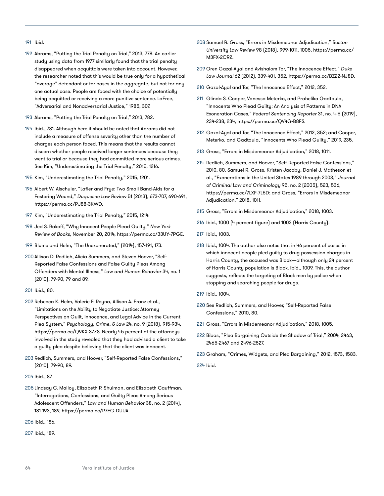#### <span id="page-69-0"></span>191 Ibid.

- 192 Abrams, "Putting the Trial Penalty on Trial," 2013, 778. An earlier study using data from 1977 similarly found that the trial penalty disappeared when acquittals were taken into account. However, the researcher noted that this would be true only for a hypothetical "average" defendant or for cases in the aggregate, but not for any one actual case. People are faced with the choice of potentially being acquitted or receiving a more punitive sentence. LaFree, "Adversarial and Nonadversarial Justice," 1985, 307.
- 193 Abrams, "Putting the Trial Penalty on Trial," 2013, 782.
- 194 Ibid., 781. Although here it should be noted that Abrams did not include a measure of offense severity other than the number of charges each person faced. This means that the results cannot discern whether people received longer sentences because they went to trial or because they had committed more serious crimes. See Kim, "Underestimating the Trial Penalty," 2015, 1216.
- 195 Kim, "Underestimating the Trial Penalty," 2015, 1201.
- 196 Albert W. Alschuler, "Lafler and Frye: Two Small Band-Aids for a Festering Wound," *Duquesne Law Review* 51 (2013), 673-707, 690-691, <https://perma.cc/PJ88-3KWD>.
- 197 Kim, "Underestimating the Trial Penalty," 2015, 1214.
- 198 Jed S. Rakoff, "Why Innocent People Plead Guilty," *New York Review of Books*, November 20, 2014, [https://perma.cc/33UY-7PGE.](https://perma.cc/33UY-7PGE)
- 199 Blume and Helm, "The Unexonerated," (2014), 157-191, 173.
- 200 Allison D. Redlich, Alicia Summers, and Steven Hoover, "Self-Reported False Confessions and False Guilty Pleas Among Offenders with Mental Illness," *Law and Human Behavior* 34, no. 1 (2010), 79-90, 79 and 89.
- 201 Ibid., 80.
- 202 Rebecca K. Helm, Valerie F. Reyna, Allison A. Franz et al., "Limitations on the Ability to Negotiate Justice: Attorney Perspectives on Guilt, Innocence, and Legal Advice in the Current Plea System," *Psychology, Crime, & Law* 24, no. 9 (2018), 915-934, [https://perma.cc/Q9KX-37ZS.](https://perma.cc/Q9KX-37ZS) Nearly 45 percent of the attorneys involved in the study revealed that they had advised a client to take a guilty plea despite believing that the client was innocent.
- 203 Redlich, Summers, and Hoover, "Self-Reported False Confessions," (2010), 79-90, 89.
- 204 Ibid., 87.
- 205 Lindsay C. Malloy, Elizabeth P. Shulman, and Elizabeth Cauffman, "Interrogations, Confessions, and Guilty Pleas Among Serious Adolescent Offenders," *Law and Human Behavior* 38, no. 2 (2014), 181-193, 189, [https://perma.cc/P7EG-DUUA.](https://perma.cc/P7EG-DUUA)

206 Ibid., 186.

207 Ibid., 189.

- 208 Samuel R. Gross, "Errors in Misdemeanor Adjudication," *Boston University Law Review* 98 (2018), 999-1011, 1005, [https://perma.cc/](https://perma.cc/M3FX-2CR2) [M3FX-2CR2](https://perma.cc/M3FX-2CR2).
- 209 Oren Gazal-Ayal and Avishalom Tor, "The Innocence Effect," *Duke Law Journal* 62 (2012), 339-401, 352,<https://perma.cc/BZ22-NJ8D>.
- 210 Gazal-Ayal and Tor, "The Innocence Effect," 2012, 352.
- 211 Glinda S. Cooper, Vanessa Meterko, and Prahelika Gadtaula, "Innocents Who Plead Guilty: An Analysis of Patterns in DNA Exoneration Cases," *Federal Sentencing Reporter* 31, no. 4-5 (2019), 234-238, 234, <https://perma.cc/QV4G-B8FS>.
- 212 Gazal-Ayal and Tor, "The Innocence Effect," 2012, 352; and Cooper, Meterko, and Gadtaula, "Innocents Who Plead Guilty," 2019, 235.
- 213 Gross, "Errors in Misdemeanor Adjudication," 2018, 1011.
- 214 Redlich, Summers, and Hoover, "Self-Reported False Confessions," 2010, 80. Samuel R. Gross, Kristen Jacoby, Daniel J. Matheson et al., "Exonerations in the United States 1989 through 2003," *Journal of Criminal Law and Criminology* 95, no. 2 (2005), 523, 536, <https://perma.cc/7LXF-7L5D>; and Gross, "Errors in Misdemeanor Adjudication," 2018, 1011.
- 215 Gross, "Errors in Misdemeanor Adjudication," 2018, 1003.
- 216 Ibid., 1000 (4 percent figure) and 1003 (Harris County).
- 217 Ibid., 1003.
- 218 Ibid., 1004. The author also notes that in 46 percent of cases in which innocent people pled guilty to drug possession charges in Harris County, the accused was Black—although only 24 percent of Harris County population is Black. Ibid., 1009. This, the author suggests, reflects the targeting of Black men by police when stopping and searching people for drugs.
- 219 Ibid., 1004.
- 220 See Redlich, Summers, and Hoover, "Self-Reported False Confessions," 2010, 80.
- 221 Gross, "Errors in Misdemeanor Adjudication," 2018, 1005.
- 222 Bibas, "Plea Bargaining Outside the Shadow of Trial," 2004, 2463, 2465-2467 and 2496-2527.
- 223 Graham, "Crimes, Widgets, and Plea Bargaining," 2012, 1573, 1583.
- 224 Ibid.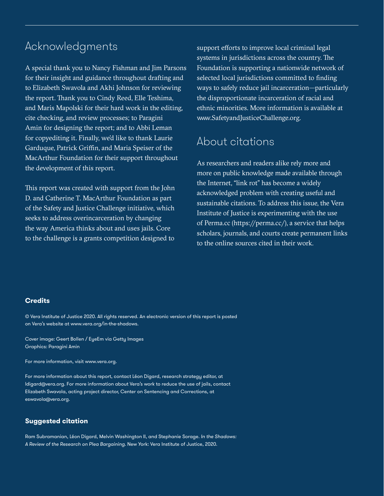# Acknowledgments

A special thank you to Nancy Fishman and Jim Parsons for their insight and guidance throughout drafting and to Elizabeth Swavola and Akhi Johnson for reviewing the report. Thank you to Cindy Reed, Elle Teshima, and Maris Mapolski for their hard work in the editing, cite checking, and review processes; to Paragini Amin for designing the report; and to Abbi Leman for copyediting it. Finally, we'd like to thank Laurie Garduque, Patrick Griffin, and Maria Speiser of the MacArthur Foundation for their support throughout the development of this report.

This report was created with support from the John D. and Catherine T. MacArthur Foundation as part of the Safety and Justice Challenge initiative, which seeks to address overincarceration by changing the way America thinks about and uses jails. Core to the challenge is a grants competition designed to

support efforts to improve local criminal legal systems in jurisdictions across the country. The Foundation is supporting a nationwide network of selected local jurisdictions committed to finding ways to safely reduce jail incarceration—particularly the disproportionate incarceration of racial and ethnic minorities. More information is available at www.SafetyandJusticeChallenge.org.

# About citations

As researchers and readers alike rely more and more on public knowledge made available through the Internet, "link rot" has become a widely acknowledged problem with creating useful and sustainable citations. To address this issue, the Vera Institute of Justice is experimenting with the use of Perma.cc (https://perma.cc/), a service that helps scholars, journals, and courts create permanent links to the online sources cited in their work.

#### **Credits**

© Vera Institute of Justice 2020. All rights reserved. An electronic version of this report is posted on Vera's website at www.vera.org/in-the-shadows.

Cover image: Geert Bollen / EyeEm via Getty Images Graphics: Paragini Amin

For more information, visit www.vera.org.

For more information about this report, contact Léon Digard, research strategy editor, at [ldigard@vera.org](file:///C:\Users\ramsubramanian\Downloads\ldigard@vera.org). For more information about Vera's work to reduce the use of jails, contact Elizabeth Swavola, acting project director, Center on Sentencing and Corrections, at [eswavola@vera.org.](file:///C:\Users\ramsubramanian\Downloads\eswavola@vera.org)

#### **Suggested citation**

Ram Subramanian, Léon Digard, Melvin Washington II, and Stephanie Sorage. *In the Shadows: A Review of the Research on Plea Bargaining*. New York: Vera Institute of Justice, 2020.